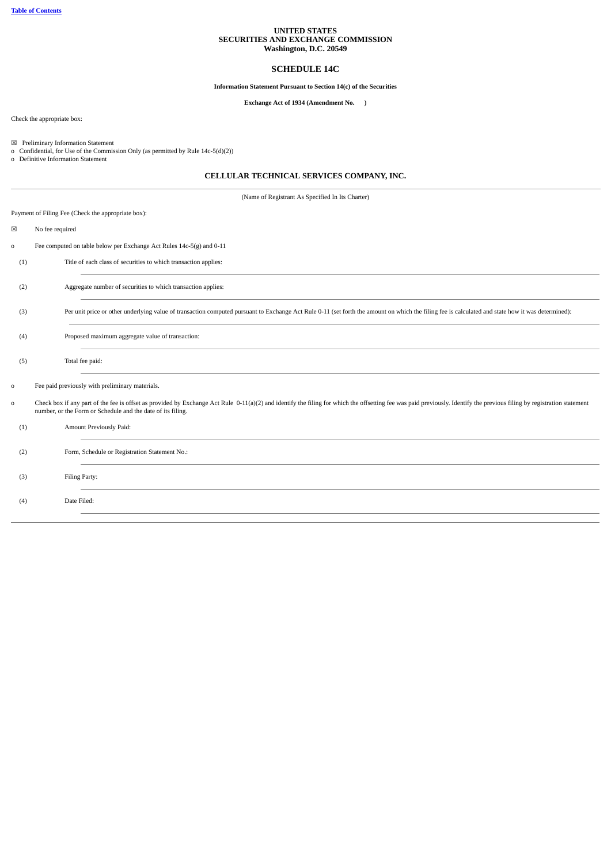## **UNITED STATES SECURITIES AND EXCHANGE COMMISSION Washington, D.C. 20549**

# **SCHEDULE 14C**

# **Information Statement Pursuant to Section 14(c) of the Securities**

# **Exchange Act of 1934 (Amendment No. )**

Check the appropriate box:

☒ Preliminary Information Statement o Confidential, for Use of the Commission Only (as permitted by Rule 14c-5(d)(2)) o Definitive Information Statement

# **CELLULAR TECHNICAL SERVICES COMPANY, INC.**

| Payment of Filing Fee (Check the appropriate box):<br>×<br>No fee required<br>Fee computed on table below per Exchange Act Rules 14c-5(g) and 0-11<br>$\mathbf 0$<br>Title of each class of securities to which transaction applies:<br>(1)<br>Aggregate number of securities to which transaction applies:<br>(2)<br>Per unit price or other underlying value of transaction computed pursuant to Exchange Act Rule 0-11 (set forth the amount on which the filing fee is calculated and state how it was determined):<br>(3)<br>Proposed maximum aggregate value of transaction:<br>(4)<br>Total fee paid:<br>(5)<br>Fee paid previously with preliminary materials.<br>$\circ$<br>Check box if any part of the fee is offset as provided by Exchange Act Rule 0-11(a)(2) and identify the filing for which the offsetting fee was paid previously. Identify the previous filing by registration statement<br>$\mathsf{o}\,$<br>number, or the Form or Schedule and the date of its filing.<br>Amount Previously Paid:<br>(1)<br>Form, Schedule or Registration Statement No.:<br>(2) |  |
|-----------------------------------------------------------------------------------------------------------------------------------------------------------------------------------------------------------------------------------------------------------------------------------------------------------------------------------------------------------------------------------------------------------------------------------------------------------------------------------------------------------------------------------------------------------------------------------------------------------------------------------------------------------------------------------------------------------------------------------------------------------------------------------------------------------------------------------------------------------------------------------------------------------------------------------------------------------------------------------------------------------------------------------------------------------------------------------------|--|
|                                                                                                                                                                                                                                                                                                                                                                                                                                                                                                                                                                                                                                                                                                                                                                                                                                                                                                                                                                                                                                                                                         |  |
|                                                                                                                                                                                                                                                                                                                                                                                                                                                                                                                                                                                                                                                                                                                                                                                                                                                                                                                                                                                                                                                                                         |  |
|                                                                                                                                                                                                                                                                                                                                                                                                                                                                                                                                                                                                                                                                                                                                                                                                                                                                                                                                                                                                                                                                                         |  |
|                                                                                                                                                                                                                                                                                                                                                                                                                                                                                                                                                                                                                                                                                                                                                                                                                                                                                                                                                                                                                                                                                         |  |
|                                                                                                                                                                                                                                                                                                                                                                                                                                                                                                                                                                                                                                                                                                                                                                                                                                                                                                                                                                                                                                                                                         |  |
|                                                                                                                                                                                                                                                                                                                                                                                                                                                                                                                                                                                                                                                                                                                                                                                                                                                                                                                                                                                                                                                                                         |  |
|                                                                                                                                                                                                                                                                                                                                                                                                                                                                                                                                                                                                                                                                                                                                                                                                                                                                                                                                                                                                                                                                                         |  |
|                                                                                                                                                                                                                                                                                                                                                                                                                                                                                                                                                                                                                                                                                                                                                                                                                                                                                                                                                                                                                                                                                         |  |
|                                                                                                                                                                                                                                                                                                                                                                                                                                                                                                                                                                                                                                                                                                                                                                                                                                                                                                                                                                                                                                                                                         |  |
|                                                                                                                                                                                                                                                                                                                                                                                                                                                                                                                                                                                                                                                                                                                                                                                                                                                                                                                                                                                                                                                                                         |  |
|                                                                                                                                                                                                                                                                                                                                                                                                                                                                                                                                                                                                                                                                                                                                                                                                                                                                                                                                                                                                                                                                                         |  |
|                                                                                                                                                                                                                                                                                                                                                                                                                                                                                                                                                                                                                                                                                                                                                                                                                                                                                                                                                                                                                                                                                         |  |
| (3)<br>Filing Party:                                                                                                                                                                                                                                                                                                                                                                                                                                                                                                                                                                                                                                                                                                                                                                                                                                                                                                                                                                                                                                                                    |  |
| Date Filed:<br>(4)                                                                                                                                                                                                                                                                                                                                                                                                                                                                                                                                                                                                                                                                                                                                                                                                                                                                                                                                                                                                                                                                      |  |
|                                                                                                                                                                                                                                                                                                                                                                                                                                                                                                                                                                                                                                                                                                                                                                                                                                                                                                                                                                                                                                                                                         |  |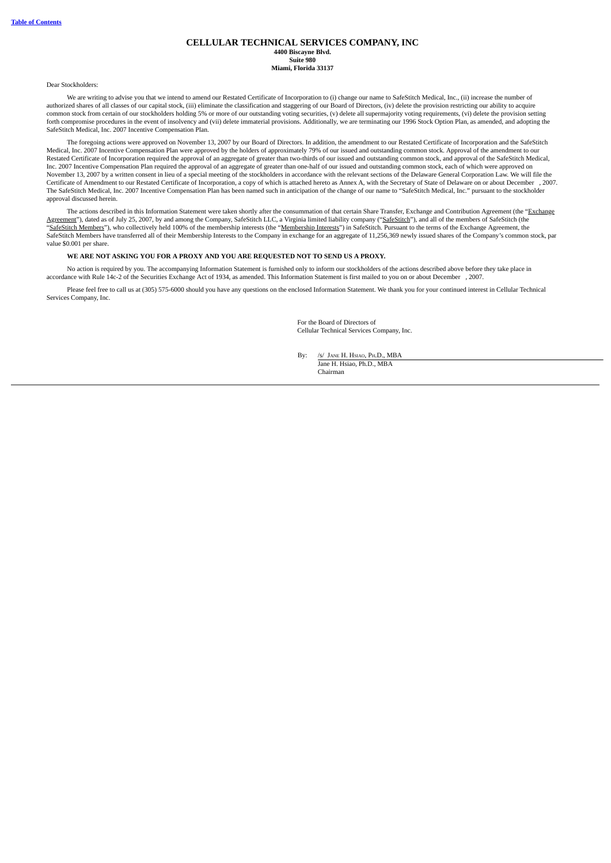#### **CELLULAR TECHNICAL SERVICES COMPANY, INC 4400 Biscayne Blvd. Suite 980 Miami, Florida 33137**

Dear Stockholders:

We are writing to advise you that we intend to amend our Restated Certificate of Incorporation to (i) change our name to SafeStitch Medical, Inc., (ii) increase the number of authorized shares of all classes of our capital stock, (iii) eliminate the classification and staggering of our Board of Directors, (iv) delete the provision restricting our ability to acquire common stock from certain of our stockholders holding 5% or more of our outstanding voting securities, (v) delete all supermajority voting requirements, (vi) delete the provision setting<br>forth compromise procedures in the SafeStitch Medical, Inc. 2007 Incentive Compensation Plan.

The foregoing actions were approved on November 13, 2007 by our Board of Directors. In addition, the amendment to our Restated Certificate of Incorporation and the SafeStitch Medical, Inc. 2007 Incentive Compensation Plan were approved by the holders of approximately 79% of our issued and outstanding common stock. Approval of the amendment to our Restated Certificate of Incorporation required the approval of an aggregate of greater than two-thirds of our issued and outstanding common stock, and approval of the SafeStitch Medical, Inc. 2007 Incentive Compensation Plan required the approval of an aggregate of greater than one-half of our issued and outstanding common stock, each of which were approved on November 13, 2007 by a written consent in lieu of a special meeting of the stockholders in accordance with the relevant sections of the Delaware General Corporation Law. We will file the Certificate of Amendment to our Restated Certificate of Incorporation, a copy of which is attached hereto as Annex A, with the Secretary of State of Delaware on or about December ), 2007.<br>The SafeStitch Medical, Inc. 2007 approval discussed herein.

The actions described in this Information Statement were taken shortly after the consummation of that certain Share Transfer, Exchange and Contribution Agreement (the "Exchange Agreement"), dated as of July 25, 2007, by and among the Company, SafeStitch LLC, a Virginia limited liability company ("SafeStitch"), and all of the members of SafeStitch (the "SafeStitch Members"), who collectively held 100% of the membership interests (the "Membership Interests") in SafeStitch. Pursuant to the terms of the Exchange Agreement, the SafeStitch Members have transferred all of their Membership Interests to the Company in exchange for an aggregate of 11,256,369 newly issued shares of the Company's common stock, par value \$0.001 per share.

### **WE ARE NOT ASKING YOU FOR A PROXY AND YOU ARE REQUESTED NOT TO SEND US A PROXY.**

No action is required by you. The accompanying Information Statement is furnished only to inform our stockholders of the actions described above before they take place in accordance with Rule 14c-2 of the Securities Exchange Act of 1934, as amended. This Information Statement is first mailed to you on or about December , 2007.

<span id="page-2-0"></span>Please feel free to call us at (305) 575-6000 should you have any questions on the enclosed Information Statement. We thank you for your continued interest in Cellular Technical Services Company, Inc.

> For the Board of Directors of Cellular Technical Services Company, Inc.

By: /s/ Jane H. Hsiao, Ph.D., MBA Jane H. Hsiao, Ph.D., MBA Chairman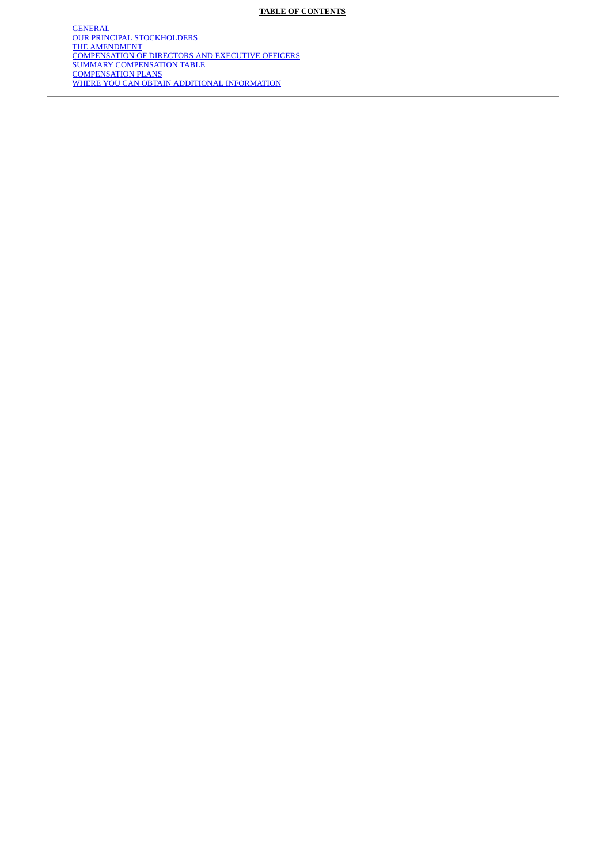[GENERAL](#page-4-0) [OUR PRINCIPAL STOCKHOLDERS](#page-6-0) [THE AMENDMENT](#page-9-0) [COMPENSATION OF DIRECTORS AND EXECUTIVE OFFICERS](#page-10-0) [SUMMARY COMPENSATION TABLE](#page-11-0) [COMPENSATION PLANS](#page-14-0) [WHERE YOU CAN OBTAIN ADDITIONAL INFORMATION](#page-20-0)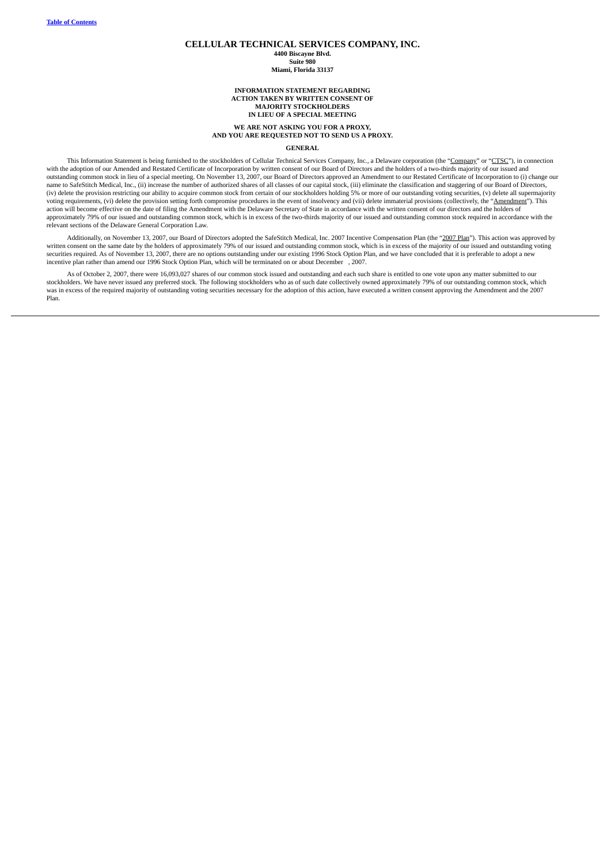## **CELLULAR TECHNICAL SERVICES COMPANY, INC.**

**4400 Biscayne Blvd. Suite 980**

#### **Miami, Florida 33137**

**INFORMATION STATEMENT REGARDING ACTION TAKEN BY WRITTEN CONSENT OF MAJORITY STOCKHOLDERS IN LIEU OF A SPECIAL MEETING**

#### **WE ARE NOT ASKING YOU FOR A PROXY, AND YOU ARE REQUESTED NOT TO SEND US A PROXY.**

#### **GENERAL**

<span id="page-4-0"></span>This Information Statement is being furnished to the stockholders of Cellular Technical Services Company, Inc., a Delaware corporation (the "Company" or "CTSC"), in connection with the adoption of our Amended and Restated Certificate of Incorporation by written consent of our Board of Directors and the holders of a two-thirds majority of our issued and<br>outstanding common stock in lieu of a speci (iv) delete the provision restricting our ability to acquire common stock from certain of our stockholders holding 5% or more of our outstanding voting securities, (v) delete all supermajority voting requirements, (vi) delete the provision setting forth compromise procedures in the event of insolvency and (vii) delete immaterial provisions (collectively, the "Amendment"). This action will become effective on the date of filing the Amendment with the Delaware Secretary of State in accordance with the written consent of our directors and the holders of approximately 79% of our issued and outstanding common stock, which is in excess of the two-thirds majority of our issued and outstanding common stock required in accordance with the relevant sections of the Delaware General Corporation Law.

Additionally, on November 13, 2007, our Board of Directors adopted the SafeStitch Medical, Inc. 2007 Incentive Compensation Plan (the "2007 Plan"). This action was approved by written consent on the same date by the holders of approximately 79% of our issued and outstanding common stock, which is in excess of the majority of our issued and outstanding voting securities required. As of November 13, 2007, there are no options outstanding under our existing 1996 Stock Option Plan, and we have concluded that it is preferable to adopt a new securities required. As of November 13, 2 incentive plan rather than amend our 1996 Stock Option Plan, which will be terminated on or about December , 2007.

As of October 2, 2007, there were 16,093,027 shares of our common stock issued and outstanding and each such share is entitled to one vote upon any matter submitted to our stockholders. We have never issued any preferred stock. The following stockholders who as of such date collectively owned approximately 79% of our outstanding common stock, which<br>was in excess of the required majority of o Plan.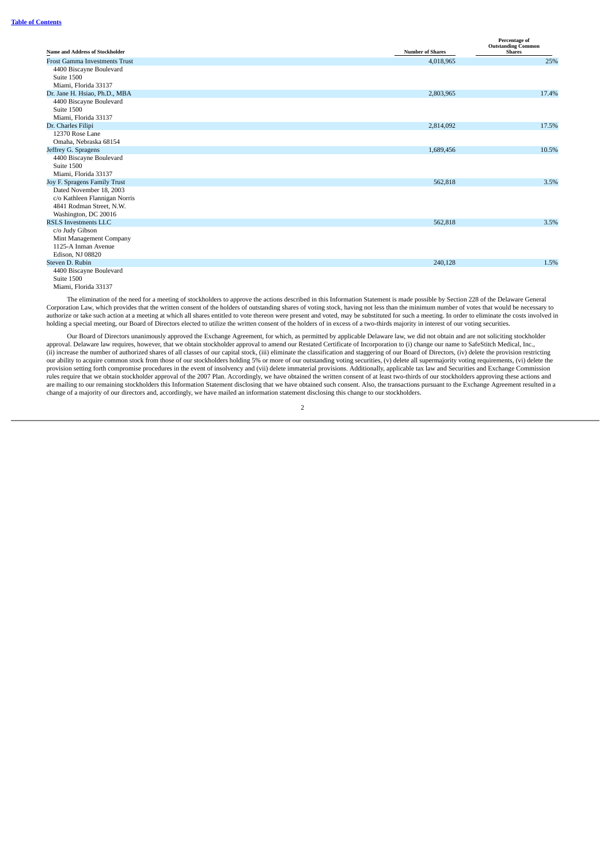|                                        |                         | Percentage of<br><b>Outstanding Common</b> |
|----------------------------------------|-------------------------|--------------------------------------------|
| <b>Name and Address of Stockholder</b> | <b>Number of Shares</b> | <b>Shares</b>                              |
| <b>Frost Gamma Investments Trust</b>   | 4,018,965               | 25%                                        |
| 4400 Biscayne Boulevard                |                         |                                            |
| Suite 1500                             |                         |                                            |
| Miami, Florida 33137                   |                         |                                            |
| Dr. Jane H. Hsiao, Ph.D., MBA          | 2,803,965               | 17.4%                                      |
| 4400 Biscayne Boulevard                |                         |                                            |
| Suite 1500                             |                         |                                            |
| Miami, Florida 33137                   |                         |                                            |
| Dr. Charles Filipi                     | 2,814,092               | 17.5%                                      |
| 12370 Rose Lane                        |                         |                                            |
| Omaha, Nebraska 68154                  |                         |                                            |
| Jeffrey G. Spragens                    | 1,689,456               | 10.5%                                      |
| 4400 Biscayne Boulevard<br>Suite 1500  |                         |                                            |
| Miami, Florida 33137                   |                         |                                            |
| Joy F. Spragens Family Trust           | 562,818                 | 3.5%                                       |
| Dated November 18, 2003                |                         |                                            |
| c/o Kathleen Flannigan Norris          |                         |                                            |
| 4841 Rodman Street, N.W.               |                         |                                            |
| Washington, DC 20016                   |                         |                                            |
| <b>RSLS Investments LLC</b>            | 562,818                 | 3.5%                                       |
| c/o Judy Gibson                        |                         |                                            |
| Mint Management Company                |                         |                                            |
| 1125-A Inman Avenue                    |                         |                                            |
| Edison, NJ 08820                       |                         |                                            |
| Steven D. Rubin                        | 240,128                 | 1.5%                                       |
| 4400 Biscayne Boulevard                |                         |                                            |
| Suite 1500                             |                         |                                            |

Miami, Florida 33137

The elimination of the need for a meeting of stockholders to approve the actions described in this Information Statement is made possible by Section 228 of the Delaware General Corporation Law, which provides that the written consent of the holders of outstanding shares of voting stock, having not less than the minimum number of votes that would be necessary to authorize or take such action at a meeting at which all shares entitled to vote thereon were present and voted, may be substituted for such a meeting. In order to eliminate the costs involved in holding a special meeting, our Board of Directors elected to utilize the written consent of the holders of in excess of a two-thirds majority in interest of our voting securities.

Our Board of Directors unanimously approved the Exchange Agreement, for which, as permitted by applicable Delaware law, we did not obtain and are not soliciting stockholder approval. Delaware law requires, however, that we obtain stockholder approval to amend our Restated Certificate of Incorporation to (i) change our name to SafeStitch Medical, Inc., (ii) increase the number of authorized shares of all classes of our capital stock, (iii) eliminate the classification and staggering of our Board of Directors, (iv) delete the provision restricting<br>our ability to acquire c provision setting forth compromise procedures in the event of insolvency and (vii) delete immaterial provisions. Additionally, applicable tax law and Securities and Exchange Commission rules require that we obtain stockholder approval of the 2007 Plan. Accordingly, we have obtained the written consent of at least two-thirds of our stockholders approving these actions and are mailing to our remaining stockholders this Information Statement disclosing that we have obtained such consent. Also, the transactions pursuant to the Exchange Agreement resulted in a change of a majority of our directors and, accordingly, we have mailed an information statement disclosing this change to our stockholders.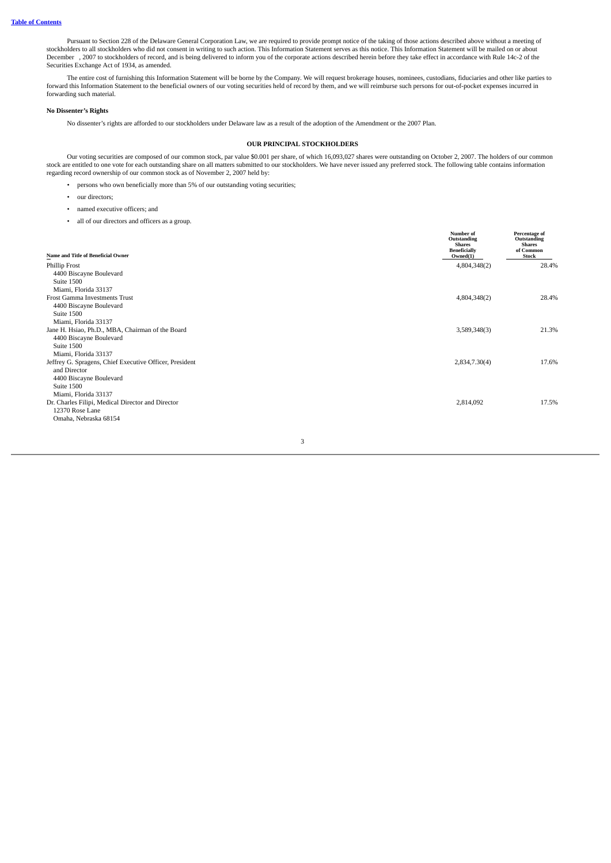Pursuant to Section 228 of the Delaware General Corporation Law, we are required to provide prompt notice of the taking of those actions described above without a meeting of<br>stockholders to all stockholders who did not con December , 2007 to stockholders of record, and is being delivered to inform you of the corporate actions described herein before they take effect in accordance with Rule 14c-2 of the Securities Exchange Act of 1934, as amended.

The entire cost of furnishing this Information Statement will be borne by the Company. We will request brokerage houses, nominees, custodians, fiduciaries and other like parties to forward this Information Statement to the beneficial owners of our voting securities held of record by them, and we will reimburse such persons for out-of-pocket expenses incurred in forwarding such material.

# **No Dissenter's Rights**

<span id="page-6-0"></span>No dissenter's rights are afforded to our stockholders under Delaware law as a result of the adoption of the Amendment or the 2007 Plan.

## **OUR PRINCIPAL STOCKHOLDERS**

Our voting securities are composed of our common stock, par value \$0.001 per share, of which 16,093,027 shares were outstanding on October 2, 2007. The holders of our common<br>stock are entitled to one vote for each outstand regarding record ownership of our common stock as of November 2, 2007 held by:

- persons who own beneficially more than 5% of our outstanding voting securities;
- our directors;
- named executive officers; and
- all of our directors and officers as a group.

| Name and Title of Beneficial Owner                      | Number of<br>Outstanding<br><b>Shares</b><br><b>Beneficially</b><br>Owned(1) | Percentage of<br>Outstanding<br><b>Shares</b><br>of Common<br><b>Stock</b> |
|---------------------------------------------------------|------------------------------------------------------------------------------|----------------------------------------------------------------------------|
|                                                         |                                                                              |                                                                            |
| Phillip Frost                                           | 4,804,348(2)                                                                 | 28.4%                                                                      |
| 4400 Biscayne Boulevard<br>Suite 1500                   |                                                                              |                                                                            |
| Miami, Florida 33137                                    |                                                                              |                                                                            |
| Frost Gamma Investments Trust                           |                                                                              |                                                                            |
|                                                         | 4,804,348(2)                                                                 | 28.4%                                                                      |
| 4400 Biscayne Boulevard<br>Suite 1500                   |                                                                              |                                                                            |
|                                                         |                                                                              |                                                                            |
| Miami, Florida 33137                                    |                                                                              |                                                                            |
| Jane H. Hsiao, Ph.D., MBA, Chairman of the Board        | 3,589,348(3)                                                                 | 21.3%                                                                      |
| 4400 Biscayne Boulevard                                 |                                                                              |                                                                            |
| Suite 1500                                              |                                                                              |                                                                            |
| Miami, Florida 33137                                    |                                                                              |                                                                            |
| Jeffrey G. Spragens, Chief Executive Officer, President | 2,834,7.30(4)                                                                | 17.6%                                                                      |
| and Director                                            |                                                                              |                                                                            |
| 4400 Biscayne Boulevard                                 |                                                                              |                                                                            |
| Suite 1500                                              |                                                                              |                                                                            |
| Miami, Florida 33137                                    |                                                                              |                                                                            |
| Dr. Charles Filipi, Medical Director and Director       | 2,814,092                                                                    | 17.5%                                                                      |
| 12370 Rose Lane                                         |                                                                              |                                                                            |
| Omaha, Nebraska 68154                                   |                                                                              |                                                                            |
|                                                         |                                                                              |                                                                            |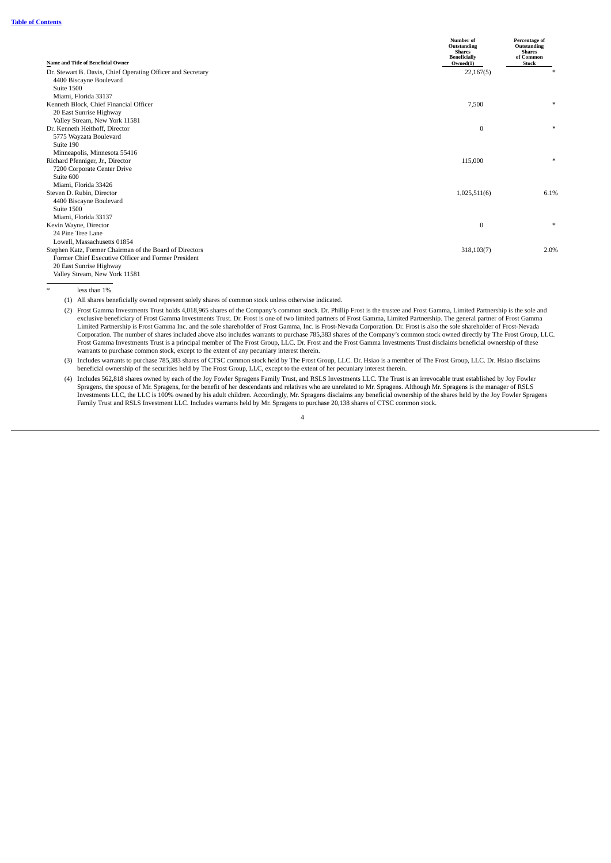|                                                                                                      | Number of<br>Outstanding<br><b>Shares</b><br><b>Beneficially</b> | Percentage of<br>Outstanding<br><b>Shares</b><br>of Common |
|------------------------------------------------------------------------------------------------------|------------------------------------------------------------------|------------------------------------------------------------|
| Name and Title of Beneficial Owner                                                                   | Owned(1)                                                         | <b>Stock</b>                                               |
| Dr. Stewart B. Davis, Chief Operating Officer and Secretary<br>4400 Biscayne Boulevard<br>Suite 1500 | 22,167(5)                                                        | $\ast$                                                     |
| Miami, Florida 33137                                                                                 |                                                                  |                                                            |
| Kenneth Block, Chief Financial Officer                                                               | 7,500                                                            | $\star$                                                    |
| 20 East Sunrise Highway                                                                              |                                                                  |                                                            |
| Valley Stream, New York 11581                                                                        |                                                                  |                                                            |
| Dr. Kenneth Heithoff, Director                                                                       | $\bf{0}$                                                         | $\ast$                                                     |
| 5775 Wayzata Boulevard                                                                               |                                                                  |                                                            |
| Suite 190                                                                                            |                                                                  |                                                            |
| Minneapolis, Minnesota 55416                                                                         |                                                                  |                                                            |
| Richard Pfenniger, Jr., Director                                                                     | 115,000                                                          | $\ast$                                                     |
| 7200 Corporate Center Drive                                                                          |                                                                  |                                                            |
| Suite 600                                                                                            |                                                                  |                                                            |
| Miami, Florida 33426                                                                                 |                                                                  |                                                            |
| Steven D. Rubin, Director                                                                            | 1,025,511(6)                                                     | 6.1%                                                       |
| 4400 Biscayne Boulevard<br>Suite 1500                                                                |                                                                  |                                                            |
| Miami, Florida 33137                                                                                 |                                                                  |                                                            |
| Kevin Wayne, Director                                                                                | $\mathbf{0}$                                                     | $\ast$                                                     |
| 24 Pine Tree Lane                                                                                    |                                                                  |                                                            |
| Lowell, Massachusetts 01854                                                                          |                                                                  |                                                            |
| Stephen Katz, Former Chairman of the Board of Directors                                              | 318,103(7)                                                       | 2.0%                                                       |
| Former Chief Executive Officer and Former President                                                  |                                                                  |                                                            |
| 20 East Sunrise Highway                                                                              |                                                                  |                                                            |
| Valley Stream, New York 11581                                                                        |                                                                  |                                                            |

\* less than 1%.

(1) All shares beneficially owned represent solely shares of common stock unless otherwise indicated.

(2) Frost Gamma Investments Trust holds 4,018,965 shares of the Company's common stock. Dr. Phillip Frost is the trustee and Frost Gamma, Limited Partnership is the sole and exclusive beneficiary of Frost Gamma Investments Trust. Dr. Frost is one of two limited partners of Frost Gamma, Limited Partnership. The general partner of Frost Gamma Limited Partnership is Frost Gamma Inc. and the sole shareholder of Frost Gamma, Inc. is Frost-Nevada Corporation. Dr. Frost is also the sole shareholder of Frost-Nevada<br>Corporation. The number of shares included above als Frost Gamma Investments Trust is a principal member of The Frost Group, LLC. Dr. Frost and the Frost Gamma Investments Trust disclaims beneficial ownership of these warrants to purchase common stock, except to the extent of any pecuniary interest therein.

(3) Includes warrants to purchase 785,383 shares of CTSC common stock held by The Frost Group, LLC. Dr. Hsiao is a member of The Frost Group, LLC. Dr. Hsiao disclaims beneficial ownership of the securities held by The Frost Group, LLC, except to the extent of her pecuniary interest therein.

(4) Includes 562,818 shares owned by each of the Joy Fowler Spragens Family Trust, and RSLS Investments LLC. The Trust is an irrevocable trust established by Joy Fowler Spragens, the spouse of Mr. Spragens, for the benefit of her descendants and relatives who are unrelated to Mr. Spragens. Although Mr. Spragens is the manager of RSLS<br>Investments LLC, the LLC is 100% owned by his adult chi Family Trust and RSLS Investment LLC. Includes warrants held by Mr. Spragens to purchase 20,138 shares of CTSC common stock.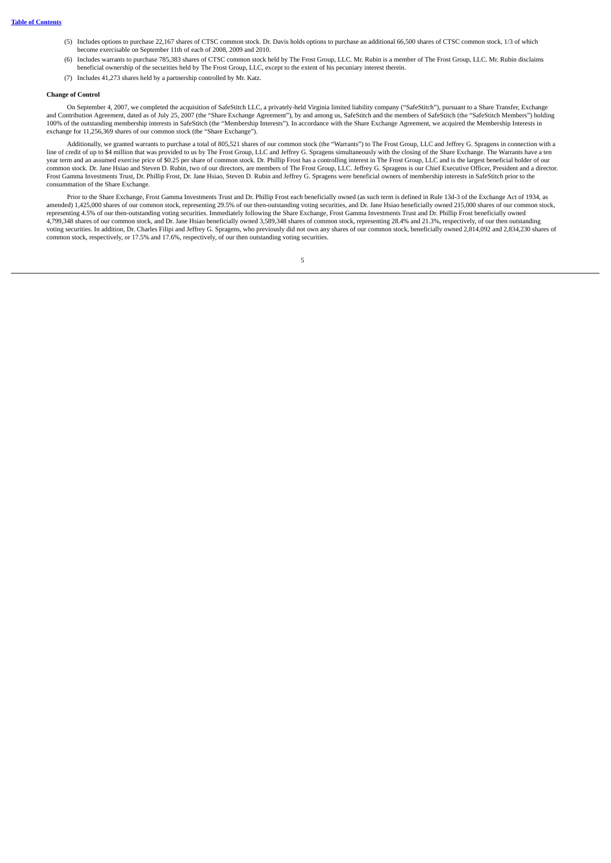- (5) Includes options to purchase 22,167 shares of CTSC common stock. Dr. Davis holds options to purchase an additional 66,500 shares of CTSC common stock, 1/3 of which become exercisable on September 11th of each of 2008, 2009 and 2010.
- (6) Includes warrants to purchase 785,383 shares of CTSC common stock held by The Frost Group, LLC. Mr. Rubin is a member of The Frost Group, LLC. Mr. Rubin disclaims beneficial ownership of the securities held by The Frost Group, LLC, except to the extent of his pecuniary interest therein.
- (7) Includes 41,273 shares held by a partnership controlled by Mr. Katz.

## **Change of Control**

On September 4, 2007, we completed the acquisition of SafeStitch LLC, a privately-held Virginia limited liability company ("SafeStitch"), pursuant to a Share Transfer, Exchange and Contribution Agreement, dated as of July 25, 2007 (the "Share Exchange Agreement"), by and among us, SafeStitch and the members of SafeStitch (the "SafeStitch Members") holding 100% of the outstanding membership interests in SafeStitch (the "Membership Interests"). In accordance with the Share Exchange Agreement, we acquired the Membership Interests in exchange for 11,256,369 shares of our common stock (the "Share Exchange").

Additionally, we granted warrants to purchase a total of 805,521 shares of our common stock (the "Warrants") to The Frost Group, LLC and Jeffrey G. Spragens in connection with a line of credit of up to \$4 million that was provided to us by The Frost Group, LLC and Jeffrey G. Spragens simultaneously with the closing of the Share Exchange. The Warrants have a ten year term and an assumed exercise price of \$0.25 per share of common stock. Dr. Phillip Frost has a controlling interest in The Frost Group, LLC and is the largest beneficial holder of our common stock. Dr. Jane Hsiao and Steven D. Rubin, two of our directors, are members of The Frost Group, LLC. Jeffrey G. Spragens is our Chief Executive Officer, President and a director. Frost Gamma Investments Trust, Dr. Phillip Frost, Dr. Jane Hsiao, Steven D. Rubin and Jeffrey G. Spragens were beneficial owners of membership interests in SafeStitch prior to the consummation of the Share Exchange.

Prior to the Share Exchange, Frost Gamma Investments Trust and Dr. Phillip Frost each beneficially owned (as such term is defined in Rule 13d-3 of the Exchange Act of 1934, as amended) 1,425,000 shares of our common stock, representing 29.5% of our then-outstanding voting securities, and Dr. Jane Hsiao beneficially owned 215,000 shares of our common stock,<br>representing 4.5% of our then-outstandi 4,799,348 shares of our common stock, and Dr. Jane Hsiao beneficially owned 3,589,348 shares of common stock, representing 28.4% and 21.3%, respectively, of our then outstanding voting securities. In addition, Dr. Charles Filipi and Jeffrey G. Spragens, who previously did not own any shares of our common stock, beneficially owned 2,814,092 and 2,834,230 shares of common stock, respectively, or 17.5% and 17.6%, respectively, of our then outstanding voting securities.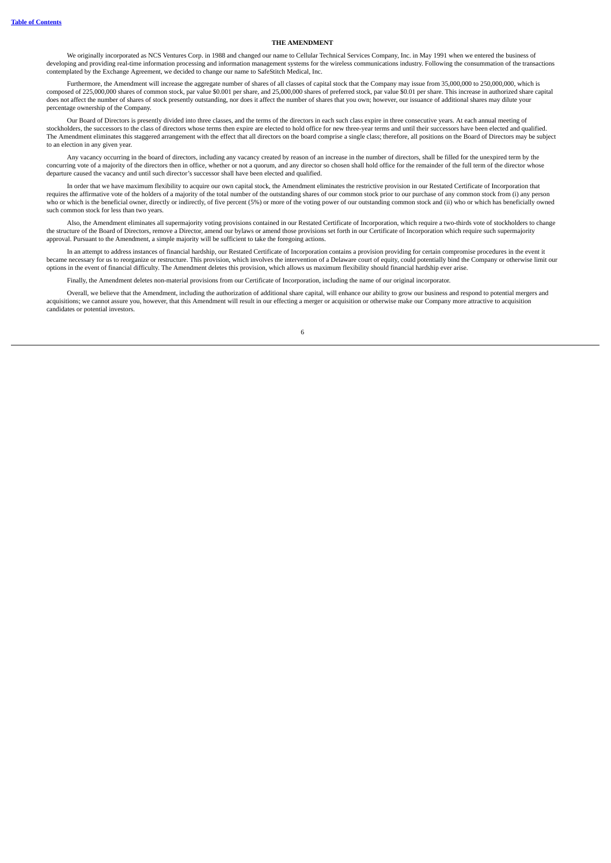## **THE AMENDMENT**

<span id="page-9-0"></span>We originally incorporated as NCS Ventures Corp. in 1988 and changed our name to Cellular Technical Services Company, Inc. in May 1991 when we entered the business of developing and providing real-time information processing and information management systems for the wireless communications industry. Following the consummation of the transactions contemplated by the Exchange Agreement, we decided to change our name to SafeStitch Medical, Inc.

Furthermore, the Amendment will increase the aggregate number of shares of all classes of capital stock that the Company may issue from 35,000,000 to 250,000,000, which is composed of 225,000,000 shares of common stock, par value \$0.001 per share, and 25,000,000 shares of preferred stock, par value \$0.01 per share. This increase in authorized share capital does not affect the number of shares of stock presently outstanding, nor does it affect the number of shares that you own; however, our issuance of additional shares may dilute your percentage ownership of the Company.

Our Board of Directors is presently divided into three classes, and the terms of the directors in each such class expire in three consecutive years. At each annual meeting of stockholders, the successors to the class of directors whose terms then expire are elected to hold office for new three-year terms and until their successors have been elected and qualified. The Amendment eliminates this staggered arrangement with the effect that all directors on the board comprise a single class; therefore, all positions on the Board of Directors may be subject to an election in any given year.

Any vacancy occurring in the board of directors, including any vacancy created by reason of an increase in the number of directors, shall be filled for the unexpired term by the concurring vote of a majority of the directors then in office, whether or not a quorum, and any director so chosen shall hold office for the remainder of the full term of the director whose departure caused the vacancy and until such director's successor shall have been elected and qualified.

In order that we have maximum flexibility to acquire our own capital stock, the Amendment eliminates the restrictive provision in our Restated Certificate of Incorporation that requires the affirmative vote of the holders of a majority of the total number of the outstanding shares of our common stock prior to our purchase of any common stock from (i) any person who or which is the beneficial owner, directly or indirectly, of five percent (5%) or more of the voting power of our outstanding common stock and (ii) who or which has beneficially owned such common stock for less than two years.

Also, the Amendment eliminates all supermajority voting provisions contained in our Restated Certificate of Incorporation, which require a two-thirds vote of stockholders to change the structure of the Board of Directors, remove a Director, amend our bylaws or amend those provisions set forth in our Certificate of Incorporation which require such supermajority approval. Pursuant to the Amendment, a simple majority will be sufficient to take the foregoing actions.

In an attempt to address instances of financial hardship, our Restated Certificate of Incorporation contains a provision providing for certain compromise procedures in the event it became necessary for us to reorganize or restructure. This provision, which involves the intervention of a Delaware court of equity, could potentially bind the Company or otherwise limit our options in the event of financial difficulty. The Amendment deletes this provision, which allows us maximum flexibility should financial hardship ever arise.

Finally, the Amendment deletes non-material provisions from our Certificate of Incorporation, including the name of our original incorporator.

Overall, we believe that the Amendment, including the authorization of additional share capital, will enhance our ability to grow our business and respond to potential mergers and acquisitions; we cannot assure you, however, that this Amendment will result in our effecting a merger or acquisition or otherwise make our Company more attractive to acquisition candidates or potential investors.

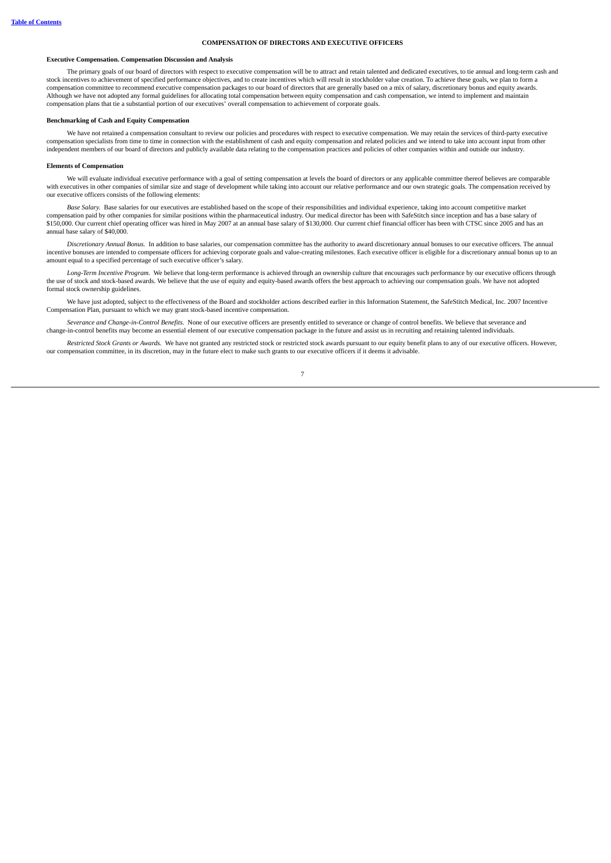## **COMPENSATION OF DIRECTORS AND EXECUTIVE OFFICERS**

## <span id="page-10-0"></span>**Executive Compensation. Compensation Discussion and Analysis**

The primary goals of our board of directors with respect to executive compensation will be to attract and retain talented and dedicated executives, to tie annual and long-term cash and stock incentives to achievement of specified performance objectives, and to create incentives which will result in stockholder value creation. To achieve these goals, we plan to form a compensation committee to recommend executive compensation packages to our board of directors that are generally based on a mix of salary, discretionary bonus and equity awards. Although we have not adopted any formal guidelines for allocating total compensation between equity compensation and cash compensation, we intend to implement and maintain compensation plans that tie a substantial portion of our executives' overall compensation to achievement of corporate goals.

#### **Benchmarking of Cash and Equity Compensation**

We have not retained a compensation consultant to review our policies and procedures with respect to executive compensation. We may retain the services of third-party executive<br>compensation specialists from time to time in independent members of our board of directors and publicly available data relating to the compensation practices and policies of other companies within and outside our industry.

### **Elements of Compensation**

We will evaluate individual executive performance with a goal of setting compensation at levels the board of directors or any applicable committee thereof believes are comparable with executives in other companies of similar size and stage of development while taking into account our relative performance and our own strategic goals. The compensation received by our executive officers consists of the following elements:

*Base Salary.* Base salaries for our executives are established based on the scope of their responsibilities and individual experience, taking into account competitive market compensation paid by other companies for similar positions within the pharmaceutical industry. Our medical director has been with SafeStitch since inception and has a base salary of \$150,000. Our current chief operating officer was hired in May 2007 at an annual base salary of \$130,000. Our current chief financial officer has been with CTSC since 2005 and has an annual base salary of \$40,000.

*Discretionary Annual Bonus.* In addition to base salaries, our compensation committee has the authority to award discretionary annual bonuses to our executive officers. The annual incentive bonuses are intended to compensate officers for achieving corporate goals and value-creating milestones. Each executive officer is eligible for a discretionary annual bonus up to an amount equal to a specified percentage of such executive officer's salary.

*Long-Term Incentive Program.* We believe that long-term performance is achieved through an ownership culture that encourages such performance by our executive officers through the use of stock and stock-based awards. We believe that the use of equity and equity-based awards offers the best approach to achieving our compensation goals. We have not adopted formal stock ownership guidelines.

We have just adopted, subject to the effectiveness of the Board and stockholder actions described earlier in this Information Statement, the SafeStitch Medical, Inc. 2007 Incentive Compensation Plan, pursuant to which we may grant stock-based incentive compensation.

*Severance and Change-in-Control Benefits.* None of our executive officers are presently entitled to severance or change of control benefits. We believe that severance and change-in-control benefits may become an essential element of our executive compensation package in the future and assist us in recruiting and retaining talented individuals.

*Restricted Stock Grants or Awards.* We have not granted any restricted stock or restricted stock awards pursuant to our equity benefit plans to any of our executive officers. However, our compensation committee, in its discretion, may in the future elect to make such grants to our executive officers if it deems it advisable.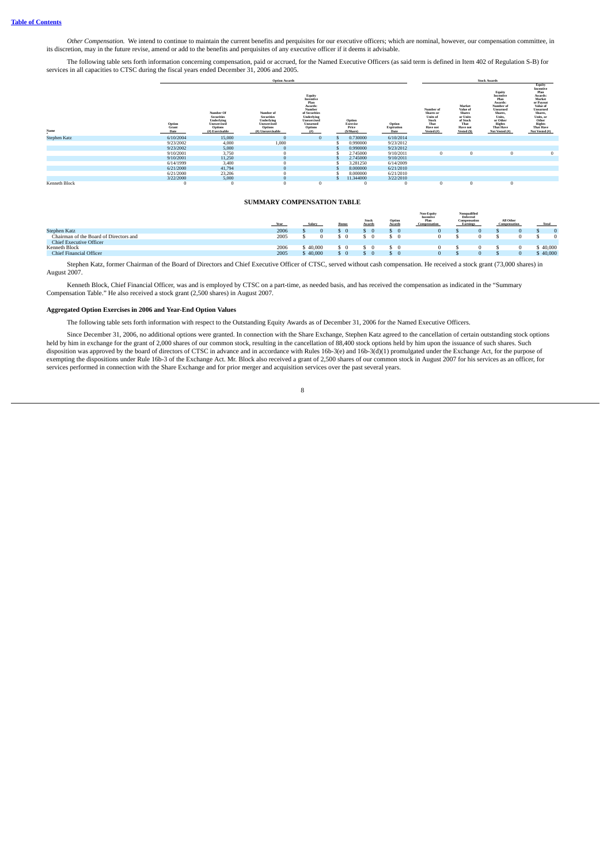Other Compensation. We intend to continue to maintain the current benefits and perquisites for our executive officers; which are nominal, however, our compensation committee, in its discretion, may in the future revise, am

The following table sets forth information concerning compensation, paid or accrued, for the Named Executive Officers (as said term is defined in Item 402 of Regulation S-B) for services in all capacities to CTSC during the fiscal years ended December 31, 2006 and 2005.

|                      |                         |                                                                                             | <b>Option Awards</b>                                                                        |                                                                                                                               |                                          |                              |                                                                                 | <b>Stock Awards</b>                                                                           |                                                                                                                                                  |                                                                                                                                                                               |
|----------------------|-------------------------|---------------------------------------------------------------------------------------------|---------------------------------------------------------------------------------------------|-------------------------------------------------------------------------------------------------------------------------------|------------------------------------------|------------------------------|---------------------------------------------------------------------------------|-----------------------------------------------------------------------------------------------|--------------------------------------------------------------------------------------------------------------------------------------------------|-------------------------------------------------------------------------------------------------------------------------------------------------------------------------------|
| Name                 | Option<br>Grant<br>Date | Number Of<br><b>Securities</b><br>Underlying<br>Unexercised<br>Options<br>$(f)$ Exercisable | Number of<br><b>Securities</b><br>Underlying<br>Unexercised<br>Options<br>(#) Unexercisable | Equity<br>Incentive<br>Plan<br>Awards:<br>Number<br>of Securities<br>Underlying<br>Unexercised<br>Unearned<br>Options<br>(f#) | Option<br>Exercise<br>Price<br>(S/Share) | Option<br>Expiration<br>Date | Number of<br>Shares or<br>Units of<br>Stock<br>That<br>Have not<br>Vested $(f)$ | Market<br>Value of<br><b>Shares</b><br>or Units<br>of Stock<br>That<br>Have not<br>Vested (S) | Equity<br>Incentive<br>Plan<br>Awards:<br>Number of<br>Unearned<br>Shares.<br>Units.<br>or Other<br><b>Rights</b><br>That Have<br>Not Vested (#) | Equity<br>Incentive<br>Plan<br>Awards:<br>Market<br>or Payout<br>Value of<br>Unearned<br>Shares,<br>Units, or<br>Other<br><b>Rights</b><br><b>That Have</b><br>Not Vested (#) |
| <b>Stephen Katz</b>  | 6/10/2004               | 15,000                                                                                      |                                                                                             | U                                                                                                                             | 0.730000                                 | 6/10/2014                    |                                                                                 |                                                                                               |                                                                                                                                                  |                                                                                                                                                                               |
|                      | 9/23/2002               | 4,000                                                                                       | 1,000                                                                                       |                                                                                                                               | 0.990000                                 | 9/23/2012                    |                                                                                 |                                                                                               |                                                                                                                                                  |                                                                                                                                                                               |
|                      | 9/23/2002               | 5,000                                                                                       |                                                                                             |                                                                                                                               | 0.990000                                 | 9/23/2012                    |                                                                                 |                                                                                               |                                                                                                                                                  |                                                                                                                                                                               |
|                      | 9/10/2001               | 3,750                                                                                       |                                                                                             |                                                                                                                               | 2.745000                                 | 9/10/2011                    | $\bf{0}$                                                                        | $\bf{0}$                                                                                      | $\Omega$                                                                                                                                         | $\mathbf{0}$                                                                                                                                                                  |
|                      | 9/10/2001               | 11,250                                                                                      |                                                                                             |                                                                                                                               | 2.745000                                 | 9/10/2011                    |                                                                                 |                                                                                               |                                                                                                                                                  |                                                                                                                                                                               |
|                      | 6/14/1999               | 3,400                                                                                       |                                                                                             |                                                                                                                               | 3.281250                                 | 6/14/2009                    |                                                                                 |                                                                                               |                                                                                                                                                  |                                                                                                                                                                               |
|                      | 6/21/2000               | 41,794                                                                                      |                                                                                             |                                                                                                                               | 8.000000                                 | 6/21/2010                    |                                                                                 |                                                                                               |                                                                                                                                                  |                                                                                                                                                                               |
|                      | 6/21/2000               | 23,206                                                                                      |                                                                                             |                                                                                                                               | 8.000000                                 | 6/21/2010                    |                                                                                 |                                                                                               |                                                                                                                                                  |                                                                                                                                                                               |
|                      | 3/22/2000               | 5,000                                                                                       |                                                                                             |                                                                                                                               | 11.344000                                | 3/22/2010                    |                                                                                 |                                                                                               |                                                                                                                                                  |                                                                                                                                                                               |
| <b>Kenneth Block</b> | O                       |                                                                                             |                                                                                             | υ                                                                                                                             |                                          |                              | $\bf{0}$                                                                        | $\theta$                                                                                      | $\Omega$                                                                                                                                         |                                                                                                                                                                               |

## **SUMMARY COMPENSATION TABLE**

<span id="page-11-0"></span>

|                                        | Year |        | Stock | Optio | Non-Equity<br>Incentive<br>Plan<br>Compensation | Nonqualified<br>Deferred<br>Compensation<br><b>Earnings</b> | All Other<br>Compensation | Total |        |
|----------------------------------------|------|--------|-------|-------|-------------------------------------------------|-------------------------------------------------------------|---------------------------|-------|--------|
| <b>Stephen Katz</b>                    | 2006 |        |       |       |                                                 |                                                             |                           |       |        |
| Chairman of the Board of Directors and | 2005 |        |       |       |                                                 |                                                             |                           |       |        |
| <b>Chief Executive Officer</b>         |      |        |       |       |                                                 |                                                             |                           |       |        |
| Kenneth Block                          | 2006 | 40,000 |       |       |                                                 |                                                             |                           |       | 40,000 |
| Chief Financial Officer                | 2005 | 40,000 |       |       |                                                 |                                                             |                           |       | 40,000 |

Stephen Katz, former Chairman of the Board of Directors and Chief Executive Officer of CTSC, served without cash compensation. He received a stock grant (73,000 shares) in August 2007.

Kenneth Block, Chief Financial Officer, was and is employed by CTSC on a part-time, as needed basis, and has received the compensation as indicated in the "Summary Compensation Table." He also received a stock grant (2,500 shares) in August 2007.

#### **Aggregated Option Exercises in 2006 and Year-End Option Values**

The following table sets forth information with respect to the Outstanding Equity Awards as of December 31, 2006 for the Named Executive Officers.

Since December 31, 2006, no additional options were granted. In connection with the Share Exchange, Stephen Katz agreed to the cancellation of certain outstanding stock options beld by him in exchange for the grant of 2,00 disposition was approved by the board of directors of CTSC in advance and in accordance with Rules 16b-3(e) and 16b-3(d)(1) promulgated under the Exchange Act, for the purpose of exempting the dispositions under Rule 16b-3 of the Exchange Act. Mr. Block also received a grant of 2,500 shares of our common stock in August 2007 for his services as an officer, for services performed in connection with the Share Exchange and for prior merger and acquisition services over the past several years.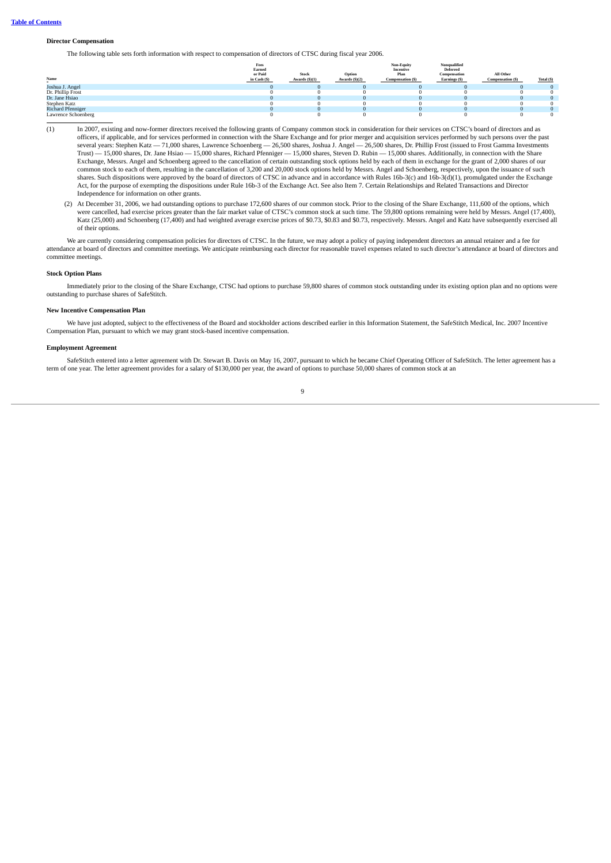#### **Director Compensation**

The following table sets forth information with respect to compensation of directors of CTSC during fiscal year 2006.

| Name                     | Fees<br>Earned<br>or Paid<br>in Cash (S) | <b>Stock</b><br>Awards $(S)(1)$ | Option<br>Awards $(5)(2)$ | Non-Equity<br>Incentive<br>Plan<br><b>Compensation (S)</b> | Nonqualified<br><b>Deferred</b><br>Compensation<br>Earnings (\$) | All Other<br>Compensation (\$) | Total (\$) |
|--------------------------|------------------------------------------|---------------------------------|---------------------------|------------------------------------------------------------|------------------------------------------------------------------|--------------------------------|------------|
| Joshua J. Angel          |                                          |                                 |                           |                                                            |                                                                  |                                |            |
| Dr. Phillip Frost        |                                          |                                 |                           |                                                            |                                                                  |                                |            |
| Dr. Jane Hsiao           |                                          |                                 |                           |                                                            |                                                                  |                                |            |
| Stephen Katz             |                                          |                                 |                           |                                                            |                                                                  |                                |            |
| <b>Richard Pfenniger</b> |                                          |                                 |                           |                                                            |                                                                  |                                |            |
| Lawrence Schoenberg      |                                          |                                 |                           |                                                            |                                                                  |                                |            |

- (1) In 2007, existing and now-former directors received the following grants of Company common stock in consideration for their services on CTSC's board of directors and as officers, if applicable, and for services performed in connection with the Share Exchange and for prior merger and acquisition services performed by such persons over the past<br>several years: Stephen Katz — 71,000 shares, L Trust) — 15,000 shares, Dr. Jane Hsiao — 15,000 shares, Richard Pfenniger — 15,000 shares, Steven D. Rubin — 15,000 shares. Additionally, in connection with the Share Exchange, Messrs. Angel and Schoenberg agreed to the cancellation of certain outstanding stock options held by each of them in exchange for the grant of 2,000 shares of our common stock to each of them, resulting in the cancellation of 3,200 and 20,000 stock options held by Messrs. Angel and Schoenberg, respectively, upon the issuance of such shares. Such dispositions were approved by the board of directors of CTSC in advance and in accordance with Rules 16b-3(c) and 16b-3(d)(1), promulgated under the Exchange Act, for the purpose of exempting the dispositions under Rule 16b-3 of the Exchange Act. See also Item 7. Certain Relationships and Related Transactions and Director Independence for information on other grants.
	- (2) At December 31, 2006, we had outstanding options to purchase 172,600 shares of our common stock. Prior to the closing of the Share Exchange, 111,600 of the options, which were cancelled, had exercise prices greater than the fair market value of CTSC's common stock at such time. The 59,800 options remaining were held by Messrs. Angel (17,400), Katz (25,000) and Schoenberg (17,400) and had weighted average exercise prices of \$0.73, \$0.83 and \$0.73, respectively. Messrs. Angel and Katz have subsequently exercised all of their options.

We are currently considering compensation policies for directors of CTSC. In the future, we may adopt a policy of paying independent directors an annual retainer and a fee for attendance at board of directors and committee meetings. We anticipate reimbursing each director for reasonable travel expenses related to such director's attendance at board of directors and committee meetings.

# **Stock Option Plans**

Immediately prior to the closing of the Share Exchange, CTSC had options to purchase 59,800 shares of common stock outstanding under its existing option plan and no options were outstanding to purchase shares of SafeStitch.

#### **New Incentive Compensation Plan**

We have just adopted, subject to the effectiveness of the Board and stockholder actions described earlier in this Information Statement, the SafeStitch Medical, Inc. 2007 Incentive Compensation Plan, pursuant to which we may grant stock-based incentive compensation.

#### **Employment Agreement**

SafeStitch entered into a letter agreement with Dr. Stewart B. Davis on May 16, 2007, pursuant to which he became Chief Operating Officer of SafeStitch. The letter agreement has a term of one year. The letter agreement provides for a salary of \$130,000 per year, the award of options to purchase 50,000 shares of common stock at an

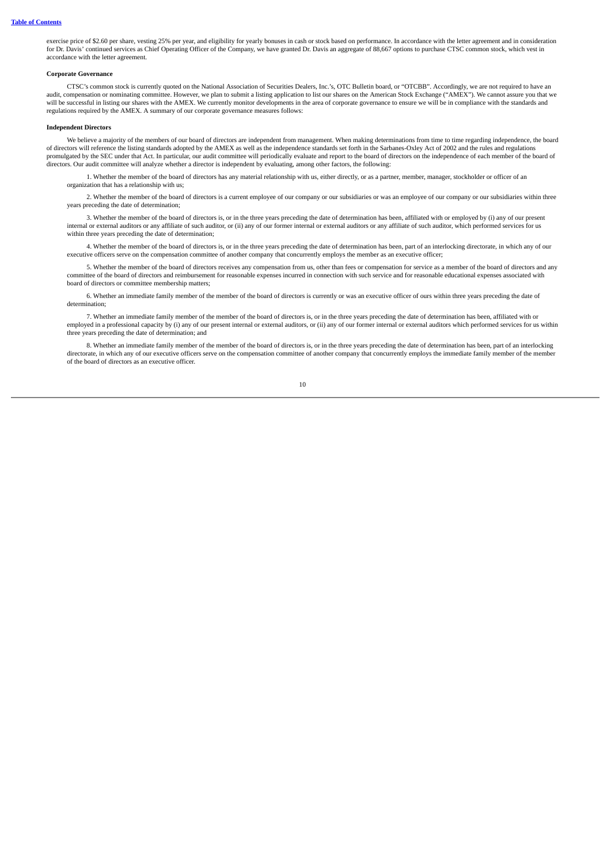exercise price of \$2.60 per share, vesting 25% per year, and eligibility for yearly bonuses in cash or stock based on performance. In accordance with the letter agreement and in consideration for Dr. Davis' continued services as Chief Operating Officer of the Company, we have granted Dr. Davis an aggregate of 88,667 options to purchase CTSC common stock, which vest in accordance with the letter agreement.

#### **Corporate Governance**

CTSC's common stock is currently quoted on the National Association of Securities Dealers, Inc.'s, OTC Bulletin board, or "OTCBB". Accordingly, we are not required to have an audit, compensation or nominating committee. However, we plan to submit a listing application to list our shares on the American Stock Exchange ("AMEX"). We cannot assure you that we will be successful in listing our shares with the AMEX. We currently monitor developments in the area of corporate governance to ensure we will be in compliance with the standards and regulations required by the AMEX. A summary of our corporate governance measures follows:

#### **Independent Directors**

We believe a majority of the members of our board of directors are independent from management. When making determinations from time to time regarding independence, the board of directors will reference the listing standards adopted by the AMEX as well as the independence standards set forth in the Sarbanes-Oxley Act of 2002 and the rules and regulations promulgated by the SEC under that Act. In particular, our audit committee will periodically evaluate and report to the board of directors on the independence of each member of the board of directors. Our audit committee will analyze whether a director is independent by evaluating, among other factors, the following:

1. Whether the member of the board of directors has any material relationship with us, either directly, or as a partner, member, manager, stockholder or officer of an organization that has a relationship with us;

2. Whether the member of the board of directors is a current employee of our company or our subsidiaries or was an employee of our company or our subsidiaries within three years preceding the date of determination;

3. Whether the member of the board of directors is, or in the three years preceding the date of determination has been, affiliated with or employed by (i) any of our present internal or external auditors or any affiliate of such auditor, or (ii) any of our former internal or external auditors or any affiliate of such auditor, which performed services for us within three years preceding the date of determination;

4. Whether the member of the board of directors is, or in the three years preceding the date of determination has been, part of an interlocking directorate, in which any of our executive officers serve on the compensation committee of another company that concurrently employs the member as an executive officer;

5. Whether the member of the board of directors receives any compensation from us, other than fees or compensation for service as a member of the board of directors and any committee of the board of directors and reimbursement for reasonable expenses incurred in connection with such service and for reasonable educational expenses associated with board of directors or committee membership matters;

6. Whether an immediate family member of the member of the board of directors is currently or was an executive officer of ours within three years preceding the date of determination;

7. Whether an immediate family member of the member of the board of directors is, or in the three years preceding the date of determination has been, affiliated with or employed in a professional capacity by (i) any of our present internal or external auditors, or (ii) any of our former internal or external auditors which performed services for us within three years preceding the date of determination; and

8. Whether an immediate family member of the member of the board of directors is, or in the three years preceding the date of determination has been, part of an interlocking directorate, in which any of our executive officers serve on the compensation committee of another company that concurrently employs the immediate family member of the member of the board of directors as an executive officer.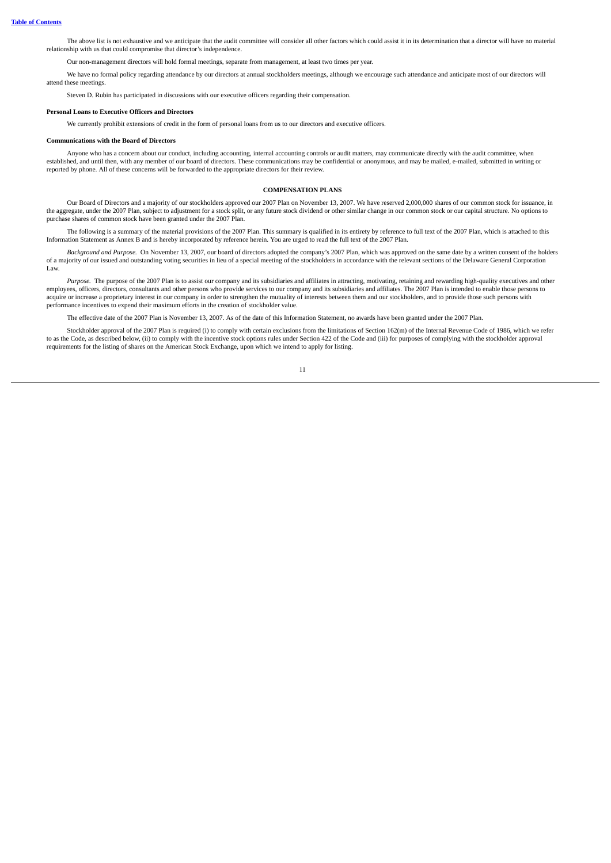The above list is not exhaustive and we anticipate that the audit committee will consider all other factors which could assist it in its determination that a director will have no material relationship with us that could compromise that director's independence.

Our non-management directors will hold formal meetings, separate from management, at least two times per year.

We have no formal policy regarding attendance by our directors at annual stockholders meetings, although we encourage such attendance and anticipate most of our directors will attend these meetings.

Steven D. Rubin has participated in discussions with our executive officers regarding their compensation.

#### **Personal Loans to Executive Officers and Directors**

We currently prohibit extensions of credit in the form of personal loans from us to our directors and executive officers.

#### **Communications with the Board of Directors**

<span id="page-14-0"></span>Anyone who has a concern about our conduct, including accounting, internal accounting controls or audit matters, may communicate directly with the audit committee, when established, and until then, with any member of our board of directors. These communications may be confidential or anonymous, and may be mailed, e-mailed, submitted in writing or reported by phone. All of these concerns will be forwarded to the appropriate directors for their review.

#### **COMPENSATION PLANS**

Our Board of Directors and a majority of our stockholders approved our 2007 Plan on November 13, 2007. We have reserved 2,000,000 shares of our common stock for issuance, in<br>the aggregate, under the 2007 Plan, subject to a purchase shares of common stock have been granted under the 2007 Plan.

The following is a summary of the material provisions of the 2007 Plan. This summary is qualified in its entirety by reference to full text of the 2007 Plan, which is attached to this Information Statement as Annex B and is hereby incorporated by reference herein. You are urged to read the full text of the 2007 Plan.

*Background and Purpose.* On November 13, 2007, our board of directors adopted the company's 2007 Plan, which was approved on the same date by a written consent of the holders of a majority of our issued and outstanding voting securities in lieu of a special meeting of the stockholders in accordance with the relevant sections of the Delaware General Corporation Law.

*Purpose.* The purpose of the 2007 Plan is to assist our company and its subsidiaries and affiliates in attracting, motivating, retaining and rewarding high-quality executives and other employees, officers, directors, consultants and other persons who provide services to our company and its subsidiaries and affiliates. The 2007 Plan is intended to enable those persons to acquire or increase a proprietary interest in our company in order to strengthen the mutuality of interests between them and our stockholders, and to provide those such persons with performance incentives to expend their maximum efforts in the creation of stockholder value.

The effective date of the 2007 Plan is November 13, 2007. As of the date of this Information Statement, no awards have been granted under the 2007 Plan.

Stockholder approval of the 2007 Plan is required (i) to comply with certain exclusions from the limitations of Section 162(m) of the Internal Revenue Code of 1986, which we refer to as the Code, as described below, (ii) to comply with the incentive stock options rules under Section 422 of the Code and (iii) for purposes of complying with the stockholder approval requirements for the listing of shares on the American Stock Exchange, upon which we intend to apply for listing.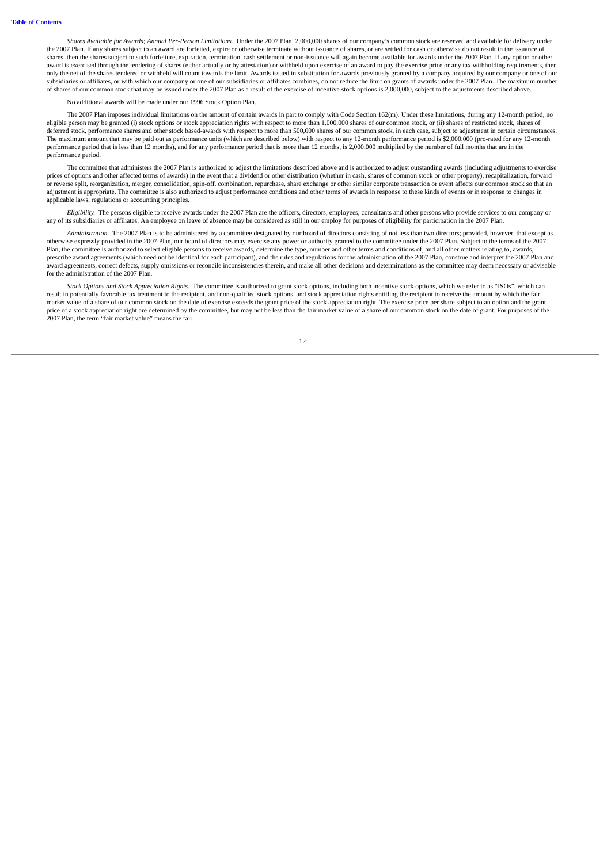*Shares Available for Awards; Annual Per-Person Limitations.* Under the 2007 Plan, 2,000,000 shares of our company's common stock are reserved and available for delivery under the 2007 Plan. If any shares subject to an award are forfeited, expire or otherwise terminate without issuance of shares, or are settled for cash or otherwise do not result in the issuance of shares, then the shares subject to such forfeiture, expiration, termination, cash settlement or non-issuance will again become available for awards under the 2007 Plan. If any option or other award is exercised through the tendering of shares (either actually or by attestation) or withheld upon exercise of an award to pay the exercise price or any tax withholding requirements, then only the net of the shares tendered or withheld will count towards the limit. Awards issued in substitution for awards previously granted by a company acquired by our company or one of our subsidiaries or affiliates, or with which our company or one of our subsidiaries or affiliates combines, do not reduce the limit on grants of awards under the 2007 Plan. The maximum number of shares of our common stock that may be issued under the 2007 Plan as a result of the exercise of incentive stock options is 2,000,000, subject to the adjustments described above.

#### No additional awards will be made under our 1996 Stock Option Plan.

The 2007 Plan imposes individual limitations on the amount of certain awards in part to comply with Code Section 162(m). Under these limitations, during any 12-month period, no eligible person may be granted (i) stock options or stock appreciation rights with respect to more than 1,000,000 shares of our common stock, or (ii) shares of restricted stock, shares of deferred stock, performance shares and other stock based-awards with respect to more than 500,000 shares of our common stock, in each case, subject to adjustment in certain circumstances. The maximum amount that may be paid out as performance units (which are described below) with respect to any 12-month performance period is \$2,000,000 (pro-rated for any 12-month performance period that is less than 12 months), and for any performance period that is more than 12 months, is 2,000,000 multiplied by the number of full months that are in the performance period.

The committee that administers the 2007 Plan is authorized to adjust the limitations described above and is authorized to adjust outstanding awards (including adjustments to exercise prices of options and other affected terms of awards) in the event that a dividend or other distribution (whether in cash, shares of common stock or other property), recapitalization, forward or reverse split, reorganization, merger, consolidation, spin-off, combination, repurchase, share exchange or other similar corporate transaction or event affects our common stock so that an adjustment is appropriate. The committee is also authorized to adjust performance conditions and other terms of awards in response to these kinds of events or in response to changes in applicable laws, regulations or accounting principles.

*Eligibility.* The persons eligible to receive awards under the 2007 Plan are the officers, directors, employees, consultants and other persons who provide services to our company or any of its subsidiaries or affiliates. An employee on leave of absence may be considered as still in our employ for purposes of eligibility for participation in the 2007 Plan.

*Administration.* The 2007 Plan is to be administered by a committee designated by our board of directors consisting of not less than two directors; provided, however, that except as otherwise expressly provided in the 2007 Plan, our board of directors may exercise any power or authority granted to the committee under the 2007 Plan. Subject to the terms of the 2007 Plan, the committee is authorized to select eligible persons to receive awards, determine the type, number and other terms and conditions of, and all other matters relating to, awards, prescribe award agreements (which need not be identical for each participant), and the rules and regulations for the administration of the 2007 Plan, construe and interpret the 2007 Plan and award agreements, correct defects, supply omissions or reconcile inconsistencies therein, and make all other decisions and determinations as the committee may deem necessary or advisable for the administration of the 2007 Plan.

*Stock Options and Stock Appreciation Rights.* The committee is authorized to grant stock options, including both incentive stock options, which we refer to as "ISOs", which can result in potentially favorable tax treatment to the recipient, and non-qualified stock options, and stock appreciation rights entitling the recipient to receive the amount by which the fair market value of a share of our common stock on the date of exercise exceeds the grant price of the stock appreciation right. The exercise price per share subject to an option and the grant price of a stock appreciation right are determined by the committee, but may not be less than the fair market value of a share of our common stock on the date of grant. For purposes of the 2007 Plan, the term "fair market value" means the fair

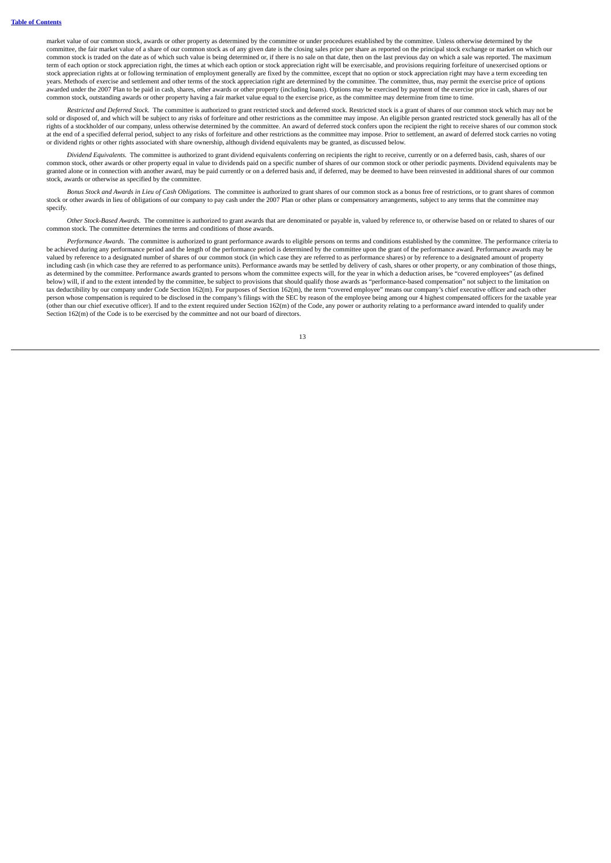market value of our common stock, awards or other property as determined by the committee or under procedures established by the committee. Unless otherwise determined by the committee, the fair market value of a share of our common stock as of any given date is the closing sales price per share as reported on the principal stock exchange or market on which our common stock is traded on the date as of which such value is being determined or, if there is no sale on that date, then on the last previous day on which a sale was reported. The maximum term of each option or stock appreciation right, the times at which each option or stock appreciation right will be exercisable, and provisions requiring forfeiture of unexercised options or stock appreciation rights at or following termination of employment generally are fixed by the committee, except that no option or stock appreciation right may have a term exceeding ten years. Methods of exercise and settlement and other terms of the stock appreciation right are determined by the committee. The committee, thus, may permit the exercise price of options awarded under the 2007 Plan to be paid in cash, shares, other awards or other property (including loans). Options may be exercised by payment of the exercise price in cash, shares of our common stock, outstanding awards or other property having a fair market value equal to the exercise price, as the committee may determine from time to time.

*Restricted and Deferred Stock.* The committee is authorized to grant restricted stock and deferred stock. Restricted stock is a grant of shares of our common stock which may not be sold or disposed of, and which will be subject to any risks of forfeiture and other restrictions as the committee may impose. An eligible person granted restricted stock generally has all of the rights of a stockholder of our company, unless otherwise determined by the committee. An award of deferred stock confers upon the recipient the right to receive shares of our common stock at the end of a specified deferral period, subject to any risks of forfeiture and other restrictions as the committee may impose. Prior to settlement, an award of deferred stock carries no voting or dividend rights or other rights associated with share ownership, although dividend equivalents may be granted, as discussed below.

*Dividend Equivalents.* The committee is authorized to grant dividend equivalents conferring on recipients the right to receive, currently or on a deferred basis, cash, shares of our common stock, other awards or other property equal in value to dividends paid on a specific number of shares of our common stock or other periodic payments. Dividend equivalents may be granted alone or in connection with another award, may be paid currently or on a deferred basis and, if deferred, may be deemed to have been reinvested in additional shares of our common stock, awards or otherwise as specified by the committee.

Bonus Stock and Awards in Lieu of Cash Obligations. The committee is authorized to grant shares of our common stock as a bonus free of restrictions, or to grant shares of common stock or other awards in lieu of obligations of our company to pay cash under the 2007 Plan or other plans or compensatory arrangements, subject to any terms that the committee may specify.

*Other Stock-Based Awards.* The committee is authorized to grant awards that are denominated or payable in, valued by reference to, or otherwise based on or related to shares of our common stock. The committee determines the terms and conditions of those awards.

*Performance Awards.* The committee is authorized to grant performance awards to eligible persons on terms and conditions established by the committee. The performance criteria to be achieved during any performance period and the length of the performance period is determined by the committee upon the grant of the performance award. Performance awards may be valued by reference to a designated number of shares of our common stock (in which case they are referred to as performance shares) or by reference to a designated amount of property including cash (in which case they are referred to as performance units). Performance awards may be settled by delivery of cash, shares or other property, or any combination of those things, as determined by the committee. Performance awards granted to persons whom the committee expects will, for the year in which a deduction arises, be "covered employees" (as defined below) will, if and to the extent intended by the committee, be subject to provisions that should qualify those awards as "performance-based compensation" not subject to the limitation on tax deductibility by our company under Code Section 162(m). For purposes of Section 162(m), the term "covered employee" means our company's chief executive officer and each other person whose compensation is required to be disclosed in the company's filings with the SEC by reason of the employee being among our 4 highest compensated officers for the taxable year (other than our chief executive officer). If and to the extent required under Section 162(m) of the Code, any power or authority relating to a performance award intended to qualify under Section 162(m) of the Code is to be exercised by the committee and not our board of directors.

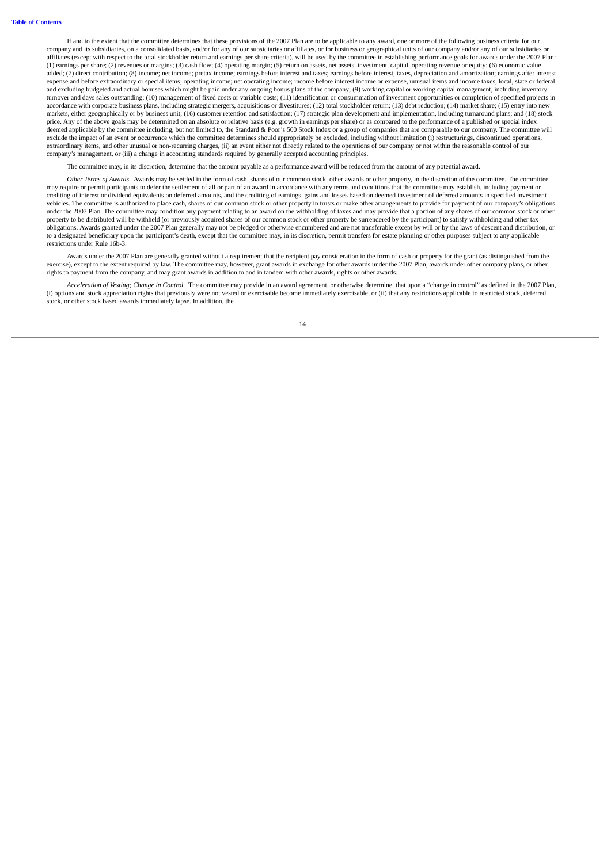If and to the extent that the committee determines that these provisions of the 2007 Plan are to be applicable to any award, one or more of the following business criteria for our company and its subsidiaries, on a consolidated basis, and/or for any of our subsidiaries or affiliates, or for business or geographical units of our company and/or any of our subsidiaries or affiliates (except with respect to the total stockholder return and earnings per share criteria), will be used by the committee in establishing performance goals for awards under the 2007 Plan: (1) earnings per share; (2) revenues or margins; (3) cash flow; (4) operating margin; (5) return on assets, net assets, investment, capital, operating revenue or equity; (6) economic value added; (7) direct contribution; (8) income; net income; pretax income; earnings before interest and taxes; earnings before interest, taxes, depreciation and amortization; earnings after interest expense and before extraordinary or special items; operating income; net operating income; income before interest income or expense, unusual items and income taxes, local, state or federal and excluding budgeted and actual bonuses which might be paid under any ongoing bonus plans of the company; (9) working capital or working capital management, including inventory turnover and days sales outstanding; (10) management of fixed costs or variable costs; (11) identification or consummation of investment opportunities or completion of specified projects in accordance with corporate business plans, including strategic mergers, acquisitions or divestitures; (12) total stockholder return; (13) debt reduction; (14) market share; (15) entry into new markets, either geographically or by business unit; (16) customer retention and satisfaction; (17) strategic plan development and implementation, including turnaround plans; and (18) stock price. Any of the above goals may be determined on an absolute or relative basis (e.g. growth in earnings per share) or as compared to the performance of a published or special index deemed applicable by the committee including, but not limited to, the Standard & Poor's 500 Stock Index or a group of companies that are comparable to our company. The committee will exclude the impact of an event or occurrence which the committee determines should appropriately be excluded, including without limitation (i) restructurings, discontinued operations, extraordinary items, and other unusual or non-recurring charges, (ii) an event either not directly related to the operations of our company or not within the reasonable control of our company's management, or (iii) a change in accounting standards required by generally accepted accounting principles.

The committee may, in its discretion, determine that the amount payable as a performance award will be reduced from the amount of any potential award.

*Other Terms of Awards.* Awards may be settled in the form of cash, shares of our common stock, other awards or other property, in the discretion of the committee. The committee may require or permit participants to defer the settlement of all or part of an award in accordance with any terms and conditions that the committee may establish, including payment or crediting of interest or dividend equivalents on deferred amounts, and the crediting of earnings, gains and losses based on deemed investment of deferred amounts in specified investment vehicles. The committee is authorized to place cash, shares of our common stock or other property in trusts or make other arrangements to provide for payment of our company's obligations under the 2007 Plan. The committee may condition any payment relating to an award on the withholding of taxes and may provide that a portion of any shares of our common stock or other property to be distributed will be withheld (or previously acquired shares of our common stock or other property be surrendered by the participant) to satisfy withholding and other tax<br>obligations. Awards granted under the to a designated beneficiary upon the participant's death, except that the committee may, in its discretion, permit transfers for estate planning or other purposes subject to any applicable restrictions under Rule 16b-3.

Awards under the 2007 Plan are generally granted without a requirement that the recipient pay consideration in the form of cash or property for the grant (as distinguished from the exercise), except to the extent required by law. The committee may, however, grant awards in exchange for other awards under the 2007 Plan, awards under other company plans, or other rights to payment from the company, and may grant awards in addition to and in tandem with other awards, rights or other awards.

*Acceleration of Vesting; Change in Control.* The committee may provide in an award agreement, or otherwise determine, that upon a "change in control" as defined in the 2007 Plan, (i) options and stock appreciation rights that previously were not vested or exercisable become immediately exercisable, or (ii) that any restrictions applicable to restricted stock, deferred stock, or other stock based awards immediately lapse. In addition, the

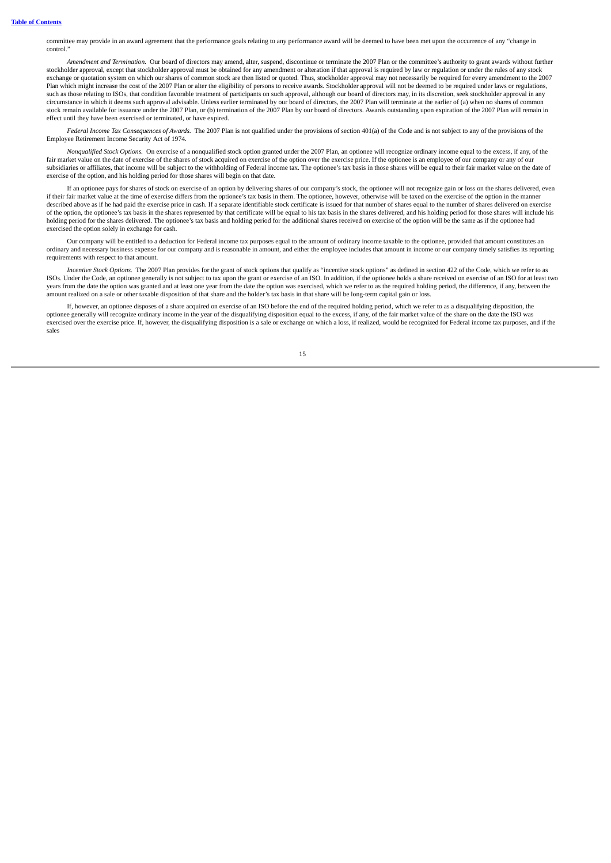committee may provide in an award agreement that the performance goals relating to any performance award will be deemed to have been met upon the occurrence of any "change in control."

*Amendment and Termination.* Our board of directors may amend, alter, suspend, discontinue or terminate the 2007 Plan or the committee's authority to grant awards without further stockholder approval, except that stockholder approval must be obtained for any amendment or alteration if that approval is required by law or regulation or under the rules of any stock exchange or quotation system on which our shares of common stock are then listed or quoted. Thus, stockholder approval may not necessarily be required for every amendment to the 2007 Plan which might increase the cost of the 2007 Plan or alter the eligibility of persons to receive awards. Stockholder approval will not be deemed to be required under laws or regulations, such as those relating to ISOs, that condition favorable treatment of participants on such approval, although our board of directors may, in its discretion, seek stockholder approval in any circumstance in which it deems such approval advisable. Unless earlier terminated by our board of directors, the 2007 Plan will terminate at the earlier of (a) when no shares of common stock remain available for issuance under the 2007 Plan, or (b) termination of the 2007 Plan by our board of directors. Awards outstanding upon expiration of the 2007 Plan will remain in effect until they have been exercised or terminated, or have expired.

*Federal Income Tax Consequences of Awards.* The 2007 Plan is not qualified under the provisions of section 401(a) of the Code and is not subject to any of the provisions of the Employee Retirement Income Security Act of 1974.

*Nonqualified Stock Options.* On exercise of a nonqualified stock option granted under the 2007 Plan, an optionee will recognize ordinary income equal to the excess, if any, of the fair market value on the date of exercise of the shares of stock acquired on exercise of the option over the exercise price. If the optionee is an employee of our company or any of our<br>subsidiaries or affiliates, that inco exercise of the option, and his holding period for those shares will begin on that date.

If an optionee pays for shares of stock on exercise of an option by delivering shares of our company's stock, the optionee will not recognize gain or loss on the shares delivered, even if their fair market value at the time of exercise differs from the optionee's tax basis in them. The optionee, however, otherwise will be taxed on the exercise of the option in the manner described above as if he had paid the exercise price in cash. If a separate identifiable stock certificate is issued for that number of shares equal to the number of shares delivered on exercise of the option, the optionee's tax basis in the shares represented by that certificate will be equal to his tax basis in the shares delivered, and his holding period for those shares will include his holding period for the shares delivered. The optionee's tax basis and holding period for the additional shares received on exercise of the option will be the same as if the optionee had exercised the option solely in exchange for cash.

Our company will be entitled to a deduction for Federal income tax purposes equal to the amount of ordinary income taxable to the optionee, provided that amount constitutes an ordinary and necessary business expense for our company and is reasonable in amount, and either the employee includes that amount in income or our company timely satisfies its reporting requirements with respect to that amount.

*Incentive Stock Options.* The 2007 Plan provides for the grant of stock options that qualify as "incentive stock options" as defined in section 422 of the Code, which we refer to as ISOs. Under the Code, an optionee generally is not subject to tax upon the grant or exercise of an ISO. In addition, if the optionee holds a share received on exercise of an ISO for at least two years from the date the option was granted and at least one year from the date the option was exercised, which we refer to as the required holding period, the difference, if any, between the amount realized on a sale or other taxable disposition of that share and the holder's tax basis in that share will be long-term capital gain or loss.

If, however, an optionee disposes of a share acquired on exercise of an ISO before the end of the required holding period, which we refer to as a disqualifying disposition, the optionee generally will recognize ordinary in exercised over the exercise price. If, however, the disqualifying disposition is a sale or exchange on which a loss, if realized, would be recognized for Federal income tax purposes, and if the sales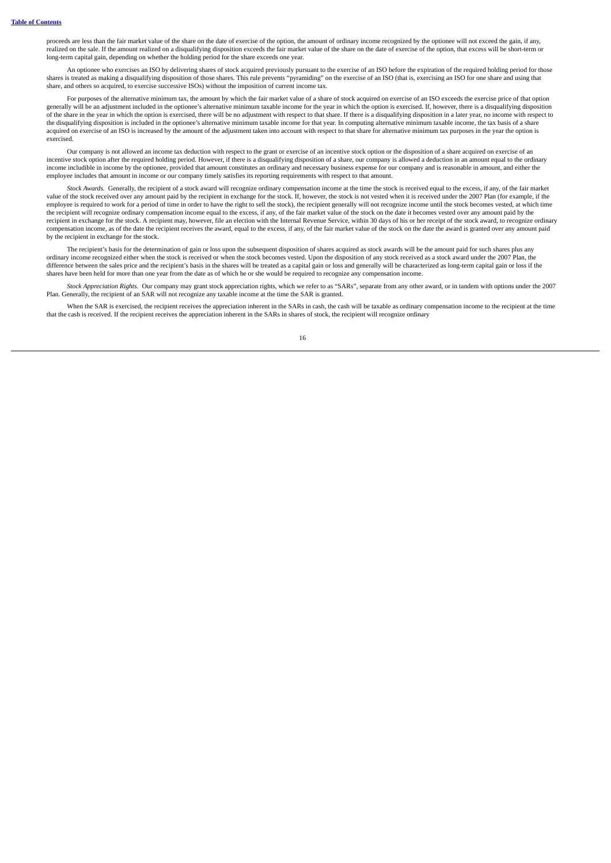proceeds are less than the fair market value of the share on the date of exercise of the option, the amount of ordinary income recognized by the optionee will not exceed the gain, if any, realized on the sale. If the amount realized on a disqualifying disposition exceeds the fair market value of the share on the date of exercise of the option, that excess will be short-term or long-term capital gain, depending on whether the holding period for the share exceeds one year.

An optionee who exercises an ISO by delivering shares of stock acquired previously pursuant to the exercise of an ISO before the expiration of the required holding period for those shares is treated as making a disqualifying disposition of those shares. This rule prevents "pyramiding" on the exercise of an ISO (that is, exercising an ISO for one share and using that share, and others so acquired, to exercise successive ISOs) without the imposition of current income tax.

For purposes of the alternative minimum tax, the amount by which the fair market value of a share of stock acquired on exercise of an ISO exceeds the exercise price of that option generally will be an adjustment included in the optionee's alternative minimum taxable income for the year in which the option is exercised. If, however, there is a disqualifying disposition of the share in the year in which the option is exercised, there will be no adjustment with respect to that share. If there is a disqualifying disposition in a later year, no income with respect to the disqualifying disposition is included in the optionee's alternative minimum taxable income for that year. In computing alternative minimum taxable income, the tax basis of a share acquired on exercise of an ISO is increased by the amount of the adjustment taken into account with respect to that share for alternative minimum tax purposes in the year the option is exercised.

Our company is not allowed an income tax deduction with respect to the grant or exercise of an incentive stock option or the disposition of a share acquired on exercise of an incentive stock option after the required holding period. However, if there is a disqualifying disposition of a share, our company is allowed a deduction in an amount equal to the ordinary income includible in income by the optionee, provided that amount constitutes an ordinary and necessary business expense for our company and is reasonable in amount, and either the employee includes that amount in income or our company timely satisfies its reporting requirements with respect to that amount.

*Stock Awards.* Generally, the recipient of a stock award will recognize ordinary compensation income at the time the stock is received equal to the excess, if any, of the fair market value of the stock received over any amount paid by the recipient in exchange for the stock. If, however, the stock is not vested when it is received under the 2007 Plan (for example, if the stock is not vested when it is employee is required to work for a period of time in order to have the right to sell the stock), the recipient generally will not recognize income until the stock becomes vested, at which time the recipient will recognize ordinary compensation income equal to the excess, if any, of the fair market value of the stock on the date it becomes vested over any amount paid by the recipient in exchange for the stock. A recipient may, however, file an election with the Internal Revenue Service, within 30 days of his or her receipt of the stock award, to recognize ordinary compensation income, as of the date the recipient receives the award, equal to the excess, if any, of the fair market value of the stock on the date the award is granted over any amount paid by the recipient in exchange for the stock.

The recipient's basis for the determination of gain or loss upon the subsequent disposition of shares acquired as stock awards will be the amount paid for such shares plus any ordinary income recognized either when the stock is received or when the stock becomes vested. Upon the disposition of any stock received as a stock award under the 2007 Plan, the difference between the sales price and the recipient's basis in the shares will be treated as a capital gain or loss and generally will be characterized as long-term capital gain or loss if the shares have been held for more than one year from the date as of which he or she would be required to recognize any compensation income.

*Stock Appreciation Rights.* Our company may grant stock appreciation rights, which we refer to as "SARs", separate from any other award, or in tandem with options under the 2007 Plan. Generally, the recipient of an SAR will not recognize any taxable income at the time the SAR is granted.

When the SAR is exercised, the recipient receives the appreciation inherent in the SARs in cash, the cash will be taxable as ordinary compensation income to the recipient at the time that the cash is received. If the recipient receives the appreciation inherent in the SARs in shares of stock, the recipient will recognize ordinary

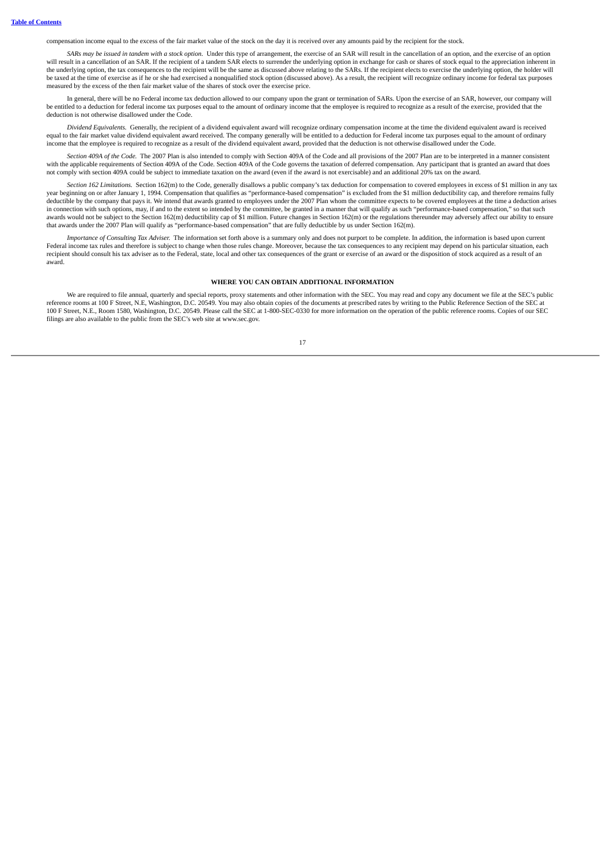compensation income equal to the excess of the fair market value of the stock on the day it is received over any amounts paid by the recipient for the stock.

SARs may be issued in tandem with a stock option. Under this type of arrangement, the exercise of an SAR will result in the cancellation of an option, and the exercise of an option will result in a cancellation of an SAR. If the recipient of a tandem SAR elects to surrender the underlying option in exchange for cash or shares of stock equal to the appreciation inherent in the underlying option, the tax consequences to the recipient will be the same as discussed above relating to the SARs. If the recipient elects to exercise the underlying option, the holder will be taxed at the time of exercise as if he or she had exercised a nonqualified stock option (discussed above). As a result, the recipient will recognize ordinary income for federal tax purposes measured by the excess of the then fair market value of the shares of stock over the exercise price.

In general, there will be no Federal income tax deduction allowed to our company upon the grant or termination of SARs. Upon the exercise of an SAR, however, our company will be entitled to a deduction for federal income tax purposes equal to the amount of ordinary income that the employee is required to recognize as a result of the exercise, provided that the deduction is not otherwise disallowed under the Code.

*Dividend Equivalents.* Generally, the recipient of a dividend equivalent award will recognize ordinary compensation income at the time the dividend equivalent award is received equal to the fair market value dividend equivalent award received. The company generally will be entitled to a deduction for Federal income tax purposes equal to the amount of ordinary income that the employee is required to recognize as a result of the dividend equivalent award, provided that the deduction is not otherwise disallowed under the Code.

*Section 409A of the Code.* The 2007 Plan is also intended to comply with Section 409A of the Code and all provisions of the 2007 Plan are to be interpreted in a manner consistent with the applicable requirements of Section 409A of the Code. Section 409A of the Code governs the taxation of deferred compensation. Any participant that is granted an award that does not comply with section 409A could be subject to immediate taxation on the award (even if the award is not exercisable) and an additional 20% tax on the award.

*Section 162 Limitations.* Section 162(m) to the Code, generally disallows a public company's tax deduction for compensation to covered employees in excess of \$1 million in any tax year beginning on or after January 1, 1994. Compensation that qualifies as "performance-based compensation" is excluded from the \$1 million deductibility cap, and therefore remains fully deductible by the company that pays it. We intend that awards granted to employees under the 2007 Plan whom the committee expects to be covered employees at the time a deduction arises in connection with such options, may, if and to the extent so intended by the committee, be granted in a manner that will qualify as such "performance-based compensation," so that such awards would not be subject to the Section 162(m) deductibility cap of \$1 million. Future changes in Section 162(m) or the regulations thereunder may adversely affect our ability to ensure that awards under the 2007 Plan will qualify as "performance-based compensation" that are fully deductible by us under Section 162(m).

*Importance of Consulting Tax Adviser.* The information set forth above is a summary only and does not purport to be complete. In addition, the information is based upon current Federal income tax rules and therefore is subject to change when those rules change. Moreover, because the tax consequences to any recipient may depend on his particular situation, each recipient should consult his tax adviser as to the Federal, state, local and other tax consequences of the grant or exercise of an award or the disposition of stock acquired as a result of an award.

## **WHERE YOU CAN OBTAIN ADDITIONAL INFORMATION**

<span id="page-20-0"></span>We are required to file annual, quarterly and special reports, proxy statements and other information with the SEC. You may read and copy any document we file at the SEC's public<br>reference rooms at 100 F Street, N.E, Washi 100 F Street, N.E., Room 1580, Washington, D.C. 20549. Please call the SEC at 1-800-SEC-0330 for more information on the operation of the public reference rooms. Copies of our SEC filings are also available to the public from the SEC's web site at www.sec.gov.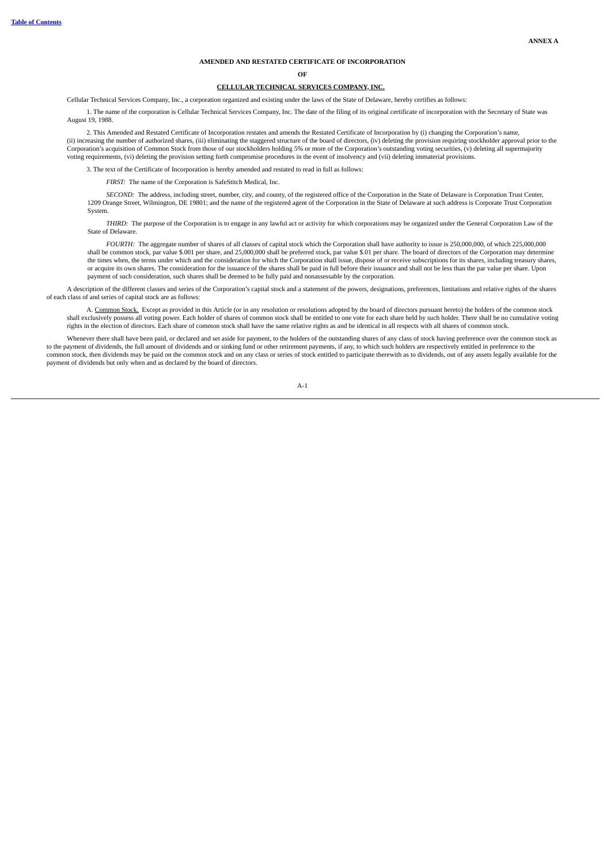# **AMENDED AND RESTATED CERTIFICATE OF INCORPORATION**

**OF**

# **CELLULAR TECHNICAL SERVICES COMPANY, INC.**

Cellular Technical Services Company, Inc., a corporation organized and existing under the laws of the State of Delaware, hereby certifies as follows:

1. The name of the corporation is Cellular Technical Services Company, Inc. The date of the filing of its original certificate of incorporation with the Secretary of State was August 19, 1988.

2. This Amended and Restated Certificate of Incorporation restates and amends the Restated Certificate of Incorporation by (i) changing the Corporation's name, (ii) increasing the number of authorized shares, (iii) eliminating the staggered structure of the board of directors, (iv) deleting the provision requiring stockholder approval prior to the Corporation's acquisition of Common Stock from those of our stockholders holding 5% or more of the Corporation's outstanding voting securities, (v) deleting all supermajority voting requirements, (vi) deleting the provision setting forth compromise procedures in the event of insolvency and (vii) deleting immaterial provisions.

3. The text of the Certificate of Incorporation is hereby amended and restated to read in full as follows:

*FIRST:* The name of the Corporation is SafeStitch Medical, Inc.

*SECOND:* The address, including street, number, city, and county, of the registered office of the Corporation in the State of Delaware is Corporation Trust Center, 1209 Orange Street, Wilmington, DE 19801; and the name of the registered agent of the Corporation in the State of Delaware at such address is Corporate Trust Corporation System.

*THIRD:* The purpose of the Corporation is to engage in any lawful act or activity for which corporations may be organized under the General Corporation Law of the State of Delaware.

*FOURTH:* The aggregate number of shares of all classes of capital stock which the Corporation shall have authority to issue is 250,000,000, of which 225,000,000 shall be common stock, par value \$.001 per share, and 25,000,000 shall be preferred stock, par value \$.01 per share. The board of directors of the Corporation may determine the times when, the terms under which and the consideration for which the Corporation shall issue, dispose of or receive subscriptions for its shares, including treasury shares, or acquire its own shares. The consideration for the issuance of the shares shall be paid in full before their issuance and shall not be less than the par value per share. Upon payment of such consideration, such shares shall be deemed to be fully paid and nonassessable by the corporation.

A description of the different classes and series of the Corporation's capital stock and a statement of the powers, designations, preferences, limitations and relative rights of the shares of each class of and series of capital stock are as follows:

A. Common Stock. Except as provided in this Article (or in any resolution or resolutions adopted by the board of directors pursuant hereto) the holders of the common stock shall exclusively possess all voting power. Each holder of shares of common stock shall be entitled to one vote for each share held by such holder. There shall be no cumulative voting rights in the election of directors. Each share of common stock shall have the same relative rights as and be identical in all respects with all shares of common stock.

Whenever there shall have been paid, or declared and set aside for payment, to the holders of the outstanding shares of any class of stock having preference over the common stock as to the payment of dividends, the full amount of dividends and or sinking fund or other retirement payments, if any, to which such holders are respectively entitled in preference to the<br>common stock, then dividends may be p payment of dividends but only when and as declared by the board of directors.

A-1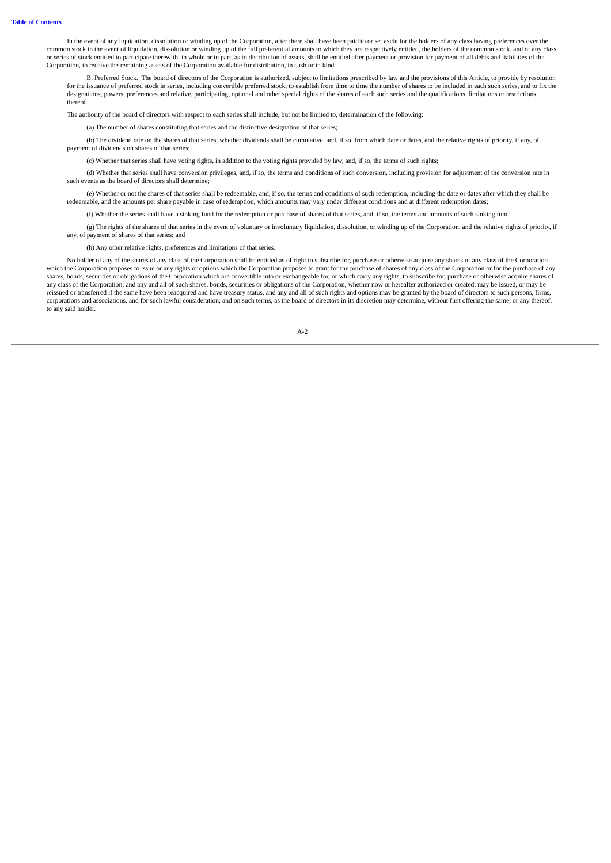In the event of any liquidation, dissolution or winding up of the Corporation, after there shall have been paid to or set aside for the holders of any class having preferences over the common stock in the event of liquidation, dissolution or winding up of the full preferential amounts to which they are respectively entitled, the holders of the common stock, and of any class or series of stock entitled to participate therewith, in whole or in part, as to distribution of assets, shall be entitled after payment or provision for payment of all debts and liabilities of the Corporation, to receive the remaining assets of the Corporation available for distribution, in cash or in kind.

B. Preferred Stock. The board of directors of the Corporation is authorized, subject to limitations prescribed by law and the provisions of this Article, to provide by resolution for the issuance of preferred stock in series, including convertible preferred stock, to establish from time to time the number of shares to be included in each such series, and to fix the designations, powers, preferences and relative, participating, optional and other special rights of the shares of each such series and the qualifications, limitations or restrictions thereof.

The authority of the board of directors with respect to each series shall include, but not be limited to, determination of the following:

(a) The number of shares constituting that series and the distinctive designation of that series;

(b) The dividend rate on the shares of that series, whether dividends shall be cumulative, and, if so, from which date or dates, and the relative rights of priority, if any, of payment of dividends on shares of that series;

(c) Whether that series shall have voting rights, in addition to the voting rights provided by law, and, if so, the terms of such rights;

(d) Whether that series shall have conversion privileges, and, if so, the terms and conditions of such conversion, including provision for adjustment of the conversion rate in such events as the board of directors shall determine;

(e) Whether or not the shares of that series shall be redeemable, and, if so, the terms and conditions of such redemption, including the date or dates after which they shall be redeemable, and the amounts per share payable in case of redemption, which amounts may vary under different conditions and at different redemption dates;

(f) Whether the series shall have a sinking fund for the redemption or purchase of shares of that series, and, if so, the terms and amounts of such sinking fund;

(g) The rights of the shares of that series in the event of voluntary or involuntary liquidation, dissolution, or winding up of the Corporation, and the relative rights of priority, if any, of payment of shares of that series; and

(h) Any other relative rights, preferences and limitations of that series.

No holder of any of the shares of any class of the Corporation shall be entitled as of right to subscribe for, purchase or otherwise acquire any shares of any class of the Corporation which the Corporation proposes to issue or any rights or options which the Corporation proposes to grant for the purchase of shares of any class of the Corporation or for the purchase of any shares, bonds, securities or obligations of the Corporation which are convertible into or exchangeable for, or which carry any rights, to subscribe for, purchase or otherwise acquire shares of any class of the Corporation; and any and all of such shares, bonds, securities or obligations of the Corporation, whether now or hereafter authorized or created, may be issued, or may be reissued or transferred if the same have been reacquired and have treasury status, and any and all of such rights and options may be granted by the board of directors to such persons, firms, corporations and associations, and for such lawful consideration, and on such terms, as the board of directors in its discretion may determine, without first offering the same, or any thereof, to any said holder.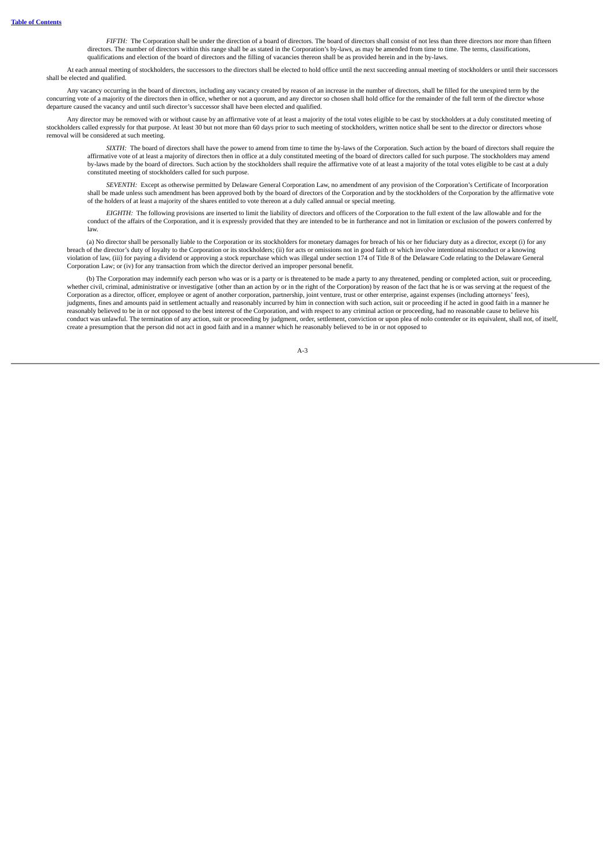*FIFTH:* The Corporation shall be under the direction of a board of directors. The board of directors shall consist of not less than three directors nor more than fifteen directors. The number of directors within this range shall be as stated in the Corporation's by-laws, as may be amended from time to time. The terms, classifications, qualifications and election of the board of directors and the filling of vacancies thereon shall be as provided herein and in the by-laws.

At each annual meeting of stockholders, the successors to the directors shall be elected to hold office until the next succeeding annual meeting of stockholders or until their successors shall be elected and qualified.

Any vacancy occurring in the board of directors, including any vacancy created by reason of an increase in the number of directors, shall be filled for the unexpired term by the concurring vote of a majority of the directors then in office, whether or not a quorum, and any director so chosen shall hold office for the remainder of the full term of the director whose departure caused the vacancy and until such director's successor shall have been elected and qualified.

Any director may be removed with or without cause by an affirmative vote of at least a majority of the total votes eligible to be cast by stockholders at a duly constituted meeting of stockholders called expressly for that purpose. At least 30 but not more than 60 days prior to such meeting of stockholders, written notice shall be sent to the director or directors whose removal will be considered at such meeting.

*SIXTH:* The board of directors shall have the power to amend from time to time the by-laws of the Corporation. Such action by the board of directors shall require the affirmative vote of at least a majority of directors then in office at a duly constituted meeting of the board of directors called for such purpose. The stockholders may amend by-laws made by the board of directors. Such action by the stockholders shall require the affirmative vote of at least a majority of the total votes eligible to be cast at a duly constituted meeting of stockholders called for such purpose.

*SEVENTH:* Except as otherwise permitted by Delaware General Corporation Law, no amendment of any provision of the Corporation's Certificate of Incorporation shall be made unless such amendment has been approved both by the board of directors of the Corporation and by the stockholders of the Corporation by the affirmative vote of the holders of at least a majority of the shares entitled to vote thereon at a duly called annual or special meeting.

*EIGHTH:* The following provisions are inserted to limit the liability of directors and officers of the Corporation to the full extent of the law allowable and for the conduct of the affairs of the Corporation, and it is expressly provided that they are intended to be in furtherance and not in limitation or exclusion of the powers conferred by law.

(a) No director shall be personally liable to the Corporation or its stockholders for monetary damages for breach of his or her fiduciary duty as a director, except (i) for any breach of the director's duty of loyalty to the Corporation or its stockholders; (ii) for acts or omissions not in good faith or which involve intentional misconduct or a knowing violation of law, (iii) for paying a dividend or approving a stock repurchase which was illegal under section 174 of Title 8 of the Delaware Code relating to the Delaware General Corporation Law; or (iv) for any transaction from which the director derived an improper personal benefit.

(b) The Corporation may indemnify each person who was or is a party or is threatened to be made a party to any threatened, pending or completed action, suit or proceeding, whether civil, criminal, administrative or investigative {other than an action by or in the right of the Corporation) by reason of the fact that he is or was serving at the request of the Corporation as a director, officer, employee or agent of another corporation, partnership, joint venture, trust or other enterprise, against expenses (including attorneys' fees), judgments, fines and amounts paid in settlement actually and reasonably incurred by him in connection with such action, suit or proceeding if he acted in good faith in a manner he reasonably believed to be in or not opposed to the best interest of the Corporation, and with respect to any criminal action or proceeding, had no reasonable cause to believe his conduct was unlawful. The termination of any action, suit or proceeding by judgment, order, settlement, conviction or upon plea of nolo contender or its equivalent, shall not, of itself, create a presumption that the person did not act in good faith and in a manner which he reasonably believed to be in or not opposed to

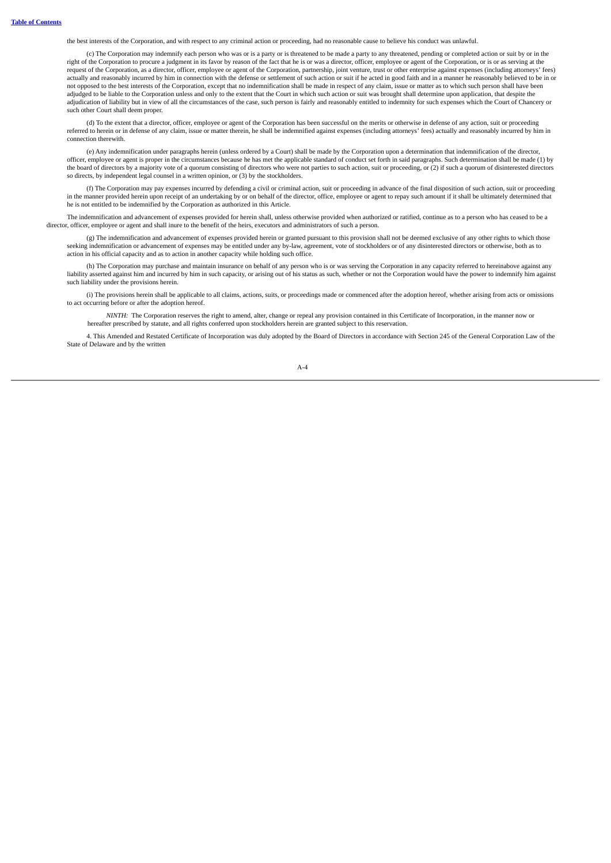the best interests of the Corporation, and with respect to any criminal action or proceeding, had no reasonable cause to believe his conduct was unlawful.

(c) The Corporation may indemnify each person who was or is a party or is threatened to be made a party to any threatened, pending or completed action or suit by or in the right of the Corporation to procure a judgment in its favor by reason of the fact that he is or was a director, officer, employee or agent of the Corporation, or is or as serving at the request of the Corporation, as a director, officer, employee or agent of the Corporation, partnership, joint venture, trust or other enterprise against expenses (including attorneys' fees) actually and reasonably incurred by him in connection with the defense or settlement of such action or suit if he acted in good faith and in a manner he reasonably believed to be in or not opposed to the best interests of the Corporation, except that no indemnification shall be made in respect of any claim, issue or matter as to which such person shall have been adjudged to be liable to the Corporation unless and only to the extent that the Court in which such action or suit was brought shall determine upon application, that despite the adjudication of liability but in view of all the circumstances of the case, such person is fairly and reasonably entitled to indemnity for such expenses which the Court of Chancery or such other Court shall deem proper.

(d) To the extent that a director, officer, employee or agent of the Corporation has been successful on the merits or otherwise in defense of any action, suit or proceeding referred to herein or in defense of any claim, issue or matter therein, he shall be indemnified against expenses (including attorneys' fees) actually and reasonably incurred by him in connection therewith.

(e) Any indemnification under paragraphs herein (unless ordered by a Court) shall be made by the Corporation upon a determination that indemnification of the director, officer, employee or agent is proper in the circumstances because he has met the applicable standard of conduct set forth in said paragraphs. Such determination shall be made (1) by the board of directors by a majority vote of a quorum consisting of directors who were not parties to such action, suit or proceeding, or (2) if such a quorum of disinterested directors so directs, by independent legal counsel in a written opinion, or (3) by the stockholders.

(f) The Corporation may pay expenses incurred by defending a civil or criminal action, suit or proceeding in advance of the final disposition of such action, suit or proceeding in the manner provided herein upon receipt of an undertaking by or on behalf of the director, office, employee or agent to repay such amount if it shall be ultimately determined that he is not entitled to be indemnified by the Corporation as authorized in this Article.

The indemnification and advancement of expenses provided for herein shall, unless otherwise provided when authorized or ratified, continue as to a person who has ceased to be a director, officer, employee or agent and shall inure to the benefit of the heirs, executors and administrators of such a person.

(g) The indemnification and advancement of expenses provided herein or granted pursuant to this provision shall not be deemed exclusive of any other rights to which those seeking indemnification or advancement of expenses may be entitled under any by-law, agreement, vote of stockholders or of any disinterested directors or otherwise, both as to action in his official capacity and as to action in another capacity while holding such office.

(h) The Corporation may purchase and maintain insurance on behalf of any person who is or was serving the Corporation in any capacity referred to hereinabove against any liability asserted against him and incurred by him in such capacity, or arising out of his status as such, whether or not the Corporation would have the power to indemnify him against such liability under the provisions herein.

(i) The provisions herein shall be applicable to all claims, actions, suits, or proceedings made or commenced after the adoption hereof, whether arising from acts or omissions to act occurring before or after the adoption hereof.

*NINTH:* The Corporation reserves the right to amend, alter, change or repeal any provision contained in this Certificate of Incorporation, in the manner now or hereafter prescribed by statute, and all rights conferred upon stockholders herein are granted subject to this reservation.

4. This Amended and Restated Certificate of Incorporation was duly adopted by the Board of Directors in accordance with Section 245 of the General Corporation Law of the State of Delaware and by the written

 $A - 4$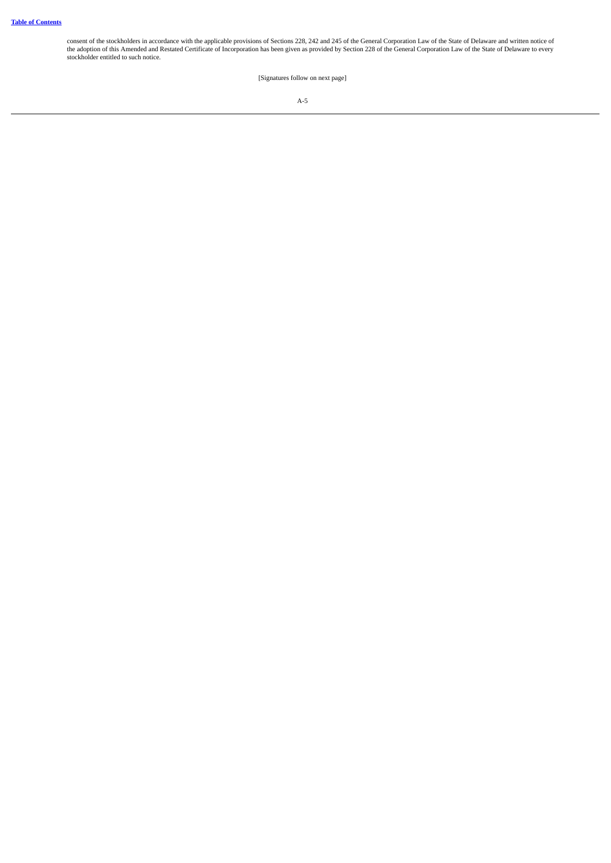consent of the stockholders in accordance with the applicable provisions of Sections 228, 242 and 245 of the General Corporation Law of the State of Delaware and written notice of<br>the adoption of this Amended and Restated stockholder entitled to such notice.

[Signatures follow on next page]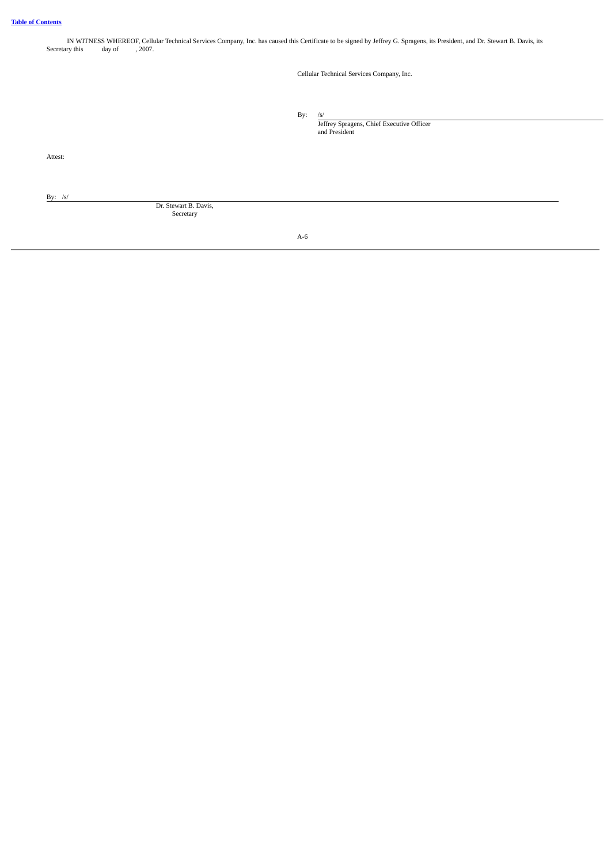| Secretary this | day of | IN WITNESS WHEREOF, Cellular Technical Services Company, Inc. has caused this Certificate to be signed by Jeffrey G. Spragens, its President, and Dr. Stewart B. Davis, its<br>, 2007. |  |
|----------------|--------|----------------------------------------------------------------------------------------------------------------------------------------------------------------------------------------|--|
|                |        | Cellular Technical Services Company, Inc.                                                                                                                                              |  |
|                |        | By:<br>/s/<br>Jeffrey Spragens, Chief Executive Officer<br>and President                                                                                                               |  |
| Attest:        |        |                                                                                                                                                                                        |  |
| By: $/s/$      |        | Dr. Stewart B. Davis,<br>Secretary                                                                                                                                                     |  |

A-6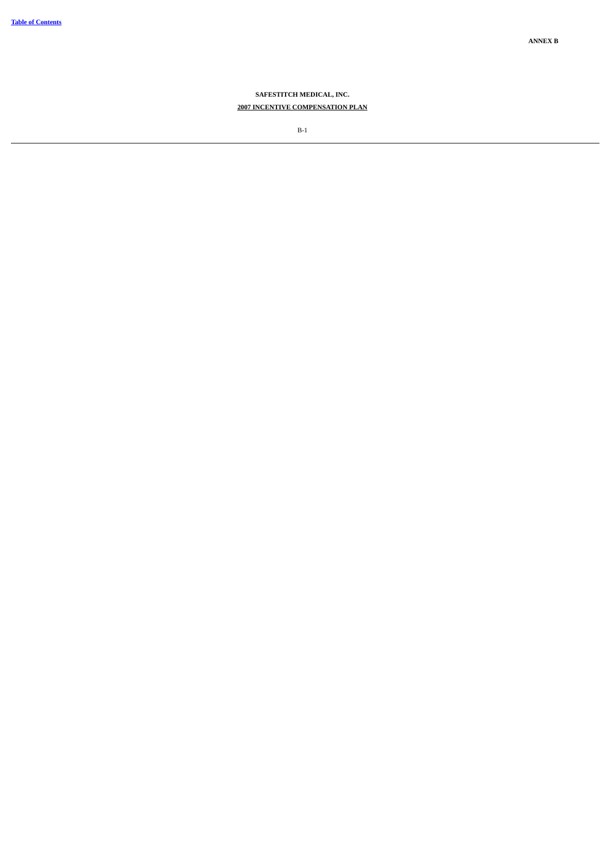# **SAFESTITCH MEDICAL, INC. 2007 INCENTIVE COMPENSATION PLAN**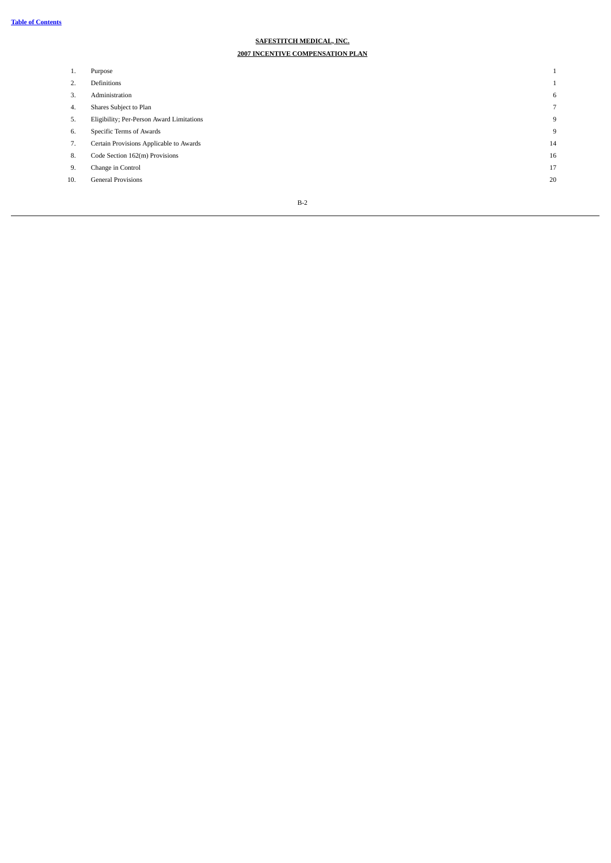# **SAFESTITCH MEDICAL, INC.**

# **2007 INCENTIVE COMPENSATION PLAN**

| ı.  | Purpose                                   |    |
|-----|-------------------------------------------|----|
| 2.  | Definitions                               |    |
| 3.  | Administration                            | 6  |
| 4.  | Shares Subject to Plan                    |    |
| 5.  | Eligibility; Per-Person Award Limitations | 9  |
| 6.  | Specific Terms of Awards                  | 9  |
| 7.  | Certain Provisions Applicable to Awards   | 14 |
| 8.  | Code Section 162(m) Provisions            | 16 |
| 9.  | Change in Control                         | 17 |
| 10. | <b>General Provisions</b>                 | 20 |
|     |                                           |    |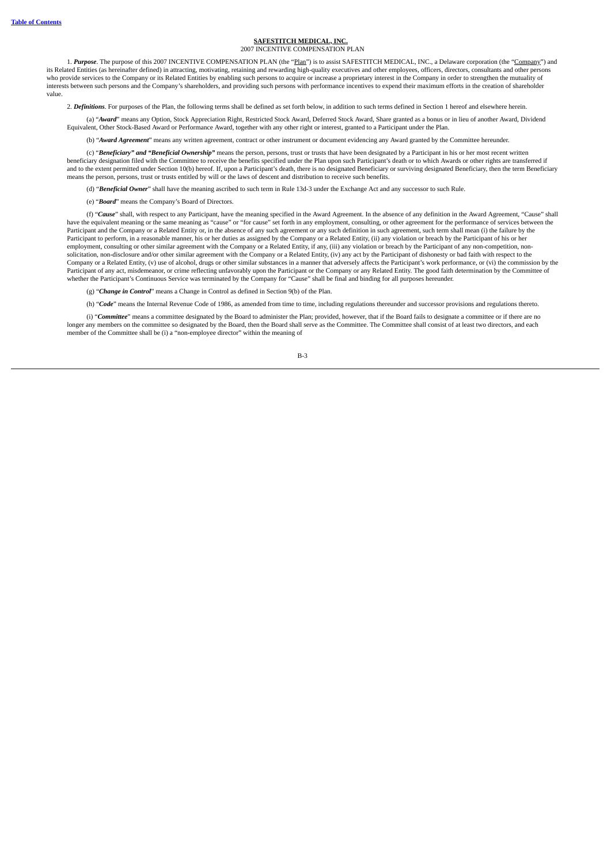#### **SAFESTITCH MEDICAL, INC.** 2007 INCENTIVE COMPENSATION PLAN

1. *Purpose*. The purpose of this 2007 INCENTIVE COMPENSATION PLAN (the "Plan") is to assist SAFESTITCH MEDICAL, INC., a Delaware corporation (the "Company") and its Related Entities (as hereinafter defined) in attracting, motivating, retaining and rewarding high-quality executives and other employees, officers, directors, consultants and other persons who provide services to the Company or its Related Entities by enabling such persons to acquire or increase a proprietary interest in the Company in order to strengthen the mutuality of interests between such persons and the Company's shareholders, and providing such persons with performance incentives to expend their maximum efforts in the creation of shareholder value.

2. *Definitions*. For purposes of the Plan, the following terms shall be defined as set forth below, in addition to such terms defined in Section 1 hereof and elsewhere herein.

(a) "*Award*" means any Option, Stock Appreciation Right, Restricted Stock Award, Deferred Stock Award, Share granted as a bonus or in lieu of another Award, Dividend Equivalent, Other Stock-Based Award or Performance Award, together with any other right or interest, granted to a Participant under the Plan.

(b) "*Award Agreement*" means any written agreement, contract or other instrument or document evidencing any Award granted by the Committee hereunder.

(c) "*Beneficiary" and "Beneficial Ownership"* means the person, persons, trust or trusts that have been designated by a Participant in his or her most recent written beneficiary designation filed with the Committee to receive the benefits specified under the Plan upon such Participant's death or to which Awards or other rights are transferred if and to the extent permitted under Section 10(b) hereof. If, upon a Participant's death, there is no designated Beneficiary or surviving designated Beneficiary, then the term Beneficiary means the person, persons, trust or trusts entitled by will or the laws of descent and distribution to receive such benefits.

(d) "*Beneficial Owner*" shall have the meaning ascribed to such term in Rule 13d-3 under the Exchange Act and any successor to such Rule.

(e) "*Board*" means the Company's Board of Directors.

(f) "*Cause*" shall, with respect to any Participant, have the meaning specified in the Award Agreement. In the absence of any definition in the Award Agreement, "Cause" shall have the equivalent meaning or the same meaning as "cause" or "for cause" set forth in any employment, consulting, or other agreement for the performance of services between the Participant and the Company or a Related Entity or, in the absence of any such agreement or any such definition in such agreement, such term shall mean (i) the failure by the Participant to perform, in a reasonable manner, his or her duties as assigned by the Company or a Related Entity, (ii) any violation or breach by the Participant of his or her employment, consulting or other similar agreement with the Company or a Related Entity, if any, (iii) any violation or breach by the Participant of any non-competition, nonsolicitation, non-disclosure and/or other similar agreement with the Company or a Related Entity, (iv) any act by the Participant of dishonesty or bad faith with respect to the Company or a Related Entity, (v) use of alcohol, drugs or other similar substances in a manner that adversely affects the Participant's work performance, or (vi) the commission by the<br>Participant of any act, misdemeanor, o whether the Participant's Continuous Service was terminated by the Company for "Cause" shall be final and binding for all purposes hereunder.

(g) "*Change in Control*" means a Change in Control as defined in Section 9(b) of the Plan.

(h) "*Code*" means the Internal Revenue Code of 1986, as amended from time to time, including regulations thereunder and successor provisions and regulations thereto.

(i) "*Committee*" means a committee designated by the Board to administer the Plan; provided, however, that if the Board fails to designate a committee or if there are no longer any members on the committee so designated by the Board, then the Board shall serve as the Committee. The Committee shall consist of at least two directors, and each member of the Committee shall be (i) a "non-employee director" within the meaning of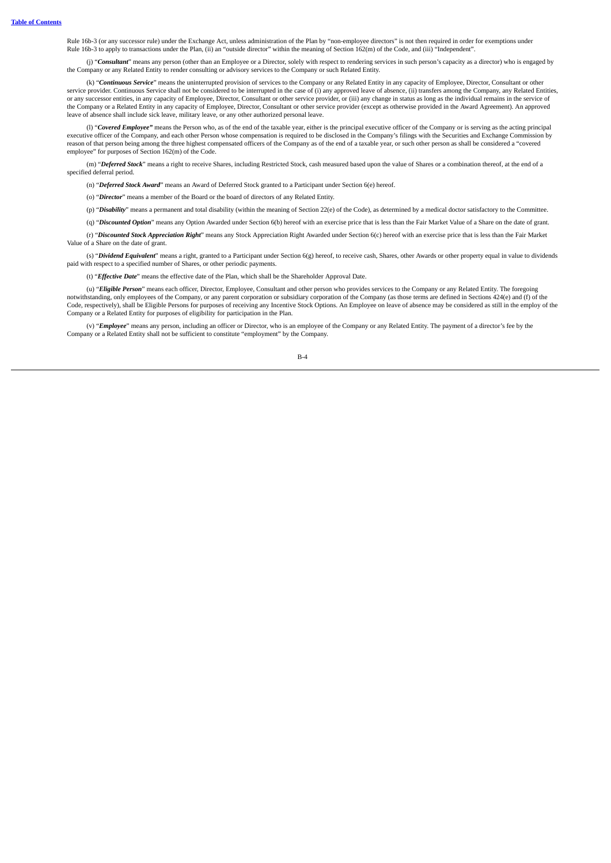Rule 16b-3 (or any successor rule) under the Exchange Act, unless administration of the Plan by "non-employee directors" is not then required in order for exemptions under Rule 16b-3 to apply to transactions under the Plan, (ii) an "outside director" within the meaning of Section 162(m) of the Code, and (iii) "Independent".

(j) "Consultant" means any person (other than an Employee or a Director, solely with respect to rendering services in such person's capacity as a director) who is engaged by the Company or any Related Entity to render consulting or advisory services to the Company or such Related Entity.

(k) "*Continuous Service*" means the uninterrupted provision of services to the Company or any Related Entity in any capacity of Employee, Director, Consultant or other service provider. Continuous Service shall not be considered to be interrupted in the case of (i) any approved leave of absence, (ii) transfers among the Company, any Related Entities, or any successor entities, in any capacity of Employee, Director, Consultant or other service provider, or (iii) any change in status as long as the individual remains in the service of the Company or a Related Entity in any capacity of Employee, Director, Consultant or other service provider (except as otherwise provided in the Award Agreement). An approved leave of absence shall include sick leave, military leave, or any other authorized personal leave.

(l) "*Covered Employee"* means the Person who, as of the end of the taxable year, either is the principal executive officer of the Company or is serving as the acting principal executive officer of the Company, and each other Person whose compensation is required to be disclosed in the Company's filings with the Securities and Exchange Commission by reason of that person being among the three highest compensated officers of the Company as of the end of a taxable year, or such other person as shall be considered a "covered employee" for purposes of Section 162(m) of the Code.

(m) "*Deferred Stock*" means a right to receive Shares, including Restricted Stock, cash measured based upon the value of Shares or a combination thereof, at the end of a specified deferral period.

(n) "*Deferred Stock Award*" means an Award of Deferred Stock granted to a Participant under Section 6(e) hereof.

(o) "*Director*" means a member of the Board or the board of directors of any Related Entity.

(p) "*Disability*" means a permanent and total disability (within the meaning of Section 22(e) of the Code), as determined by a medical doctor satisfactory to the Committee.

(q) "*Discounted Option*" means any Option Awarded under Section 6(b) hereof with an exercise price that is less than the Fair Market Value of a Share on the date of grant.

(r) "*Discounted Stock Appreciation Right*" means any Stock Appreciation Right Awarded under Section 6(c) hereof with an exercise price that is less than the Fair Market Value of a Share on the date of grant.

(s) "*Dividend Equivalent*" means a right, granted to a Participant under Section 6(g) hereof, to receive cash, Shares, other Awards or other property equal in value to dividends paid with respect to a specified number of Shares, or other periodic payments.

(t) "*Effective Date*" means the effective date of the Plan, which shall be the Shareholder Approval Date.

(u) "*Eligible Person*" means each officer, Director, Employee, Consultant and other person who provides services to the Company or any Related Entity. The foregoing notwithstanding, only employees of the Company, or any parent corporation or subsidiary corporation of the Company (as those terms are defined in Sections 424(e) and (f) of the Code, respectively), shall be Eligible Persons for purposes of receiving any Incentive Stock Options. An Employee on leave of absence may be considered as still in the employ of the Company or a Related Entity for purposes of eligibility for participation in the Plan.

(v) "*Employee*" means any person, including an officer or Director, who is an employee of the Company or any Related Entity. The payment of a director's fee by the Company or a Related Entity shall not be sufficient to constitute "employment" by the Company.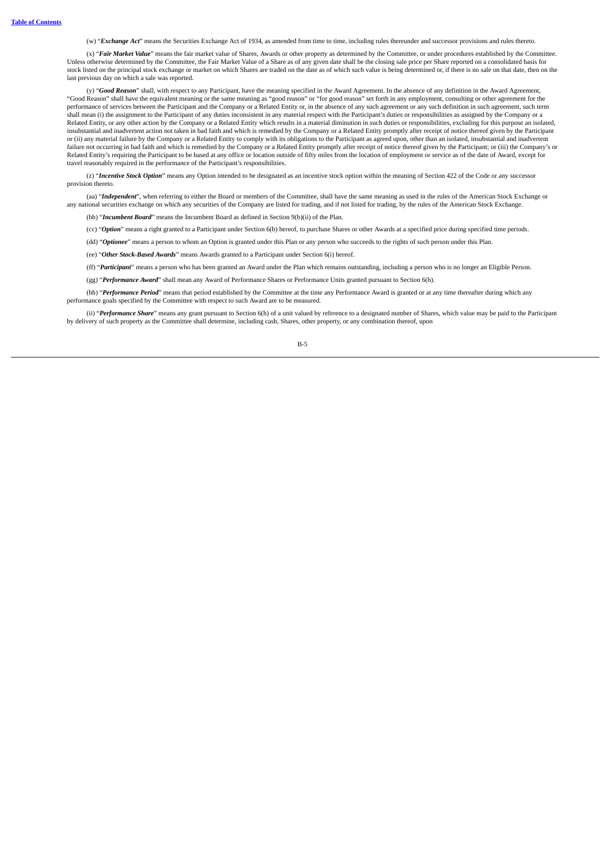(w) "*Exchange Act*" means the Securities Exchange Act of 1934, as amended from time to time, including rules thereunder and successor provisions and rules thereto.

(x) "*Fair Market Value*" means the fair market value of Shares, Awards or other property as determined by the Committee, or under procedures established by the Committee. Unless otherwise determined by the Committee, the Fair Market Value of a Share as of any given date shall be the closing sale price per Share reported on a consolidated basis for stock listed on the principal stock exchange or market on which Shares are traded on the date as of which such value is being determined or, if there is no sale on that date, then on the last previous day on which a sale was reported.

(y) "Good Reason" shall, with respect to any Participant, have the meaning specified in the Award Agreement. In the absence of any definition in the Award Agreement, "Good Reason" shall have the equivalent meaning or the same meaning as "good reason" or "for good reason" set forth in any employment, consulting or other agreement for the performance of services between the Participant and the Company or a Related Entity or, in the absence of any such agreement or any such definition in such agreement, such term shall mean (i) the assignment to the Participant of any duties inconsistent in any material respect with the Participant's duties or responsibilities as assigned by the Company or a Related Entity, or any other action by the Company or a Related Entity which results in a material diminution in such duties or responsibilities, excluding for this purpose an isolated, insubstantial and inadvertent action not taken in bad faith and which is remedied by the Company or a Related Entity promptly after receipt of notice thereof given by the Participant or (ii) any material failure by the Company or a Related Entity to comply with its obligations to the Participant as agreed upon, other than an isolated, insubstantial and inadvertent<br>failure not occurring in bad faith and Related Entity's requiring the Participant to be based at any office or location outside of fifty miles from the location of employment or service as of the date of Award, except for travel reasonably required in the performance of the Participant's responsibilities.

(z) "*Incentive Stock Option*" means any Option intended to be designated as an incentive stock option within the meaning of Section 422 of the Code or any successor provision thereto

(aa) "Independent", when referring to either the Board or members of the Committee, shall have the same meaning as used in the rules of the American Stock Exchange or any national securities exchange on which any securities of the Company are listed for trading, and if not listed for trading, by the rules of the American Stock Exchange.

(bb) "*Incumbent Board*" means the Incumbent Board as defined in Section 9(b)(ii) of the Plan.

(cc) "*Option*" means a right granted to a Participant under Section 6(b) hereof, to purchase Shares or other Awards at a specified price during specified time periods.

(dd) "*Optionee*" means a person to whom an Option is granted under this Plan or any person who succeeds to the rights of such person under this Plan.

(ee) "*Other Stock-Based Awards*" means Awards granted to a Participant under Section 6(i) hereof.

(ff) "*Participant*" means a person who has been granted an Award under the Plan which remains outstanding, including a person who is no longer an Eligible Person.

(gg) "*Performance Award*" shall mean any Award of Performance Shares or Performance Units granted pursuant to Section 6(h).

(hh) "*Performance Period*" means that period established by the Committee at the time any Performance Award is granted or at any time thereafter during which any performance goals specified by the Committee with respect to such Award are to be measured.

(ii) "*Performance Share*" means any grant pursuant to Section 6(h) of a unit valued by reference to a designated number of Shares, which value may be paid to the Participant by delivery of such property as the Committee shall determine, including cash, Shares, other property, or any combination thereof, upon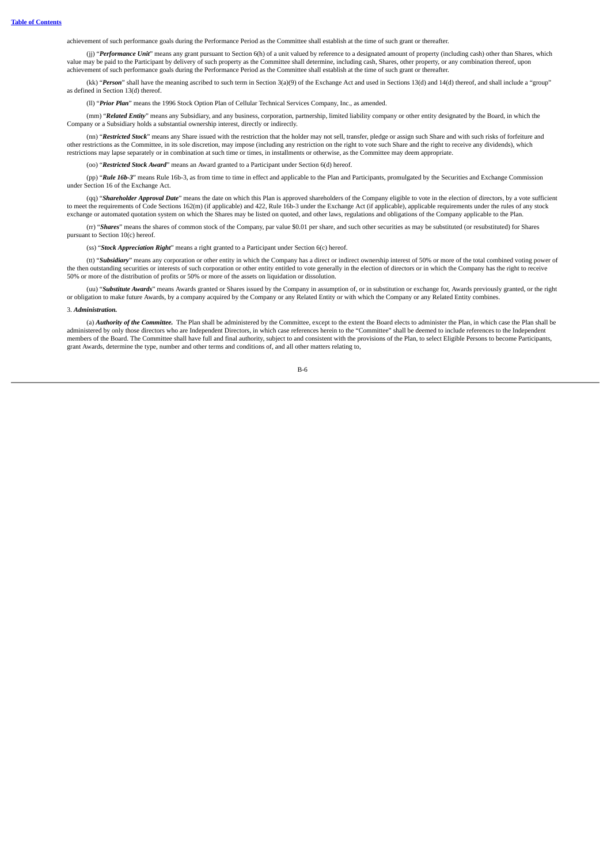achievement of such performance goals during the Performance Period as the Committee shall establish at the time of such grant or thereafter.

(jj) "Performance Unit" means any grant pursuant to Section 6(h) of a unit valued by reference to a designated amount of property (including cash) other than Shares, which value may be paid to the Participant by delivery of such property as the Committee shall determine, including cash, Shares, other property, or any combination thereof, upon achievement of such performance goals during the Performance Period as the Committee shall establish at the time of such grant or thereafter.

(kk) "*Person*" shall have the meaning ascribed to such term in Section 3(a)(9) of the Exchange Act and used in Sections 13(d) and 14(d) thereof, and shall include a "group" as defined in Section 13(d) thereof.

(ll) "*Prior Plan*" means the 1996 Stock Option Plan of Cellular Technical Services Company, Inc., as amended.

(mm) "*Related Entity*" means any Subsidiary, and any business, corporation, partnership, limited liability company or other entity designated by the Board, in which the Company or a Subsidiary holds a substantial ownership interest, directly or indirectly.

(nn) "*Restricted Stock*" means any Share issued with the restriction that the holder may not sell, transfer, pledge or assign such Share and with such risks of forfeiture and other restrictions as the Committee, in its sole discretion, may impose (including any restriction on the right to vote such Share and the right to receive any dividends), which restrictions may lapse separately or in combination at such time or times, in installments or otherwise, as the Committee may deem appropriate.

(oo) "*Restricted Stock Award*" means an Award granted to a Participant under Section 6(d) hereof.

(pp) "*Rule 16b-3*" means Rule 16b-3, as from time to time in effect and applicable to the Plan and Participants, promulgated by the Securities and Exchange Commission under Section 16 of the Exchange Act.

(qq) "*Shareholder Approval Date*" means the date on which this Plan is approved shareholders of the Company eligible to vote in the election of directors, by a vote sufficient to meet the requirements of Code Sections 162(m) (if applicable) and 422, Rule 16b-3 under the Exchange Act (if applicable), applicable requirements under the rules of any stock exchange or automated quotation system on which the Shares may be listed on quoted, and other laws, regulations and obligations of the Company applicable to the Plan.

(rr) "*Shares*" means the shares of common stock of the Company, par value \$0.01 per share, and such other securities as may be substituted (or resubstituted) for Shares pursuant to Section 10(c) hereof.

(ss) "*Stock Appreciation Right*" means a right granted to a Participant under Section 6(c) hereof.

(it) "Subsidiary" means any corporation or other entity in which the Company has a direct or indirect ownership interest of 50% or more of the total combined voting power of the then outstanding securities or interests of 50% or more of the distribution of profits or 50% or more of the assets on liquidation or dissolution.

(uu) "*Substitute Awards*" means Awards granted or Shares issued by the Company in assumption of, or in substitution or exchange for, Awards previously granted, or the right or obligation to make future Awards, by a company acquired by the Company or any Related Entity or with which the Company or any Related Entity combines.

#### 3. *Administration.*

(a) *Authority of the Committee.* The Plan shall be administered by the Committee, except to the extent the Board elects to administer the Plan, in which case the Plan shall be administered by only those directors who are Independent Directors, in which case references herein to the "Committee" shall be deemed to include references to the Independent members of the Board. The Committee shall have full and final authority, subject to and consistent with the provisions of the Plan, to select Eligible Persons to become Participants, grant Awards, determine the type, number and other terms and conditions of, and all other matters relating to,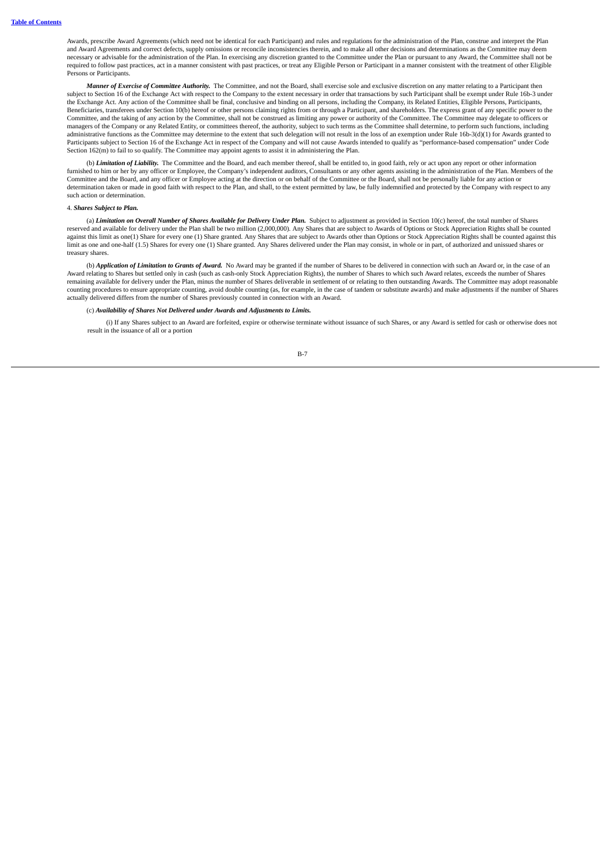Awards, prescribe Award Agreements (which need not be identical for each Participant) and rules and regulations for the administration of the Plan, construe and interpret the Plan and Award Agreements and correct defects, supply omissions or reconcile inconsistencies therein, and to make all other decisions and determinations as the Committee may deem necessary or advisable for the administration of the Plan. In exercising any discretion granted to the Committee under the Plan or pursuant to any Award, the Committee shall not be required to follow past practices, act in a manner consistent with past practices, or treat any Eligible Person or Participant in a manner consistent with the treatment of other Eligible Persons or Participants.

*Manner of Exercise of Committee Authority.* The Committee, and not the Board, shall exercise sole and exclusive discretion on any matter relating to a Participant then subject to Section 16 of the Exchange Act with respect to the Company to the extent necessary in order that transactions by such Participant shall be exempt under Rule 16b-3 under the Exchange Act. Any action of the Committee shall be final, conclusive and binding on all persons, including the Company, its Related Entities, Eligible Persons, Participants,<br>Beneficiaries, transferees under Section 10( Committee, and the taking of any action by the Committee, shall not be construed as limiting any power or authority of the Committee. The Committee may delegate to officers or managers of the Company or any Related Entity, or committees thereof, the authority, subject to such terms as the Committee shall determine, to perform such functions, including administrative functions as the Committee may determine to the extent that such delegation will not result in the loss of an exemption under Rule 16b-3(d)(1) for Awards granted to Participants subject to Section 16 of the Exchange Act in respect of the Company and will not cause Awards intended to qualify as "performance-based compensation" under Code Section 162(m) to fail to so qualify. The Committee may appoint agents to assist it in administering the Plan.

(b) *Limitation of Liability.* The Committee and the Board, and each member thereof, shall be entitled to, in good faith, rely or act upon any report or other information furnished to him or her by any officer or Employee, the Company's independent auditors, Consultants or any other agents assisting in the administration of the Plan. Members of the<br>Committee and the Board, and any officer o determination taken or made in good faith with respect to the Plan, and shall, to the extent permitted by law, be fully indemnified and protected by the Company with respect to any such action or determination.

#### 4. *Shares Subject to Plan.*

(a) Limitation on Overall Number of Shares Available for Delivery Under Plan. Subject to adjustment as provided in Section 10(c) hereof, the total number of Shares reserved and available for delivery under the Plan shall be two million (2,000,000). Any Shares that are subject to Awards of Options or Stock Appreciation Rights shall be counted against this limit as one(1) Share for every one (1) Share granted. Any Shares that are subject to Awards other than Options or Stock Appreciation Rights shall be counted against this limit as one and one-half (1.5) Shares for every one (1) Share granted. Any Shares delivered under the Plan may consist, in whole or in part, of authorized and unissued shares or treasury shares.

(b) *Application of Limitation to Grants of Award.* No Award may be granted if the number of Shares to be delivered in connection with such an Award or, in the case of an Award relating to Shares but settled only in cash (such as cash-only Stock Appreciation Rights), the number of Shares to which such Award relates, exceeds the number of Shares remaining available for delivery under the Plan, minus the number of Shares deliverable in settlement of or relating to then outstanding Awards. The Committee may adopt reasonable counting procedures to ensure appropriate counting, avoid double counting (as, for example, in the case of tandem or substitute awards) and make adjustments if the number of Shares actually delivered differs from the number of Shares previously counted in connection with an Award.

#### (c) *Availability of Shares Not Delivered under Awards and Adjustments to Limits.*

(i) If any Shares subject to an Award are forfeited, expire or otherwise terminate without issuance of such Shares, or any Award is settled for cash or otherwise does not result in the issuance of all or a portion

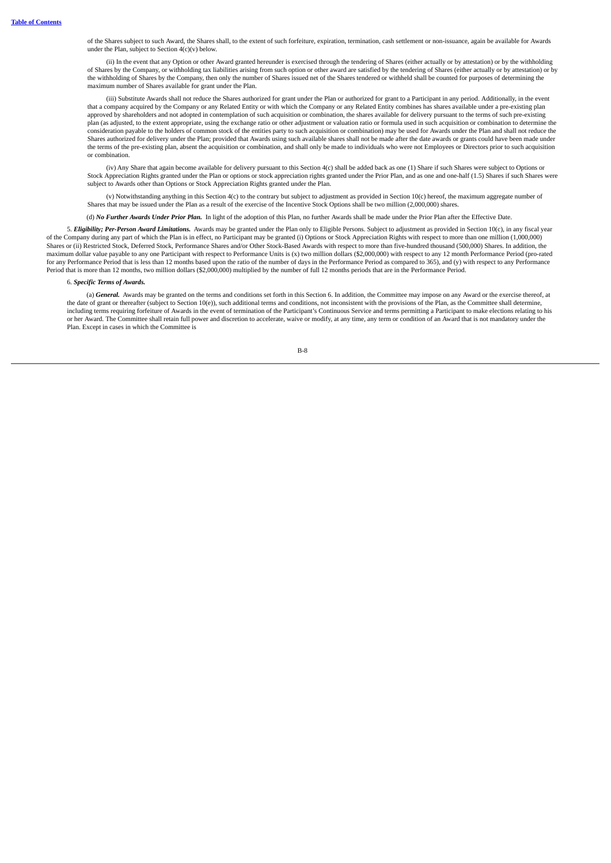of the Shares subject to such Award, the Shares shall, to the extent of such forfeiture, expiration, termination, cash settlement or non-issuance, again be available for Awards under the Plan, subject to Section  $4(c)(v)$  below.

(ii) In the event that any Option or other Award granted hereunder is exercised through the tendering of Shares (either actually or by attestation) or by the withholding of Shares by the Company, or withholding tax liabilities arising from such option or other award are satisfied by the tendering of Shares (either actually or by attestation) or by the withholding of Shares by the Company, then only the number of Shares issued net of the Shares tendered or withheld shall be counted for purposes of determining the maximum number of Shares available for grant under the Plan.

(iii) Substitute Awards shall not reduce the Shares authorized for grant under the Plan or authorized for grant to a Participant in any period. Additionally, in the event that a company acquired by the Company or any Related Entity or with which the Company or any Related Entity combines has shares available under a pre-existing plan approved by shareholders and not adopted in contemplation of such acquisition or combination, the shares available for delivery pursuant to the terms of such pre-existing plan (as adjusted, to the extent appropriate, using the exchange ratio or other adjustment or valuation ratio or formula used in such acquisition or combination to determine the consideration payable to the holders of common stock of the entities party to such acquisition or combination) may be used for Awards under the Plan and shall not reduce the Shares authorized for delivery under the Plan; provided that Awards using such available shares shall not be made after the date awards or grants could have been made under the terms of the pre-existing plan, absent the acquisition or combination, and shall only be made to individuals who were not Employees or Directors prior to such acquisition or combination.

(iv) Any Share that again become available for delivery pursuant to this Section 4(c) shall be added back as one (1) Share if such Shares were subject to Options or Stock Appreciation Rights granted under the Plan or options or stock appreciation rights granted under the Prior Plan, and as one and one-half (1.5) Shares if such Shares were subject to Awards other than Options or Stock Appreciation Rights granted under the Plan.

(v) Notwithstanding anything in this Section 4(c) to the contrary but subject to adjustment as provided in Section 10(c) hereof, the maximum aggregate number of Shares that may be issued under the Plan as a result of the exercise of the Incentive Stock Options shall be two million (2,000,000) shares.

(d) *No Further Awards Under Prior Plan.* In light of the adoption of this Plan, no further Awards shall be made under the Prior Plan after the Effective Date.

5. *Eligibility; Per-Person Award Limitations.* Awards may be granted under the Plan only to Eligible Persons. Subject to adjustment as provided in Section 10(c), in any fiscal year of the Company during any part of which the Plan is in effect, no Participant may be granted (i) Options or Stock Appreciation Rights with respect to more than one million (1,000,000) Shares or (ii) Restricted Stock, Deferred Stock, Performance Shares and/or Other Stock-Based Awards with respect to more than five-hundred thousand (500,000) Shares. In addition, the maximum dollar value payable to any one Participant with respect to Performance Units is (x) two million dollars (\$2,000,000) with respect to any 12 month Performance Period (pro-rated for any Performance Period that is less than 12 months based upon the ratio of the number of days in the Performance Period as compared to 365), and (y) with respect to any Performance Period that is more than 12 months, two million dollars (\$2,000,000) multiplied by the number of full 12 months periods that are in the Performance Period.

#### 6. *Specific Terms of Awards.*

(a) **General.** Awards may be granted on the terms and conditions set forth in this Section 6. In addition, the Committee may impose on any Award or the exercise thereof, at the date of grant or thereafter (subject to Sect including terms requiring forfeiture of Awards in the event of termination of the Participant's Continuous Service and terms permitting a Participant to make elections relating to his or her Award. The Committee shall retain full power and discretion to accelerate, waive or modify, at any time, any term or condition of an Award that is not mandatory under the Plan. Except in cases in which the Committee is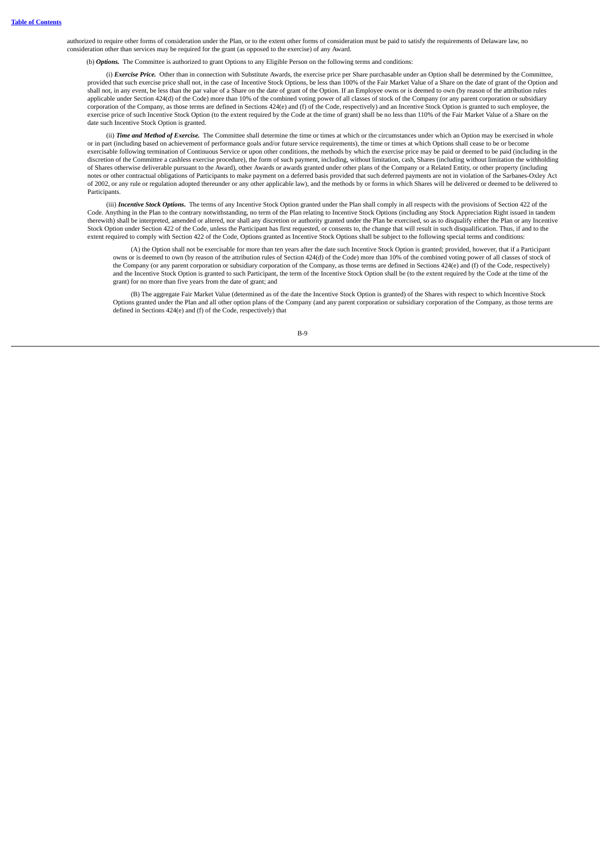authorized to require other forms of consideration under the Plan, or to the extent other forms of consideration must be paid to satisfy the requirements of Delaware law, no consideration other than services may be required for the grant (as opposed to the exercise) of any Award.

(b) *Options.* The Committee is authorized to grant Options to any Eligible Person on the following terms and conditions:

(i) *Exercise Price.* Other than in connection with Substitute Awards, the exercise price per Share purchasable under an Option shall be determined by the Committee, provided that such exercise price shall not, in the case of Incentive Stock Options, be less than 100% of the Fair Market Value of a Share on the date of grant of the Option and shall not, in any event, be less than the par value of a Share on the date of grant of the Option. If an Employee owns or is deemed to own (by reason of the attribution rules applicable under Section 424(d) of the Code) more than 10% of the combined voting power of all classes of stock of the Company (or any parent corporation or subsidiary corporation of the Company, as those terms are defined in Sections 424(e) and (f) of the Code, respectively) and an Incentive Stock Option is granted to such employee, the exercise price of such Incentive Stock Option (to the extent required by the Code at the time of grant) shall be no less than 110% of the Fair Market Value of a Share on the date such Incentive Stock Option is granted.

(ii) *Time and Method of Exercise*. The Committee shall determine the time or times at which or the circumstances under which an Option may be exercised in whole or in part (including based on achievement of performance goals and/or future service requirements), the time or times at which Options shall cease to be or become exercisable following termination of Continuous Service or upon other conditions, the methods by which the exercise price may be paid or deemed to be paid (including in the discretion of the Committee a cashless exercise procedure), the form of such payment, including, without limitation, cash, Shares (including without limitation the withholding of Shares otherwise deliverable pursuant to the Award), other Awards or awards granted under other plans of the Company or a Related Entity, or other property (including notes or other contractual obligations of Participants to make payment on a deferred basis provided that such deferred payments are not in violation of the Sarbanes-Oxley Act of 2002, or any rule or regulation adopted thereunder or any other applicable law), and the methods by or forms in which Shares will be delivered or deemed to be delivered to Participants.

(iii) *Incentive Stock Options.* The terms of any Incentive Stock Option granted under the Plan shall comply in all respects with the provisions of Section 422 of the Code. Anything in the Plan to the contrary notwithstanding, no term of the Plan relating to Incentive Stock Options (including any Stock Appreciation Right issued in tandem therewith) shall be interpreted, amended or altered, nor shall any discretion or authority granted under the Plan be exercised, so as to disqualify either the Plan or any Incentive Stock Option under Section 422 of the Code, unless the Participant has first requested, or consents to, the change that will result in such disqualification. Thus, if and to the extent required to comply with Section 422 of the Code, Options granted as Incentive Stock Options shall be subject to the following special terms and conditions:

(A) the Option shall not be exercisable for more than ten years after the date such Incentive Stock Option is granted; provided, however, that if a Participant owns or is deemed to own (by reason of the attribution rules of Section 424(d) of the Code) more than 10% of the combined voting power of all classes of stock of the Company (or any parent corporation or subsidiary corporation of the Company, as those terms are defined in Sections 424(e) and (f) of the Code, respectively) and the Incentive Stock Option is granted to such Participant, the term of the Incentive Stock Option shall be (to the extent required by the Code at the time of the grant) for no more than five years from the date of grant; and

(B) The aggregate Fair Market Value (determined as of the date the Incentive Stock Option is granted) of the Shares with respect to which Incentive Stock Options granted under the Plan and all other option plans of the Company (and any parent corporation or subsidiary corporation of the Company, as those terms are defined in Sections 424(e) and (f) of the Code, respectively) that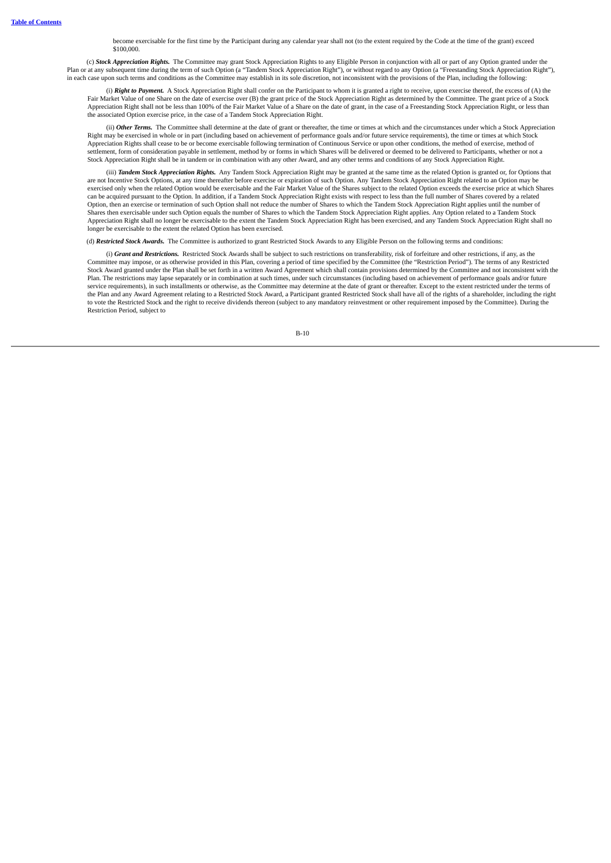become exercisable for the first time by the Participant during any calendar year shall not (to the extent required by the Code at the time of the grant) exceed \$100,000.

(c) *Stock Appreciation Rights.* The Committee may grant Stock Appreciation Rights to any Eligible Person in conjunction with all or part of any Option granted under the Plan or at any subsequent time during the term of such Option (a "Tandem Stock Appreciation Right"), or without regard to any Option (a "Freestanding Stock Appreciation Right"), in each case upon such terms and conditions as the Committee may establish in its sole discretion, not inconsistent with the provisions of the Plan, including the following:

(i) **Right to Payment.** A Stock Appreciation Right shall confer on the Participant to whom it is granted a right to receive, upon exercise thereof, the excess of (A) the Fair Market Value of one Share on the date of exerci Appreciation Right shall not be less than 100% of the Fair Market Value of a Share on the date of grant, in the case of a Freestanding Stock Appreciation Right, or less than the associated Option exercise price, in the case of a Tandem Stock Appreciation Right.

(ii) *Other Terms.* The Committee shall determine at the date of grant or thereafter, the time or times at which and the circumstances under which a Stock Appreciation Right may be exercised in whole or in part (including based on achievement of performance goals and/or future service requirements), the time or times at which Stock Appreciation Rights shall cease to be or become exercisable following termination of Continuous Service or upon other conditions, the method of exercise, method of settlement, form of consideration payable in settlement, method by or forms in which Shares will be delivered or deemed to be delivered to Participants, whether or not a Stock Appreciation Right shall be in tandem or in combination with any other Award, and any other terms and conditions of any Stock Appreciation Right.

(iii) *Tandem Stock Appreciation Rights.* Any Tandem Stock Appreciation Right may be granted at the same time as the related Option is granted or, for Options that are not Incentive Stock Options, at any time thereafter before exercise or expiration of such Option. Any Tandem Stock Appreciation Right related to an Option may be exercised only when the related Option would be exercisable and the Fair Market Value of the Shares subject to the related Option exceeds the exercise price at which Shares can be acquired pursuant to the Option. In addition, if a Tandem Stock Appreciation Right exists with respect to less than the full number of Shares covered by a related Option, then an exercise or termination of such Option shall not reduce the number of Shares to which the Tandem Stock Appreciation Right applies until the number of Shares then exercisable under such Option equals the number of Shares to which the Tandem Stock Appreciation Right applies. Any Option related to a Tandem Stock Appreciation Right shall no longer be exercisable to the extent the Tandem Stock Appreciation Right has been exercised, and any Tandem Stock Appreciation Right shall no longer be exercisable to the extent the related Option has been exercised.

(d) *Restricted Stock Awards.* The Committee is authorized to grant Restricted Stock Awards to any Eligible Person on the following terms and conditions:

(i) *Grant and Restrictions.* Restricted Stock Awards shall be subject to such restrictions on transferability, risk of forfeiture and other restrictions, if any, as the Committee may impose, or as otherwise provided in this Plan, covering a period of time specified by the Committee (the "Restriction Period"). The terms of any Restricted Stock Award granted under the Plan shall be set forth in a written Award Agreement which shall contain provisions determined by the Committee and not inconsistent with the Plan. The restrictions may lapse separately or in combination at such times, under such circumstances (including based on achievement of performance goals and/or future service requirements), in such installments or otherwise, as the Committee may determine at the date of grant or thereafter. Except to the extent restricted under the terms of the Plan and any Award Agreement relating to a Restricted Stock Award, a Participant granted Restricted Stock shall have all of the rights of a shareholder, including the right to vote the Restricted Stock and the right to receive dividends thereon (subject to any mandatory reinvestment or other requirement imposed by the Committee). During the Restriction Period, subject to

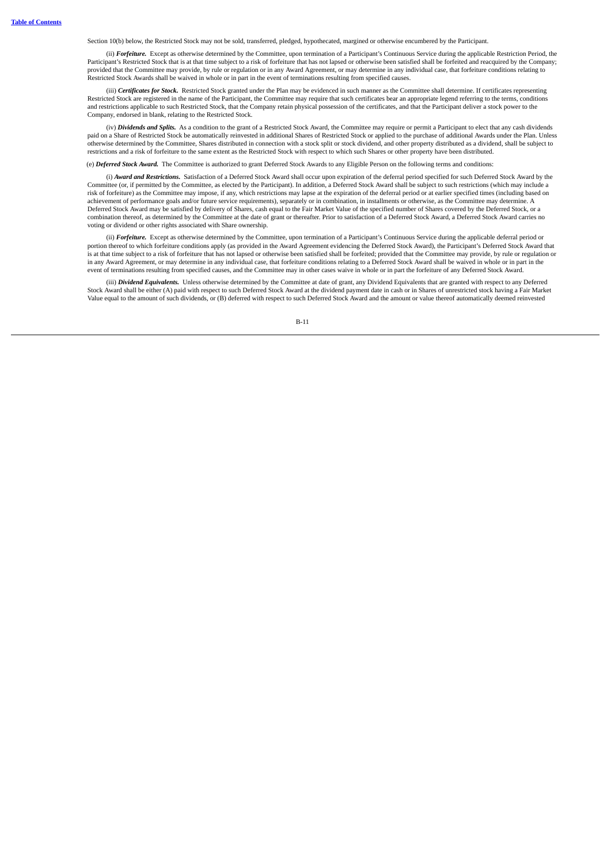Section 10(b) below, the Restricted Stock may not be sold, transferred, pledged, hypothecated, margined or otherwise encumbered by the Participant.

(ii) *Forfeiture.* Except as otherwise determined by the Committee, upon termination of a Participant's Continuous Service during the applicable Restriction Period, the Participant's Restricted Stock that is at that time subject to a risk of forfeiture that has not lapsed or otherwise been satisfied shall be forfeited and reacquired by the Company; provided that the Committee may provide, by rule or regulation or in any Award Agreement, or may determine in any individual case, that forfeiture conditions relating to Restricted Stock Awards shall be waived in whole or in part in the event of terminations resulting from specified causes.

(iii) *Certificates for Stock.* Restricted Stock granted under the Plan may be evidenced in such manner as the Committee shall determine. If certificates representing Restricted Stock are registered in the name of the Participant, the Committee may require that such certificates bear an appropriate legend referring to the terms, conditions and restrictions applicable to such Restricted Stock, that the Company retain physical possession of the certificates, and that the Participant deliver a stock power to the Company, endorsed in blank, relating to the Restricted Stock.

(iv) *Dividends and Splits.* As a condition to the grant of a Restricted Stock Award, the Committee may require or permit a Participant to elect that any cash dividends paid on a Share of Restricted Stock be automatically reinvested in additional Shares of Restricted Stock or applied to the purchase of additional Awards under the Plan. Unless otherwise determined by the Committee, Shares distributed in connection with a stock split or stock dividend, and other property distributed as a dividend, shall be subject to restrictions and a risk of forfeiture to the same extent as the Restricted Stock with respect to which such Shares or other property have been distributed.

(e) *Deferred Stock Award.* The Committee is authorized to grant Deferred Stock Awards to any Eligible Person on the following terms and conditions:

(i) *Award and Restrictions.* Satisfaction of a Deferred Stock Award shall occur upon expiration of the deferral period specified for such Deferred Stock Award by the Committee (or, if permitted by the Committee, as elected by the Participant). In addition, a Deferred Stock Award shall be subject to such restrictions (which may include a risk of forfeiture) as the Committee may impose, if any, which restrictions may lapse at the expiration of the deferral period or at earlier specified times (including based on achievement of performance goals and/or future service requirements), separately or in combination, in installments or otherwise, as the Committee may determine. A Deferred Stock Award may be satisfied by delivery of Shares, cash equal to the Fair Market Value of the specified number of Shares covered by the Deferred Stock, or a combination thereof, as determined by the Committee at the date of grant or thereafter. Prior to satisfaction of a Deferred Stock Award, a Deferred Stock Award carries no voting or dividend or other rights associated with Share ownership.

(ii) *Forfeiture.* Except as otherwise determined by the Committee, upon termination of a Participant's Continuous Service during the applicable deferral period or portion thereof to which forfeiture conditions apply (as provided in the Award Agreement evidencing the Deferred Stock Award), the Participant's Deferred Stock Award that is at that time subject to a risk of forfeiture that has not lapsed or otherwise been satisfied shall be forfeited; provided that the Committee may provide, by rule or regulation or in any Award Agreement, or may determine in any individual case, that forfeiture conditions relating to a Deferred Stock Award shall be waived in whole or in part in the event of terminations resulting from specified causes, and the Committee may in other cases waive in whole or in part the forfeiture of any Deferred Stock Award.

(iii) *Dividend Equivalents.* Unless otherwise determined by the Committee at date of grant, any Dividend Equivalents that are granted with respect to any Deferred Stock Award shall be either (A) paid with respect to such Deferred Stock Award at the dividend payment date in cash or in Shares of unrestricted stock having a Fair Market Value equal to the amount of such dividends, or (B) deferred with respect to such Deferred Stock Award and the amount or value thereof automatically deemed reinvested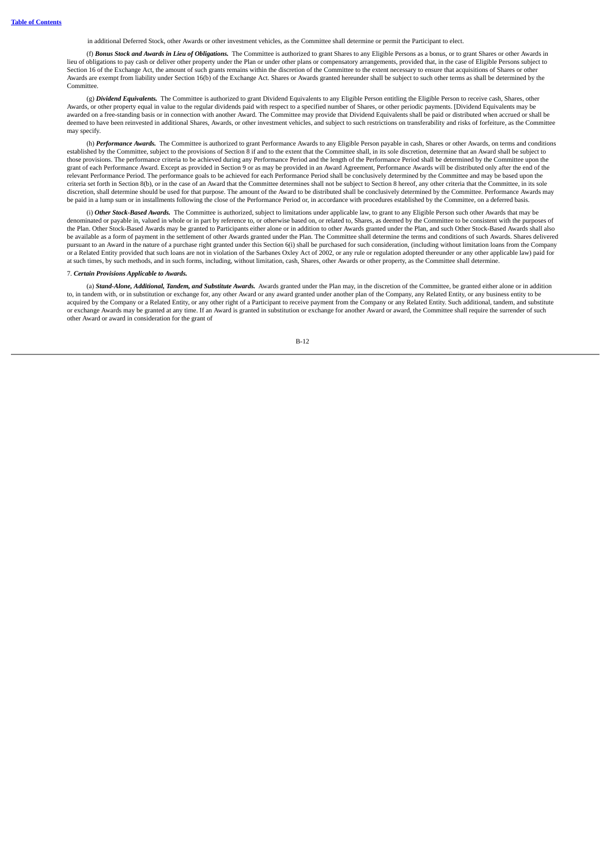in additional Deferred Stock, other Awards or other investment vehicles, as the Committee shall determine or permit the Participant to elect.

(f) *Bonus Stock and Awards in Lieu of Obligations.* The Committee is authorized to grant Shares to any Eligible Persons as a bonus, or to grant Shares or other Awards in lieu of obligations to pay cash or deliver other property under the Plan or under other plans or compensatory arrangements, provided that, in the case of Eligible Persons subject to Section 16 of the Exchange Act, the amount of such grants remains within the discretion of the Committee to the extent necessary to ensure that acquisitions of Shares or other Awards are exempt from liability under Section 16(b) of the Exchange Act. Shares or Awards granted hereunder shall be subject to such other terms as shall be determined by the **Committee** 

(g) *Dividend Equivalents.* The Committee is authorized to grant Dividend Equivalents to any Eligible Person entitling the Eligible Person to receive cash, Shares, other Awards, or other property equal in value to the regular dividends paid with respect to a specified number of Shares, or other periodic payments. [Dividend Equivalents may be awarded on a free-standing basis or in connection with another Award. The Committee may provide that Dividend Equivalents shall be paid or distributed when accrued or shall be deemed to have been reinvested in additional Shares, Awards, or other investment vehicles, and subject to such restrictions on transferability and risks of forfeiture, as the Committee may specify.

(h) *Performance Awards.* The Committee is authorized to grant Performance Awards to any Eligible Person payable in cash, Shares or other Awards, on terms and conditions established by the Committee, subject to the provisions of Section 8 if and to the extent that the Committee shall, in its sole discretion, determine that an Award shall be subject to those provisions. The performance criteria to be achieved during any Performance Period and the length of the Performance Period shall be determined by the Committee upon the grant of each Performance Award. Except as provided in Section 9 or as may be provided in an Award Agreement, Performance Awards will be distributed only after the end of the relevant Performance Period. The performance goals to be achieved for each Performance Period shall be conclusively determined by the Committee and may be based upon the criteria set forth in Section 8(b), or in the case of an Award that the Committee determines shall not be subject to Section 8 hereof, any other criteria that the Committee, in its sole discretion, shall determine should be used for that purpose. The amount of the Award to be distributed shall be conclusively determined by the Committee. Performance Awards may be paid in a lump sum or in installments following the close of the Performance Period or, in accordance with procedures established by the Committee, on a deferred basis.

(i) *Other Stock-Based Awards.* The Committee is authorized, subject to limitations under applicable law, to grant to any Eligible Person such other Awards that may be denominated or payable in, valued in whole or in part by reference to, or otherwise based on, or related to, Shares, as deemed by the Committee to be consistent with the purposes of the Plan. Other Stock-Based Awards may be granted to Participants either alone or in addition to other Awards granted under the Plan, and such Other Stock-Based Awards shall also be available as a form of payment in the settlement of other Awards granted under the Plan. The Committee shall determine the terms and conditions of such Awards. Shares delivered pursuant to an Award in the nature of a purchase right granted under this Section 6(i) shall be purchased for such consideration, (including without limitation loans from the Company or a Related Entity provided that such loans are not in violation of the Sarbanes Oxley Act of 2002, or any rule or regulation adopted thereunder or any other applicable law) paid for at such times, by such methods, and in such forms, including, without limitation, cash, Shares, other Awards or other property, as the Committee shall determine.

## 7. *Certain Provisions Applicable to Awards.*

(a) *Stand-Alone, Additional, Tandem, and Substitute Awards.* Awards granted under the Plan may, in the discretion of the Committee, be granted either alone or in addition to, in tandem with, or in substitution or exchange for, any other Award or any award granted under another plan of the Company, any Related Entity, or any business entity to be acquired by the Company or a Related Entity, or any other right of a Participant to receive payment from the Company or any Related Entity. Such additional, tandem, and substitute or exchange Awards may be granted at any time. If an Award is granted in substitution or exchange for another Award or award, the Committee shall require the surrender of such other Award or award in consideration for the grant of

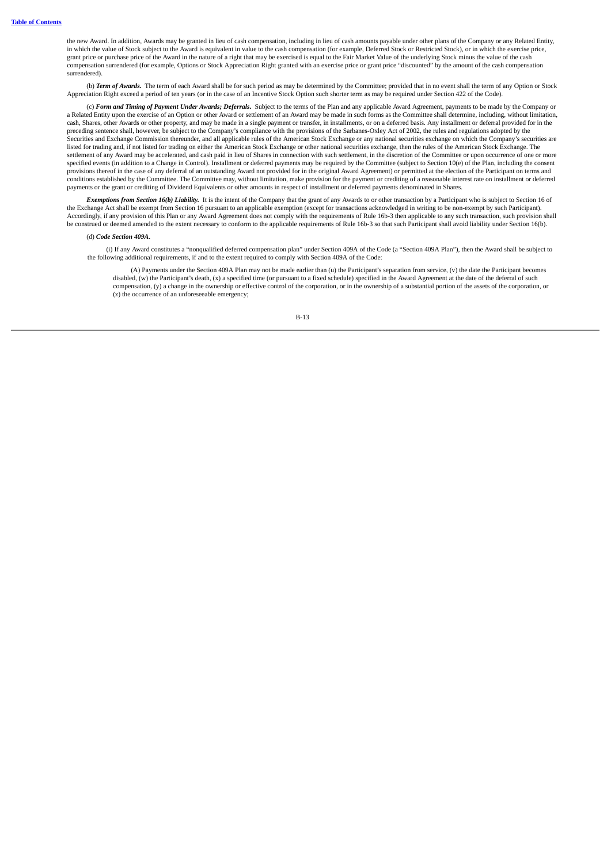the new Award. In addition, Awards may be granted in lieu of cash compensation, including in lieu of cash amounts payable under other plans of the Company or any Related Entity, in which the value of Stock subject to the Award is equivalent in value to the cash compensation (for example, Deferred Stock or Restricted Stock), or in which the exercise price, grant price or purchase price of the Award in the nature of a right that may be exercised is equal to the Fair Market Value of the underlying Stock minus the value of the cash compensation surrendered (for example, Options or Stock Appreciation Right granted with an exercise price or grant price "discounted" by the amount of the cash compensation surrendered).

(b) *Term of Awards.* The term of each Award shall be for such period as may be determined by the Committee; provided that in no event shall the term of any Option or Stock Appreciation Right exceed a period of ten years (or in the case of an Incentive Stock Option such shorter term as may be required under Section 422 of the Code).

(c) *Form and Timing of Payment Under Awards; Deferrals.* Subject to the terms of the Plan and any applicable Award Agreement, payments to be made by the Company or a Related Entity upon the exercise of an Option or other Award or settlement of an Award may be made in such forms as the Committee shall determine, including, without limitation, cash, Shares, other Awards or other property, and may be made in a single payment or transfer, in installments, or on a deferred basis. Any installment or deferral provided for in the preceding sentence shall, however, be subject to the Company's compliance with the provisions of the Sarbanes-Oxley Act of 2002, the rules and regulations adopted by the Securities and Exchange Commission thereunder, and all applicable rules of the American Stock Exchange or any national securities exchange on which the Company's securities are listed for trading and, if not listed for trading on either the American Stock Exchange or other national securities exchange, then the rules of the American Stock Exchange. The settlement of any Award may be accelerated, and cash paid in lieu of Shares in connection with such settlement, in the discretion of the Committee or upon occurrence of one or more specified events (in addition to a Change in Control). Installment or deferred payments may be required by the Committee (subject to Section 10(e) of the Plan, including the consent provisions thereof in the case of any deferral of an outstanding Award not provided for in the original Award Agreement) or permitted at the election of the Participant on terms and conditions established by the Committee. The Committee may, without limitation, make provision for the payment or crediting of a reasonable interest rate on installment or deferred payments or the grant or crediting of Dividend Equivalents or other amounts in respect of installment or deferred payments denominated in Shares.

*Exemptions from Section 16(b) Liability.* It is the intent of the Company that the grant of any Awards to or other transaction by a Participant who is subject to Section 16 of the Exchange Act shall be exempt from Section 16 pursuant to an applicable exemption (except for transactions acknowledged in writing to be non-exempt by such Participant). Accordingly, if any provision of this Plan or any Award Agreement does not comply with the requirements of Rule 16b-3 then applicable to any such transaction, such provision shall be construed or deemed amended to the extent necessary to conform to the applicable requirements of Rule 16b-3 so that such Participant shall avoid liability under Section 16(b).

#### (d) *Code Section 409A*.

(i) If any Award constitutes a "nonqualified deferred compensation plan" under Section 409A of the Code (a "Section 409A Plan"), then the Award shall be subject to the following additional requirements, if and to the extent required to comply with Section 409A of the Code:

(A) Payments under the Section 409A Plan may not be made earlier than (u) the Participant's separation from service, (v) the date the Participant becomes disabled, (w) the Participant's death, (x) a specified time (or pursuant to a fixed schedule) specified in the Award Agreement at the date of the deferral of such compensation, (y) a change in the ownership or effective control of the corporation, or in the ownership of a substantial portion of the assets of the corporation, or (z) the occurrence of an unforeseeable emergency;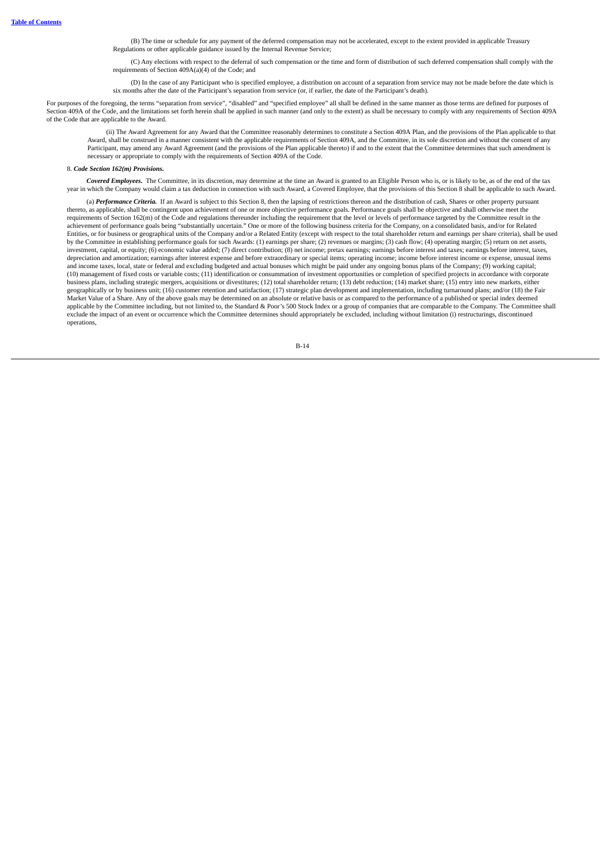(B) The time or schedule for any payment of the deferred compensation may not be accelerated, except to the extent provided in applicable Treasury<br>Regulations or other applicable guidance issued by the Internal Revenue Ser

(C) Any elections with respect to the deferral of such compensation or the time and form of distribution of such deferred compensation shall comply with the requirements of Section 409A(a)(4) of the Code; and

(D) In the case of any Participant who is specified employee, a distribution on account of a separation from service may not be made before the date which is six months after the date of the Participant's separation from service (or, if earlier, the date of the Participant's death).

For purposes of the foregoing, the terms "separation from service", "disabled" and "specified employee" all shall be defined in the same manner as those terms are defined for purposes of Section 409A of the Code, and the limitations set forth herein shall be applied in such manner (and only to the extent) as shall be necessary to comply with any requirements of Section 409A of the Code that are applicable to the Award.

(ii) The Award Agreement for any Award that the Committee reasonably determines to constitute a Section 409A Plan, and the provisions of the Plan applicable to that Award, shall be construed in a manner consistent with the applicable requirements of Section 409A, and the Committee, in its sole discretion and without the consent of any Participant, may amend any Award Agreement (and the provisions of the Plan applicable thereto) if and to the extent that the Committee determines that such amendment is necessary or appropriate to comply with the requirements of Section 409A of the Code.

#### 8. *Code Section 162(m) Provisions.*

*Covered Employees.* The Committee, in its discretion, may determine at the time an Award is granted to an Eligible Person who is, or is likely to be, as of the end of the tax year in which the Company would claim a tax deduction in connection with such Award, a Covered Employee, that the provisions of this Section 8 shall be applicable to such Award.

(a) *Performance Criteria.* If an Award is subject to this Section 8, then the lapsing of restrictions thereon and the distribution of cash, Shares or other property pursuant thereto, as applicable, shall be contingent upon achievement of one or more objective performance goals. Performance goals shall be objective and shall otherwise meet the requirements of Section 162(m) of the Code and regulations thereunder including the requirement that the level or levels of performance targeted by the Committee result in the achievement of performance goals being "substantially uncertain." One or more of the following business criteria for the Company, on a consolidated basis, and/or for Related Entities, or for business or geographical units of the Company and/or a Related Entity (except with respect to the total shareholder return and earnings per share criteria), shall be used by the Committee in establishing performance goals for such Awards: (1) earnings per share; (2) revenues or margins; (3) cash flow; (4) operating margin; (5) return on net assets, investment, capital, or equity; (6) economic value added; (7) direct contribution; (8) net income; pretax earnings; earnings before interest and taxes; earnings before interest, taxes, depreciation and amortization; earnings after interest expense and before extraordinary or special items; operating income; income before interest income or expense, unusual items and income taxes, local, state or federal and excluding budgeted and actual bonuses which might be paid under any ongoing bonus plans of the Company; (9) working capital; (10) management of fixed costs or variable costs; (11) identification or consummation of investment opportunities or completion of specified projects in accordance with corporate business plans, including strategic mergers, acquisitions or divestitures; (12) total shareholder return; (13) debt reduction; (14) market share; (15) entry into new markets, either geographically or by business unit; (16) customer retention and satisfaction; (17) strategic plan development and implementation, including turnaround plans; and/or (18) the Fair Market Value of a Share. Any of the above goals may be determined on an absolute or relative basis or as compared to the performance of a published or special index deemed applicable by the Committee including, but not limited to, the Standard & Poor's 500 Stock Index or a group of companies that are comparable to the Company. The Committee shall<br>exclude the impact of an event or occurrence operations,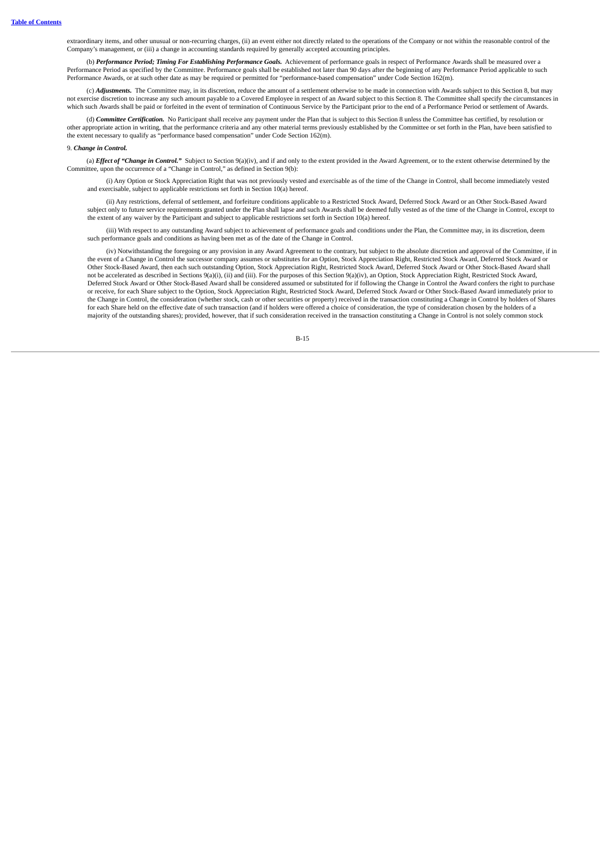extraordinary items, and other unusual or non-recurring charges, (ii) an event either not directly related to the operations of the Company or not within the reasonable control of the<br>Company's management, or (iii) a chang

(b) *Performance Period; Timing For Establishing Performance Goals.* Achievement of performance goals in respect of Performance Awards shall be measured over a Performance Period as specified by the Committee. Performance goals shall be established not later than 90 days after the beginning of any Performance Period applicable to such Performance Awards, or at such other date as may be required or permitted for "performance-based compensation" under Code Section 162(m).

(c) *Adjustments.* The Committee may, in its discretion, reduce the amount of a settlement otherwise to be made in connection with Awards subject to this Section 8, but may not exercise discretion to increase any such amount payable to a Covered Employee in respect of an Award subject to this Section 8. The Committee shall specify the circumstances in not exercise discretion to increase any s which such Awards shall be paid or forfeited in the event of termination of Continuous Service by the Participant prior to the end of a Performance Period or settlement of Awards.

(d) *Committee Certification.* No Participant shall receive any payment under the Plan that is subject to this Section 8 unless the Committee has certified, by resolution or other appropriate action in writing, that the performance criteria and any other material terms previously established by the Committee or set forth in the Plan, have been satisfied to the extent necessary to qualify as "performance based compensation" under Code Section 162(m).

#### 9. *Change in Control.*

(a) *Effect* of "Change in Control." Subject to Section 9(a)(iv), and if and only to the extent provided in the Award Agreement, or to the extent otherwise determined by the Committee, upon the occurrence of a "Change in Control," as defined in Section 9(b):

(i) Any Option or Stock Appreciation Right that was not previously vested and exercisable as of the time of the Change in Control, shall become immediately vested and exercisable, subject to applicable restrictions set forth in Section 10(a) hereof.

(ii) Any restrictions, deferral of settlement, and forfeiture conditions applicable to a Restricted Stock Award, Deferred Stock Award or an Other Stock-Based Award subject only to future service requirements granted under the Plan shall lapse and such Awards shall be deemed fully vested as of the time of the Change in Control, except to the extent of any waiver by the Participant and subject to applicable restrictions set forth in Section 10(a) hereof.

(iii) With respect to any outstanding Award subject to achievement of performance goals and conditions under the Plan, the Committee may, in its discretion, deem such performance goals and conditions as having been met as of the date of the Change in Control.

(iv) Notwithstanding the foregoing or any provision in any Award Agreement to the contrary, but subject to the absolute discretion and approval of the Committee, if in the event of a Change in Control the successor company assumes or substitutes for an Option, Stock Appreciation Right, Restricted Stock Award, Deferred Stock Award or Other Stock-Based Award, then each such outstanding Option, Stock Appreciation Right, Restricted Stock Award, Deferred Stock Award or Other Stock-Based Award shall not be accelerated as described in Sections 9(a)(i), (ii) and (iii). For the purposes of this Section 9(a)(iv), an Option, Stock Appreciation Right, Restricted Stock Award, Deferred Stock Award or Other Stock-Based Award shall be considered assumed or substituted for if following the Change in Control the Award confers the right to purchase<br>or receive, for each Share subject to the Option, St the Change in Control, the consideration (whether stock, cash or other securities or property) received in the transaction constituting a Change in Control by holders of Shares for each Share held on the effective date of such transaction (and if holders were offered a choice of consideration, the type of consideration chosen by the holders of a majority of the outstanding shares); provided, however, that if such consideration received in the transaction constituting a Change in Control is not solely common stock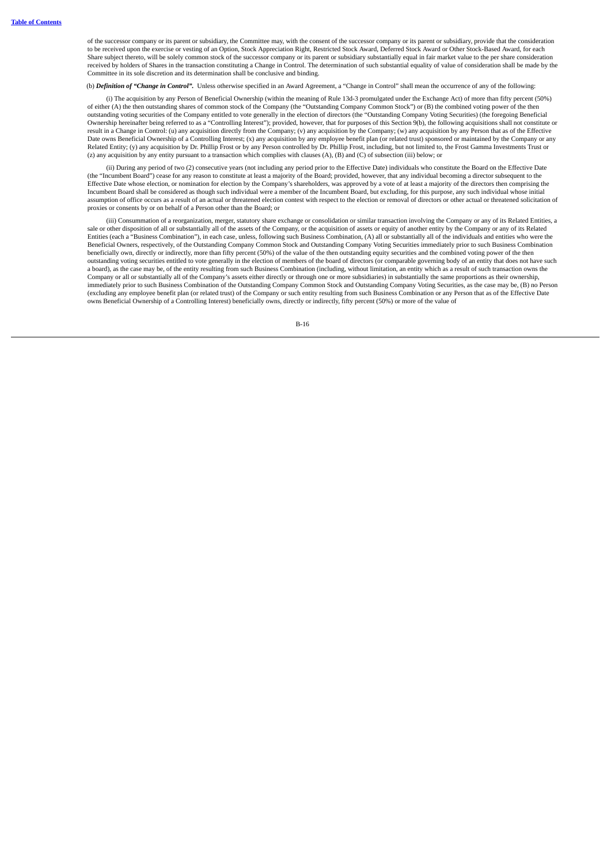of the successor company or its parent or subsidiary, the Committee may, with the consent of the successor company or its parent or subsidiary, provide that the consideration to be received upon the exercise or vesting of an Option, Stock Appreciation Right, Restricted Stock Award, Deferred Stock Award or Other Stock-Based Award, for each Share subject thereto, will be solely common stock of the successor company or its parent or subsidiary substantially equal in fair market value to the per share consideration received by holders of Shares in the transaction constituting a Change in Control. The determination of such substantial equality of value of consideration shall be made by the Committee in its sole discretion and its determination shall be conclusive and binding.

(b) *Definition of "Change in Control".* Unless otherwise specified in an Award Agreement, a "Change in Control" shall mean the occurrence of any of the following:

(i) The acquisition by any Person of Beneficial Ownership (within the meaning of Rule 13d-3 promulgated under the Exchange Act) of more than fifty percent (50%) of either (A) the then outstanding shares of common stock of the Company (the "Outstanding Company Common Stock") or (B) the combined voting power of the then outstanding voting securities of the Company entitled to vote generally in the election of directors (the "Outstanding Company Voting Securities) (the foregoing Beneficial Ownership hereinafter being referred to as a "Controlling Interest"); provided, however, that for purposes of this Section 9(b), the following acquisitions shall not constitute or result in a Change in Control: (u) any acquisition directly from the Company; (v) any acquisition by the Company; (w) any acquisition by any Person that as of the Effective Date owns Beneficial Ownership of a Controlling Interest; (x) any acquisition by any employee benefit plan (or related trust) sponsored or maintained by the Company or any Related Entity; (y) any acquisition by Dr. Phillip Frost or by any Person controlled by Dr. Phillip Frost, including, but not limited to, the Frost Gamma Investments Trust or (z) any acquisition by any entity pursuant to a transaction which complies with clauses (A), (B) and (C) of subsection (iii) below; or

(ii) During any period of two (2) consecutive years (not including any period prior to the Effective Date) individuals who constitute the Board on the Effective Date (the "Incumbent Board") cease for any reason to constitute at least a majority of the Board; provided, however, that any individual becoming a director subsequent to the Effective Date whose election, or nomination for election by the Company's shareholders, was approved by a vote of at least a majority of the directors then comprising the Incumbent Board shall be considered as though such individual were a member of the Incumbent Board, but excluding, for this purpose, any such individual whose initial assumption of office occurs as a result of an actual or threatened election contest with respect to the election or removal of directors or other actual or threatened solicitation of proxies or consents by or on behalf of a Person other than the Board; or

(iii) Consummation of a reorganization, merger, statutory share exchange or consolidation or similar transaction involving the Company or any of its Related Entities, a sale or other disposition of all or substantially all of the assets of the Company, or the acquisition of assets or equity of another entity by the Company or any of its Related Entities (each a "Business Combination"), in each case, unless, following such Business Combination, (A) all or substantially all of the individuals and entities who were the Beneficial Owners, respectively, of the Outstanding Company Common Stock and Outstanding Company Voting Securities immediately prior to such Business Combination beneficially own, directly or indirectly, more than fifty percent (50%) of the value of the then outstanding equity securities and the combined voting power of the then outstanding voting securities entitled to vote generally in the election of members of the board of directors (or comparable governing body of an entity that does not have such a board), as the case may be, of the entity resulting from such Business Combination (including, without limitation, an entity which as a result of such transaction owns the Company or all or substantially all of the Company's assets either directly or through one or more subsidiaries) in substantially the same proportions as their ownership, immediately prior to such Business Combination of the Outstanding Company Common Stock and Outstanding Company Voting Securities, as the case may be, (B) no Person (excluding any employee benefit plan (or related trust) of the Company or such entity resulting from such Business Combination or any Person that as of the Effective Date owns Beneficial Ownership of a Controlling Interest) beneficially owns, directly or indirectly, fifty percent (50%) or more of the value of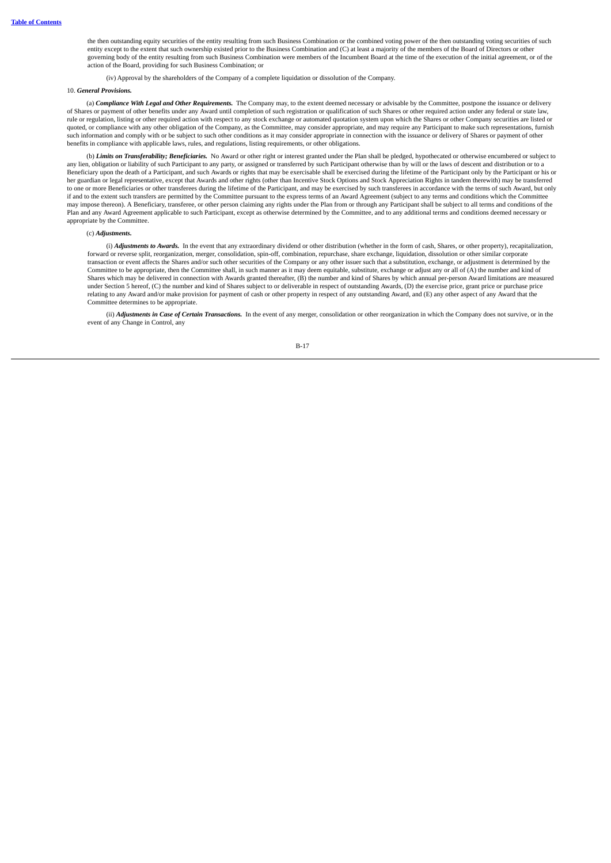the then outstanding equity securities of the entity resulting from such Business Combination or the combined voting power of the then outstanding voting securities of such<br>entity except to the extent that such ownership e governing body of the entity resulting from such Business Combination were members of the Incumbent Board at the time of the execution of the initial agreement, or of the action of the Board, providing for such Business Combination; or

(iv) Approval by the shareholders of the Company of a complete liquidation or dissolution of the Company.

#### 10. *General Provisions.*

(a) *Compliance With Legal and Other Requirements.* The Company may, to the extent deemed necessary or advisable by the Committee, postpone the issuance or delivery of Shares or payment of other benefits under any Award until completion of such registration or qualification of such Shares or other required action under any federal or state law, rule or regulation, listing or other required action with respect to any stock exchange or automated quotation system upon which the Shares or other Company securities are listed or quoted, or compliance with any other obligation of the Company, as the Committee, may consider appropriate, and may require any Participant to make such representations, furnish such information and comply with or be subject to such other conditions as it may consider appropriate in connection with the issuance or delivery of Shares or payment of other benefits in compliance with applicable laws, rules, and regulations, listing requirements, or other obligations.

(b) *Limits on Transferability; Beneficiaries.* No Award or other right or interest granted under the Plan shall be pledged, hypothecated or otherwise encumbered or subject to any lien, obligation or liability of such Participant to any party, or assigned or transferred by such Participant otherwise than by will or the laws of descent and distribution or to a any party, or assigned or transferre Beneficiary upon the death of a Participant, and such Awards or rights that may be exercisable shall be exercised during the lifetime of the Participant only by the Participant or his or her guardian or legal representative, except that Awards and other rights (other than Incentive Stock Options and Stock Appreciation Rights in tandem therewith) may be transferred to one or more Beneficiaries or other transferees during the lifetime of the Participant, and may be exercised by such transferees in accordance with the terms of such Award, but only if and to the extent such transfers are permitted by the Committee pursuant to the express terms of an Award Agreement (subject to any terms and conditions which the Committee may impose thereon). A Beneficiary, transferee, or other person claiming any rights under the Plan from or through any Participant shall be subject to all terms and conditions of the Plan and any Award Agreement applicable to such Participant, except as otherwise determined by the Committee, and to any additional terms and conditions deemed necessary or appropriate by the Committee.

#### (c) *Adjustments.*

(i) *Adjustments to Awards.* In the event that any extraordinary dividend or other distribution (whether in the form of cash, Shares, or other property), recapitalization, forward or reverse split, reorganization, merger, consolidation, spin-off, combination, repurchase, share exchange, liquidation, dissolution or other similar corporate transaction or event affects the Shares and/or such other securities of the Company or any other issuer such that a substitution, exchange, or adjustment is determined by the Committee to be appropriate, then the Committee shall, in such manner as it may deem equitable, substitute, exchange or adjust any or all of (A) the number and kind of Shares which may be delivered in connection with Awards granted thereafter, (B) the number and kind of Shares by which annual per-person Award limitations are measured under Section 5 hereof, (C) the number and kind of Shares subject to or deliverable in respect of outstanding Awards, (D) the exercise price, grant price or purchase price relating to any Award and/or make provision for payment of cash or other property in respect of any outstanding Award, and (E) any other aspect of any Award that the Committee determines to be appropriate.

(ii) *Adjustments in Case of Certain Transactions.* In the event of any merger, consolidation or other reorganization in which the Company does not survive, or in the event of any Change in Control, any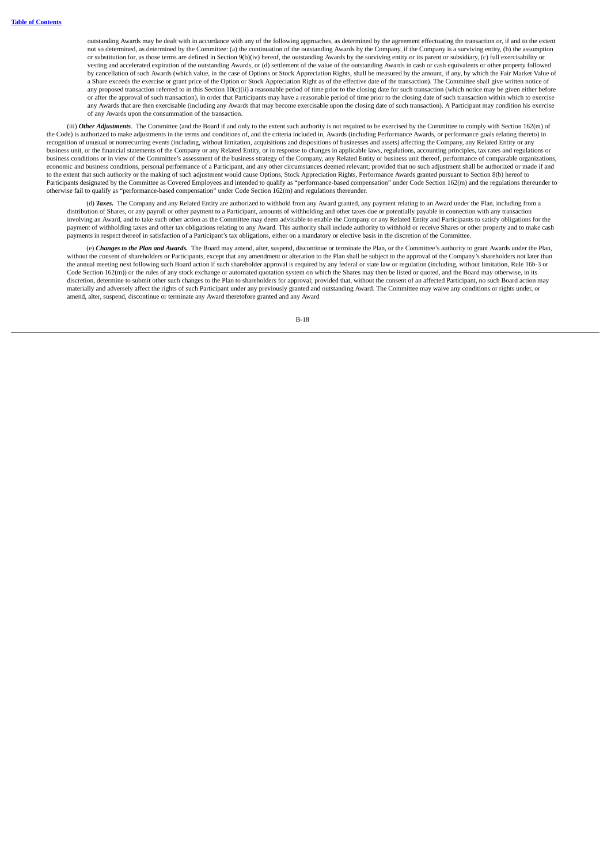outstanding Awards may be dealt with in accordance with any of the following approaches, as determined by the agreement effectuating the transaction or, if and to the extent<br>not so determined, as determined by the Committe or substitution for, as those terms are defined in Section 9(b)(iv) hereof, the outstanding Awards by the surviving entity or its parent or subsidiary, (c) full exercisability or vesting and accelerated expiration of the outstanding Awards, or (d) settlement of the value of the outstanding Awards in cash or cash equivalents or other property followed by cancellation of such Awards (which value, in the case of Options or Stock Appreciation Rights, shall be measured by the amount, if any, by which the Fair Market Value of a Share exceeds the exercise or grant price of the Option or Stock Appreciation Right as of the effective date of the transaction). The Committee shall give written notice of any proposed transaction referred to in this Section 10(c)(ii) a reasonable period of time prior to the closing date for such transaction (which notice may be given either before or after the approval of such transaction), in order that Participants may have a reasonable period of time prior to the closing date of such transaction within which to exercise any Awards that are then exercisable (including any Awards that may become exercisable upon the closing date of such transaction). A Participant may condition his exercise of any Awards upon the consummation of the transaction.

(iii) Other Adjustments. The Committee (and the Board if and only to the extent such authority is not required to be exercised by the Committee to comply with Section 162(m) of the Code) is authorized to make adjustments in the terms and conditions of, and the criteria included in, Awards (including Performance Awards, or performance goals relating thereto) in recognition of unusual or nonrecurring events (including, without limitation, acquisitions and dispositions of businesses and assets) affecting the Company, any Related Entity or any business unit, or the financial statements of the Company or any Related Entity, or in response to changes in applicable laws, regulations, accounting principles, tax rates and regulations or business conditions or in view of the Committee's assessment of the business strategy of the Company, any Related Entity or business unit thereof, performance of comparable organizations, economic and business conditions, personal performance of a Participant, and any other circumstances deemed relevant; provided that no such adjustment shall be authorized or made if and to the extent that such authority or the making of such adjustment would cause Options, Stock Appreciation Rights, Performance Awards granted pursuant to Section 8(b) hereof to Participants designated by the Committee as Covered Employees and intended to qualify as "performance-based compensation" under Code Section 162(m) and the regulations thereunder to otherwise fail to qualify as "performance-based compensation" under Code Section 162(m) and regulations thereunder.

(d) *Taxes.* The Company and any Related Entity are authorized to withhold from any Award granted, any payment relating to an Award under the Plan, including from a distribution of Shares, or any payroll or other payment to a Participant, amounts of withholding and other taxes due or potentially payable in connection with any transaction involving an Award, and to take such other action as the Committee may deem advisable to enable the Company or any Related Entity and Participants to satisfy obligations for the payment of withholding taxes and other tax obligations relating to any Award. This authority shall include authority to withhold or receive Shares or other property and to make cash payments in respect thereof in satisfaction of a Participant's tax obligations, either on a mandatory or elective basis in the discretion of the Committee.

(e) *Changes to the Plan and Awards.* The Board may amend, alter, suspend, discontinue or terminate the Plan, or the Committee's authority to grant Awards under the Plan, without the consent of shareholders or Participants, except that any amendment or alteration to the Plan shall be subject to the approval of the Company's shareholders not later than the annual meeting next following such Board action if such shareholder approval is required by any federal or state law or regulation (including, without limitation, Rule 16b-3 or Code Section 162(m)) or the rules of any stock exchange or automated quotation system on which the Shares may then be listed or quoted, and the Board may otherwise, in its discretion, determine to submit other such changes to the Plan to shareholders for approval; provided that, without the consent of an affected Participant, no such Board action may<br>materially and adversely affect the right amend, alter, suspend, discontinue or terminate any Award theretofore granted and any Award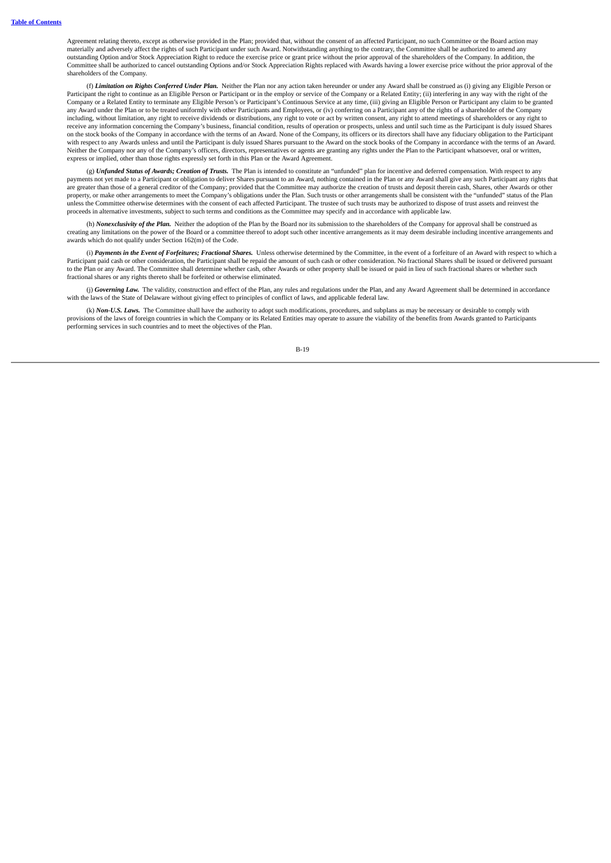Agreement relating thereto, except as otherwise provided in the Plan; provided that, without the consent of an affected Participant, no such Committee or the Board action may materially and adversely affect the rights of such Participant under such Award. Notwithstanding anything to the contrary, the Committee shall be authorized to amend any outstanding Option and/or Stock Appreciation Right to reduce the exercise price or grant price without the prior approval of the shareholders of the Company. In addition, the Committee shall be authorized to cancel outstanding Options and/or Stock Appreciation Rights replaced with Awards having a lower exercise price without the prior approval of the shareholders of the Company.

(f) *Limitation on Rights Conferred Under Plan.* Neither the Plan nor any action taken hereunder or under any Award shall be construed as (i) giving any Eligible Person or Participant the right to continue as an Eligible Person or Participant or in the employ or service of the Company or a Related Entity; (ii) interfering in any way with the right of the Company or a Related Entity to terminate any Eligible Person's or Participant's Continuous Service at any time, (iii) giving an Eligible Person or Participant any claim to be granted any Award under the Plan or to be treated uniformly with other Participants and Employees, or (iv) conferring on a Participant any of the rights of a shareholder of the Company including, without limitation, any right to receive dividends or distributions, any right to vote or act by written consent, any right to attend meetings of shareholders or any right to receive any information concerning the Company's business, financial condition, results of operation or prospects, unless and until such time as the Participant is duly issued Shares on the stock books of the Company in accordance with the terms of an Award. None of the Company, its officers or its directors shall have any fiduciary obligation to the Participant with respect to any Awards unless and until the Participant is duly issued Shares pursuant to the Award on the stock books of the Company in accordance with the terms of an Award. Neither the Company nor any of the Company's officers, directors, representatives or agents are granting any rights under the Plan to the Participant whatsoever, oral or written, express or implied, other than those rights expressly set forth in this Plan or the Award Agreement.

(g) *Unfunded Status of Awards; Creation of Trusts.* The Plan is intended to constitute an "unfunded" plan for incentive and deferred compensation. With respect to any payments not yet made to a Participant or obligation to deliver Shares pursuant to an Award, nothing contained in the Plan or any Award shall give any such Participant any rights that are greater than those of a general creditor of the Company; provided that the Committee may authorize the creation of trusts and deposit therein cash, Shares, other Awards or other property, or make other arrangements to meet the Company's obligations under the Plan. Such trusts or other arrangements shall be consistent with the "unfunded" status of the Plan unless the Committee otherwise determines with the consent of each affected Participant. The trustee of such trusts may be authorized to dispose of trust assets and reinvest the proceeds in alternative investments, subject to such terms and conditions as the Committee may specify and in accordance with applicable law.

(h) *Nonexclusivity of the Plan.* Neither the adoption of the Plan by the Board nor its submission to the shareholders of the Company for approval shall be construed as creating any limitations on the power of the Board or a committee thereof to adopt such other incentive arrangements as it may deem desirable including incentive arrangements and awards which do not qualify under Section 162(m) of the Code.

(i) Payments in the Event of Forfeitures; Fractional Shares. Unless otherwise determined by the Committee, in the event of a forfeiture of an Award with respect to which a Participant paid cash or other consideration, the Participant shall be repaid the amount of such cash or other consideration. No fractional Shares shall be issued or delivered pursuant to the Plan or any Award. The Committee shall determine whether cash, other Awards or other property shall be issued or paid in lieu of such fractional shares or whether such fractional shares or any rights thereto shall be forfeited or otherwise eliminated.

(j) *Governing Law.* The validity, construction and effect of the Plan, any rules and regulations under the Plan, and any Award Agreement shall be determined in accordance with the laws of the State of Delaware without giving effect to principles of conflict of laws, and applicable federal law.

(k) *Non-U.S. Laws.* The Committee shall have the authority to adopt such modifications, procedures, and subplans as may be necessary or desirable to comply with provisions of the laws of foreign countries in which the Company or its Related Entities may operate to assure the viability of the benefits from Awards granted to Participants performing services in such countries and to meet the objectives of the Plan.